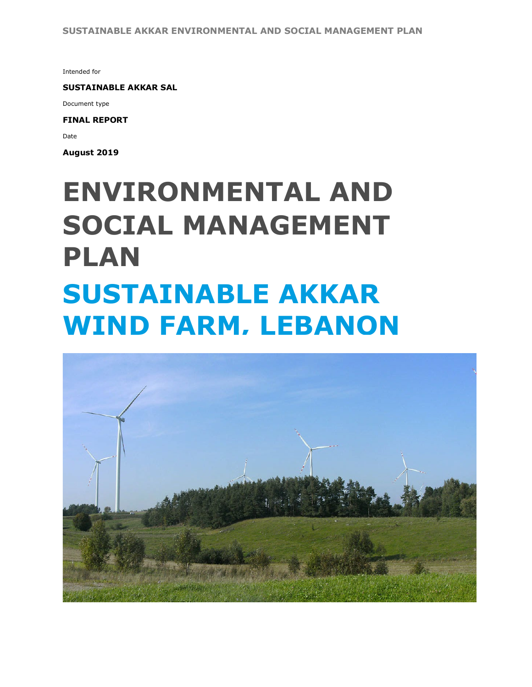Intended for

**SUSTAINABLE AKKAR SAL**

Document type

**FINAL REPORT**

Date

**August 2019**

# **SOCIAL MANAGEMENT PLAN SUSTAINABLE AKKAR WIND FARM, LEBANON ENVIRONMENTAL AND**

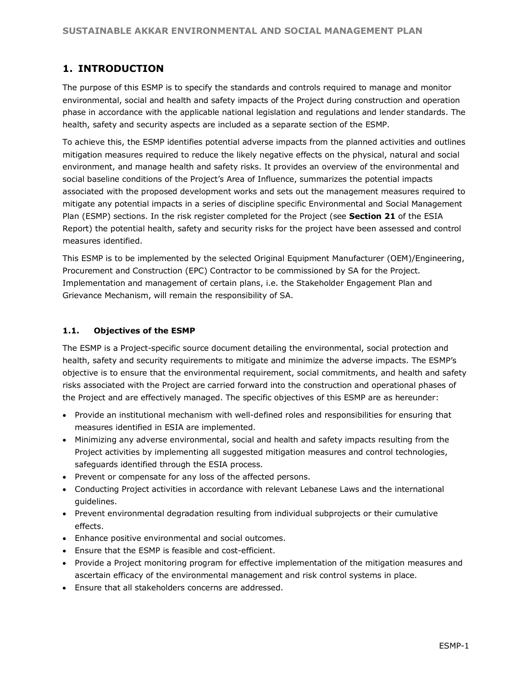# **1. INTRODUCTION**

The purpose of this ESMP is to specify the standards and controls required to manage and monitor environmental, social and health and safety impacts of the Project during construction and operation phase in accordance with the applicable national legislation and regulations and lender standards. The health, safety and security aspects are included as a separate section of the ESMP.

To achieve this, the ESMP identifies potential adverse impacts from the planned activities and outlines mitigation measures required to reduce the likely negative effects on the physical, natural and social environment, and manage health and safety risks. It provides an overview of the environmental and social baseline conditions of the Project's Area of Influence, summarizes the potential impacts associated with the proposed development works and sets out the management measures required to mitigate any potential impacts in a series of discipline specific Environmental and Social Management Plan (ESMP) sections. In the risk register completed for the Project (see **Section 21** of the ESIA Report) the potential health, safety and security risks for the project have been assessed and control measures identified.

This ESMP is to be implemented by the selected Original Equipment Manufacturer (OEM)/Engineering, Procurement and Construction (EPC) Contractor to be commissioned by SA for the Project. Implementation and management of certain plans, i.e. the Stakeholder Engagement Plan and Grievance Mechanism, will remain the responsibility of SA.

#### **1.1. Objectives of the ESMP**

The ESMP is a Project-specific source document detailing the environmental, social protection and health, safety and security requirements to mitigate and minimize the adverse impacts. The ESMP's objective is to ensure that the environmental requirement, social commitments, and health and safety risks associated with the Project are carried forward into the construction and operational phases of the Project and are effectively managed. The specific objectives of this ESMP are as hereunder:

- Provide an institutional mechanism with well-defined roles and responsibilities for ensuring that measures identified in ESIA are implemented.
- Minimizing any adverse environmental, social and health and safety impacts resulting from the Project activities by implementing all suggested mitigation measures and control technologies, safeguards identified through the ESIA process.
- Prevent or compensate for any loss of the affected persons.
- Conducting Project activities in accordance with relevant Lebanese Laws and the international guidelines.
- Prevent environmental degradation resulting from individual subprojects or their cumulative effects.
- Enhance positive environmental and social outcomes.
- Ensure that the ESMP is feasible and cost-efficient.
- Provide a Project monitoring program for effective implementation of the mitigation measures and ascertain efficacy of the environmental management and risk control systems in place.
- Ensure that all stakeholders concerns are addressed.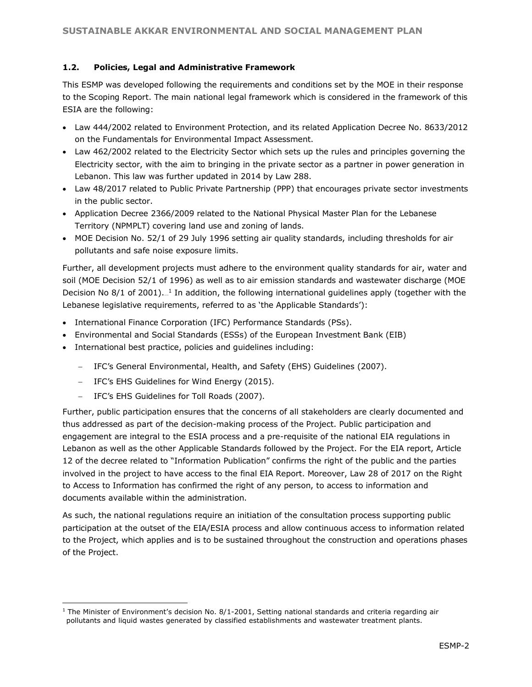#### **1.2. Policies, Legal and Administrative Framework**

This ESMP was developed following the requirements and conditions set by the MOE in their response to the Scoping Report. The main national legal framework which is considered in the framework of this ESIA are the following:

- Law 444/2002 related to Environment Protection, and its related Application Decree No. 8633/2012 on the Fundamentals for Environmental Impact Assessment.
- Law 462/2002 related to the Electricity Sector which sets up the rules and principles governing the Electricity sector, with the aim to bringing in the private sector as a partner in power generation in Lebanon. This law was further updated in 2014 by Law 288.
- Law 48/2017 related to Public Private Partnership (PPP) that encourages private sector investments in the public sector.
- Application Decree 2366/2009 related to the National Physical Master Plan for the Lebanese Territory (NPMPLT) covering land use and zoning of lands.
- MOE Decision No. 52/1 of 29 July 1996 setting air quality standards, including thresholds for air pollutants and safe noise exposure limits.

Further, all development projects must adhere to the environment quality standards for air, water and soil (MOE Decision 52/1 of 1996) as well as to air emission standards and wastewater discharge (MOE Decision No 8/1 of 2001).  $\frac{1}{n}$  In addition, the following international guidelines apply (together with the Lebanese legislative requirements, referred to as 'the Applicable Standards'):

- International Finance Corporation (IFC) Performance Standards (PSs).
- Environmental and Social Standards (ESSs) of the European Investment Bank (EIB)
- International best practice, policies and guidelines including:
	- − IFC's General Environmental, Health, and Safety (EHS) Guidelines (2007).
	- − IFC's EHS Guidelines for Wind Energy (2015).
	- − IFC's EHS Guidelines for Toll Roads (2007).

l

Further, public participation ensures that the concerns of all stakeholders are clearly documented and thus addressed as part of the decision-making process of the Project. Public participation and engagement are integral to the ESIA process and a pre-requisite of the national EIA regulations in Lebanon as well as the other Applicable Standards followed by the Project. For the EIA report, Article 12 of the decree related to "Information Publication" confirms the right of the public and the parties involved in the project to have access to the final EIA Report. Moreover, Law 28 of 2017 on the Right to Access to Information has confirmed the right of any person, to access to information and documents available within the administration.

As such, the national regulations require an initiation of the consultation process supporting public participation at the outset of the EIA/ESIA process and allow continuous access to information related to the Project, which applies and is to be sustained throughout the construction and operations phases of the Project.

 $1$  The Minister of Environment's decision No. 8/1-2001, Setting national standards and criteria regarding air pollutants and liquid wastes generated by classified establishments and wastewater treatment plants.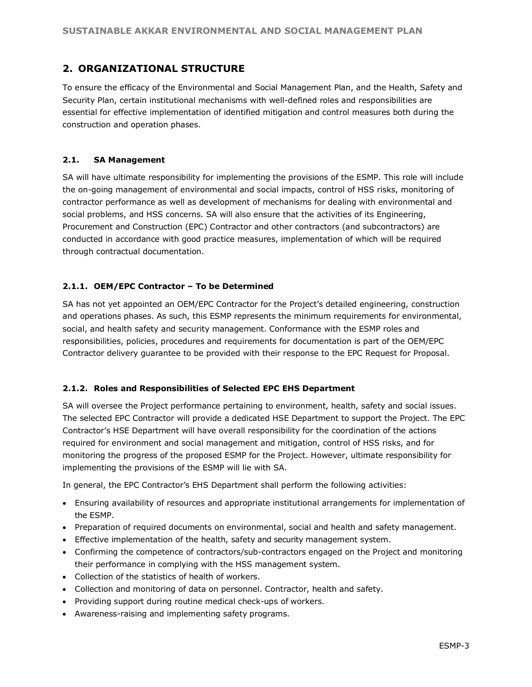## **2. ORGANIZATIONAL STRUCTURE**

To ensure the efficacy of the Environmental and Social Management Plan, and the Health, Safety and Security Plan, certain institutional mechanisms with well-defined roles and responsibilities are essential for effective implementation of identified mitigation and control measures both during the construction and operation phases.

#### **2.1. SA Management**

SA will have ultimate responsibility for implementing the provisions of the ESMP. This role will include the on-going management of environmental and social impacts, control of HSS risks, monitoring of contractor performance as well as development of mechanisms for dealing with environmental and social problems, and HSS concerns. SA will also ensure that the activities of its Engineering, Procurement and Construction (EPC) Contractor and other contractors (and subcontractors) are conducted in accordance with good practice measures, implementation of which will be required through contractual documentation.

#### **2.1.1. OEM/EPC Contractor – To be Determined**

SA has not yet appointed an OEM/EPC Contractor for the Project's detailed engineering, construction and operations phases. As such, this ESMP represents the minimum requirements for environmental, social, and health safety and security management. Conformance with the ESMP roles and responsibilities, policies, procedures and requirements for documentation is part of the OEM/EPC Contractor delivery guarantee to be provided with their response to the EPC Request for Proposal.

#### **2.1.2. Roles and Responsibilities of Selected EPC EHS Department**

SA will oversee the Project performance pertaining to environment, health, safety and social issues. The selected EPC Contractor will provide a dedicated HSE Department to support the Project. The EPC Contractor's HSE Department will have overall responsibility for the coordination of the actions required for environment and social management and mitigation, control of HSS risks, and for monitoring the progress of the proposed ESMP for the Project. However, ultimate responsibility for implementing the provisions of the ESMP will lie with SA.

In general, the EPC Contractor's EHS Department shall perform the following activities:

- Ensuring availability of resources and appropriate institutional arrangements for implementation of the ESMP.
- Preparation of required documents on environmental, social and health and safety management.
- Effective implementation of the health, safety and security management system.
- Confirming the competence of contractors/sub-contractors engaged on the Project and monitoring their performance in complying with the HSS management system.
- Collection of the statistics of health of workers.
- Collection and monitoring of data on personnel. Contractor, health and safety.
- Providing support during routine medical check-ups of workers.
- Awareness-raising and implementing safety programs.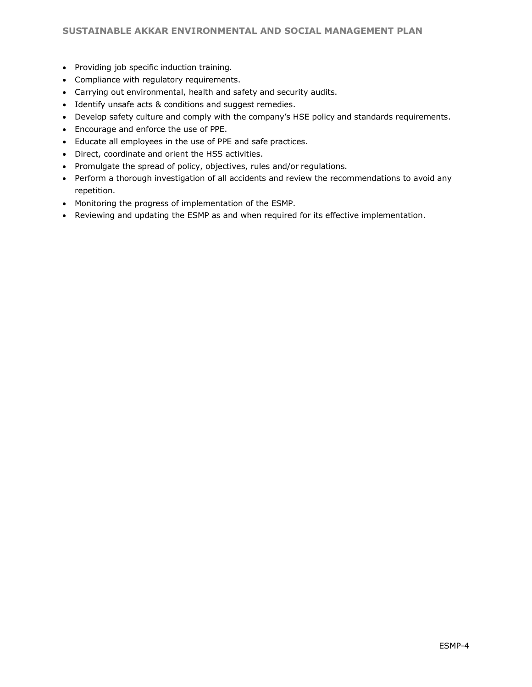- Providing job specific induction training.
- Compliance with regulatory requirements.
- Carrying out environmental, health and safety and security audits.
- Identify unsafe acts & conditions and suggest remedies.
- Develop safety culture and comply with the company's HSE policy and standards requirements.
- Encourage and enforce the use of PPE.
- Educate all employees in the use of PPE and safe practices.
- Direct, coordinate and orient the HSS activities.
- Promulgate the spread of policy, objectives, rules and/or regulations.
- Perform a thorough investigation of all accidents and review the recommendations to avoid any repetition.
- Monitoring the progress of implementation of the ESMP.
- Reviewing and updating the ESMP as and when required for its effective implementation.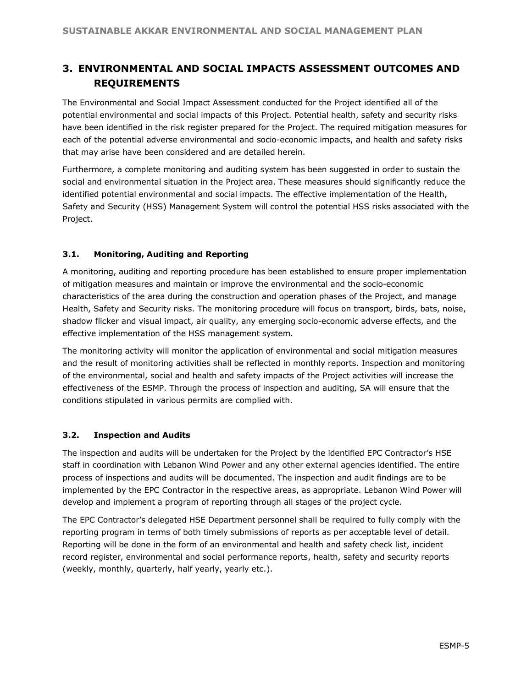# **3. ENVIRONMENTAL AND SOCIAL IMPACTS ASSESSMENT OUTCOMES AND REQUIREMENTS**

The Environmental and Social Impact Assessment conducted for the Project identified all of the potential environmental and social impacts of this Project. Potential health, safety and security risks have been identified in the risk register prepared for the Project. The required mitigation measures for each of the potential adverse environmental and socio-economic impacts, and health and safety risks that may arise have been considered and are detailed herein.

Furthermore, a complete monitoring and auditing system has been suggested in order to sustain the social and environmental situation in the Project area. These measures should significantly reduce the identified potential environmental and social impacts. The effective implementation of the Health, Safety and Security (HSS) Management System will control the potential HSS risks associated with the Project.

#### **3.1. Monitoring, Auditing and Reporting**

A monitoring, auditing and reporting procedure has been established to ensure proper implementation of mitigation measures and maintain or improve the environmental and the socio-economic characteristics of the area during the construction and operation phases of the Project, and manage Health, Safety and Security risks. The monitoring procedure will focus on transport, birds, bats, noise, shadow flicker and visual impact, air quality, any emerging socio-economic adverse effects, and the effective implementation of the HSS management system.

The monitoring activity will monitor the application of environmental and social mitigation measures and the result of monitoring activities shall be reflected in monthly reports. Inspection and monitoring of the environmental, social and health and safety impacts of the Project activities will increase the effectiveness of the ESMP. Through the process of inspection and auditing, SA will ensure that the conditions stipulated in various permits are complied with.

#### **3.2. Inspection and Audits**

The inspection and audits will be undertaken for the Project by the identified EPC Contractor's HSE staff in coordination with Lebanon Wind Power and any other external agencies identified. The entire process of inspections and audits will be documented. The inspection and audit findings are to be implemented by the EPC Contractor in the respective areas, as appropriate. Lebanon Wind Power will develop and implement a program of reporting through all stages of the project cycle.

The EPC Contractor's delegated HSE Department personnel shall be required to fully comply with the reporting program in terms of both timely submissions of reports as per acceptable level of detail. Reporting will be done in the form of an environmental and health and safety check list, incident record register, environmental and social performance reports, health, safety and security reports (weekly, monthly, quarterly, half yearly, yearly etc.).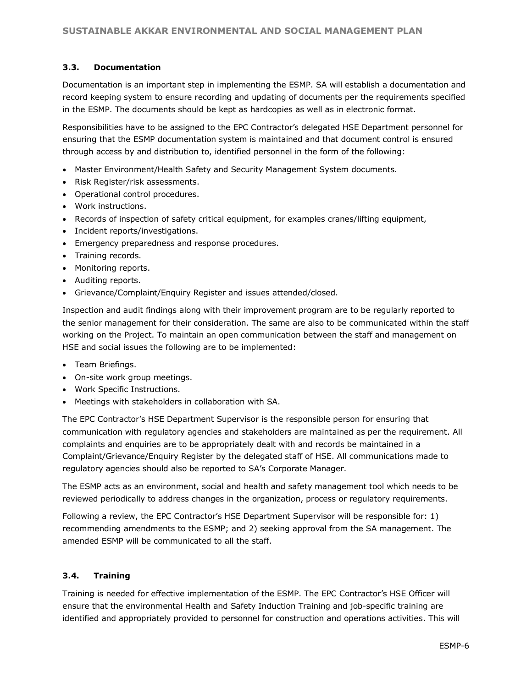#### **3.3. Documentation**

Documentation is an important step in implementing the ESMP. SA will establish a documentation and record keeping system to ensure recording and updating of documents per the requirements specified in the ESMP. The documents should be kept as hardcopies as well as in electronic format.

Responsibilities have to be assigned to the EPC Contractor's delegated HSE Department personnel for ensuring that the ESMP documentation system is maintained and that document control is ensured through access by and distribution to, identified personnel in the form of the following:

- Master Environment/Health Safety and Security Management System documents.
- Risk Register/risk assessments.
- Operational control procedures.
- Work instructions.
- Records of inspection of safety critical equipment, for examples cranes/lifting equipment,
- Incident reports/investigations.
- Emergency preparedness and response procedures.
- Training records.
- Monitoring reports.
- Auditing reports.
- Grievance/Complaint/Enquiry Register and issues attended/closed.

Inspection and audit findings along with their improvement program are to be regularly reported to the senior management for their consideration. The same are also to be communicated within the staff working on the Project. To maintain an open communication between the staff and management on HSE and social issues the following are to be implemented:

- Team Briefings.
- On-site work group meetings.
- Work Specific Instructions.
- Meetings with stakeholders in collaboration with SA.

The EPC Contractor's HSE Department Supervisor is the responsible person for ensuring that communication with regulatory agencies and stakeholders are maintained as per the requirement. All complaints and enquiries are to be appropriately dealt with and records be maintained in a Complaint/Grievance/Enquiry Register by the delegated staff of HSE. All communications made to regulatory agencies should also be reported to SA's Corporate Manager.

The ESMP acts as an environment, social and health and safety management tool which needs to be reviewed periodically to address changes in the organization, process or regulatory requirements.

Following a review, the EPC Contractor's HSE Department Supervisor will be responsible for: 1) recommending amendments to the ESMP; and 2) seeking approval from the SA management. The amended ESMP will be communicated to all the staff.

#### **3.4. Training**

Training is needed for effective implementation of the ESMP. The EPC Contractor's HSE Officer will ensure that the environmental Health and Safety Induction Training and job-specific training are identified and appropriately provided to personnel for construction and operations activities. This will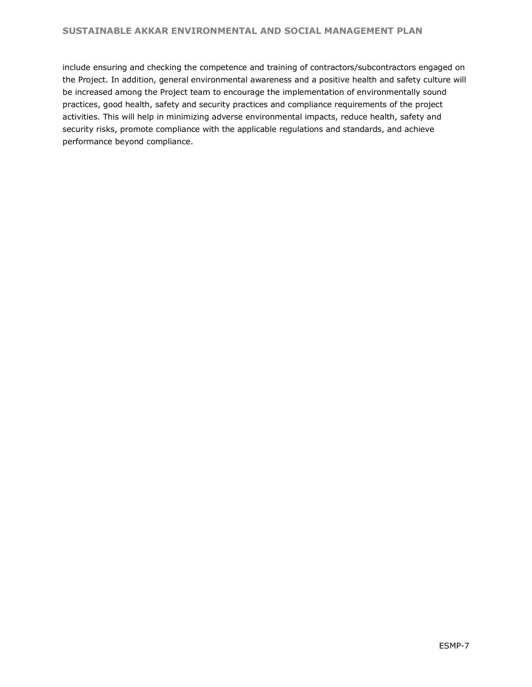include ensuring and checking the competence and training of contractors/subcontractors engaged on the Project. In addition, general environmental awareness and a positive health and safety culture will be increased among the Project team to encourage the implementation of environmentally sound practices, good health, safety and security practices and compliance requirements of the project activities. This will help in minimizing adverse environmental impacts, reduce health, safety and security risks, promote compliance with the applicable regulations and standards, and achieve performance beyond compliance.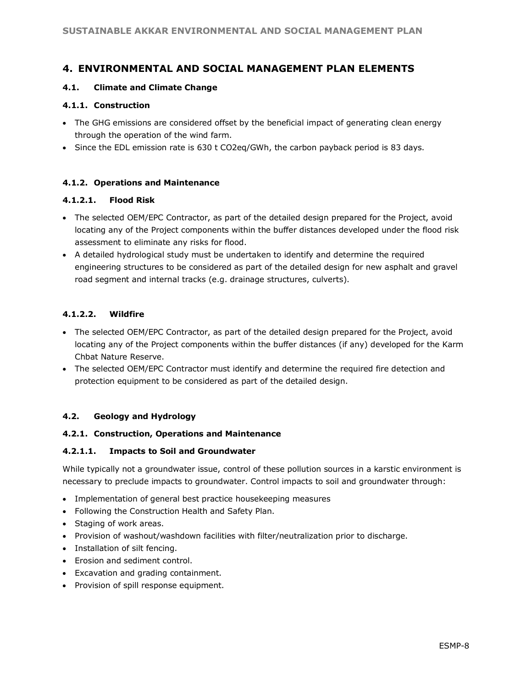## **4. ENVIRONMENTAL AND SOCIAL MANAGEMENT PLAN ELEMENTS**

#### **4.1. Climate and Climate Change**

#### **4.1.1. Construction**

- The GHG emissions are considered offset by the beneficial impact of generating clean energy through the operation of the wind farm.
- Since the EDL emission rate is 630 t CO2eq/GWh, the carbon payback period is 83 days.

#### **4.1.2. Operations and Maintenance**

#### **4.1.2.1. Flood Risk**

- The selected OEM/EPC Contractor, as part of the detailed design prepared for the Project, avoid locating any of the Project components within the buffer distances developed under the flood risk assessment to eliminate any risks for flood.
- A detailed hydrological study must be undertaken to identify and determine the required engineering structures to be considered as part of the detailed design for new asphalt and gravel road segment and internal tracks (e.g. drainage structures, culverts).

#### **4.1.2.2. Wildfire**

- The selected OEM/EPC Contractor, as part of the detailed design prepared for the Project, avoid locating any of the Project components within the buffer distances (if any) developed for the Karm Chbat Nature Reserve.
- The selected OEM/EPC Contractor must identify and determine the required fire detection and protection equipment to be considered as part of the detailed design.

#### **4.2. Geology and Hydrology**

#### **4.2.1. Construction, Operations and Maintenance**

#### **4.2.1.1. Impacts to Soil and Groundwater**

While typically not a groundwater issue, control of these pollution sources in a karstic environment is necessary to preclude impacts to groundwater. Control impacts to soil and groundwater through:

- Implementation of general best practice housekeeping measures
- Following the Construction Health and Safety Plan.
- Staging of work areas.
- Provision of washout/washdown facilities with filter/neutralization prior to discharge.
- Installation of silt fencing.
- Erosion and sediment control.
- Excavation and grading containment.
- Provision of spill response equipment.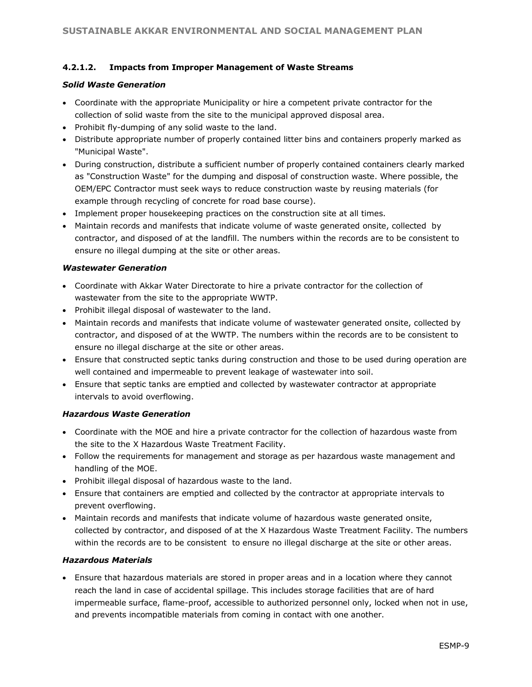#### **4.2.1.2. Impacts from Improper Management of Waste Streams**

#### *Solid Waste Generation*

- Coordinate with the appropriate Municipality or hire a competent private contractor for the collection of solid waste from the site to the municipal approved disposal area.
- Prohibit fly-dumping of any solid waste to the land.
- Distribute appropriate number of properly contained litter bins and containers properly marked as "Municipal Waste".
- During construction, distribute a sufficient number of properly contained containers clearly marked as "Construction Waste" for the dumping and disposal of construction waste. Where possible, the OEM/EPC Contractor must seek ways to reduce construction waste by reusing materials (for example through recycling of concrete for road base course).
- Implement proper housekeeping practices on the construction site at all times.
- Maintain records and manifests that indicate volume of waste generated onsite, collected by contractor, and disposed of at the landfill. The numbers within the records are to be consistent to ensure no illegal dumping at the site or other areas.

#### *Wastewater Generation*

- Coordinate with Akkar Water Directorate to hire a private contractor for the collection of wastewater from the site to the appropriate WWTP.
- Prohibit illegal disposal of wastewater to the land.
- Maintain records and manifests that indicate volume of wastewater generated onsite, collected by contractor, and disposed of at the WWTP. The numbers within the records are to be consistent to ensure no illegal discharge at the site or other areas.
- Ensure that constructed septic tanks during construction and those to be used during operation are well contained and impermeable to prevent leakage of wastewater into soil.
- Ensure that septic tanks are emptied and collected by wastewater contractor at appropriate intervals to avoid overflowing.

#### *Hazardous Waste Generation*

- Coordinate with the MOE and hire a private contractor for the collection of hazardous waste from the site to the X Hazardous Waste Treatment Facility.
- Follow the requirements for management and storage as per hazardous waste management and handling of the MOE.
- Prohibit illegal disposal of hazardous waste to the land.
- Ensure that containers are emptied and collected by the contractor at appropriate intervals to prevent overflowing.
- Maintain records and manifests that indicate volume of hazardous waste generated onsite, collected by contractor, and disposed of at the X Hazardous Waste Treatment Facility. The numbers within the records are to be consistent to ensure no illegal discharge at the site or other areas.

#### *Hazardous Materials*

• Ensure that hazardous materials are stored in proper areas and in a location where they cannot reach the land in case of accidental spillage. This includes storage facilities that are of hard impermeable surface, flame-proof, accessible to authorized personnel only, locked when not in use, and prevents incompatible materials from coming in contact with one another.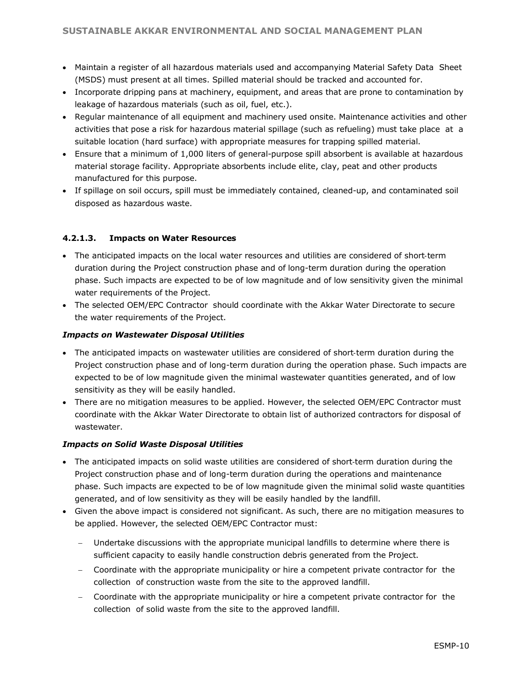- Maintain a register of all hazardous materials used and accompanying Material Safety Data Sheet (MSDS) must present at all times. Spilled material should be tracked and accounted for.
- Incorporate dripping pans at machinery, equipment, and areas that are prone to contamination by leakage of hazardous materials (such as oil, fuel, etc.).
- Regular maintenance of all equipment and machinery used onsite. Maintenance activities and other activities that pose a risk for hazardous material spillage (such as refueling) must take place at a suitable location (hard surface) with appropriate measures for trapping spilled material.
- Ensure that a minimum of 1,000 liters of general-purpose spill absorbent is available at hazardous material storage facility. Appropriate absorbents include elite, clay, peat and other products manufactured for this purpose.
- If spillage on soil occurs, spill must be immediately contained, cleaned-up, and contaminated soil disposed as hazardous waste.

#### **4.2.1.3. Impacts on Water Resources**

- The anticipated impacts on the local water resources and utilities are considered of short-term duration during the Project construction phase and of long-term duration during the operation phase. Such impacts are expected to be of low magnitude and of low sensitivity given the minimal water requirements of the Project.
- The selected OEM/EPC Contractor should coordinate with the Akkar Water Directorate to secure the water requirements of the Project.

#### *Impacts on Wastewater Disposal Utilities*

- The anticipated impacts on wastewater utilities are considered of short‐term duration during the Project construction phase and of long-term duration during the operation phase. Such impacts are expected to be of low magnitude given the minimal wastewater quantities generated, and of low sensitivity as they will be easily handled.
- There are no mitigation measures to be applied. However, the selected OEM/EPC Contractor must coordinate with the Akkar Water Directorate to obtain list of authorized contractors for disposal of wastewater.

#### *Impacts on Solid Waste Disposal Utilities*

- The anticipated impacts on solid waste utilities are considered of short-term duration during the Project construction phase and of long-term duration during the operations and maintenance phase. Such impacts are expected to be of low magnitude given the minimal solid waste quantities generated, and of low sensitivity as they will be easily handled by the landfill.
- Given the above impact is considered not significant. As such, there are no mitigation measures to be applied. However, the selected OEM/EPC Contractor must:
	- − Undertake discussions with the appropriate municipal landfills to determine where there is sufficient capacity to easily handle construction debris generated from the Project.
	- − Coordinate with the appropriate municipality or hire a competent private contractor for the collection of construction waste from the site to the approved landfill.
	- − Coordinate with the appropriate municipality or hire a competent private contractor for the collection of solid waste from the site to the approved landfill.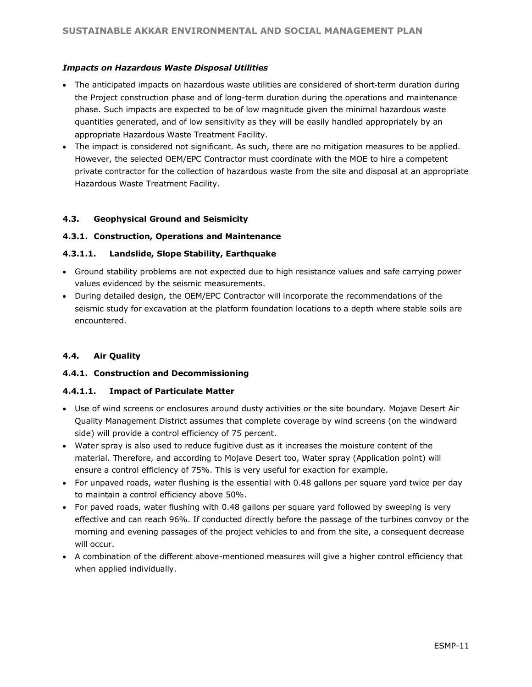#### *Impacts on Hazardous Waste Disposal Utilities*

- The anticipated impacts on hazardous waste utilities are considered of short-term duration during the Project construction phase and of long-term duration during the operations and maintenance phase. Such impacts are expected to be of low magnitude given the minimal hazardous waste quantities generated, and of low sensitivity as they will be easily handled appropriately by an appropriate Hazardous Waste Treatment Facility.
- The impact is considered not significant. As such, there are no mitigation measures to be applied. However, the selected OEM/EPC Contractor must coordinate with the MOE to hire a competent private contractor for the collection of hazardous waste from the site and disposal at an appropriate Hazardous Waste Treatment Facility.

#### **4.3. Geophysical Ground and Seismicity**

#### **4.3.1. Construction, Operations and Maintenance**

#### **4.3.1.1. Landslide, Slope Stability, Earthquake**

- Ground stability problems are not expected due to high resistance values and safe carrying power values evidenced by the seismic measurements.
- During detailed design, the OEM/EPC Contractor will incorporate the recommendations of the seismic study for excavation at the platform foundation locations to a depth where stable soils are encountered.

#### **4.4. Air Quality**

#### **4.4.1. Construction and Decommissioning**

#### **4.4.1.1. Impact of Particulate Matter**

- Use of wind screens or enclosures around dusty activities or the site boundary. Mojave Desert Air Quality Management District assumes that complete coverage by wind screens (on the windward side) will provide a control efficiency of 75 percent.
- Water spray is also used to reduce fugitive dust as it increases the moisture content of the material. Therefore, and according to Mojave Desert too, Water spray (Application point) will ensure a control efficiency of 75%. This is very useful for exaction for example.
- For unpaved roads, water flushing is the essential with 0.48 gallons per square yard twice per day to maintain a control efficiency above 50%.
- For paved roads, water flushing with 0.48 gallons per square yard followed by sweeping is very effective and can reach 96%. If conducted directly before the passage of the turbines convoy or the morning and evening passages of the project vehicles to and from the site, a consequent decrease will occur.
- A combination of the different above-mentioned measures will give a higher control efficiency that when applied individually.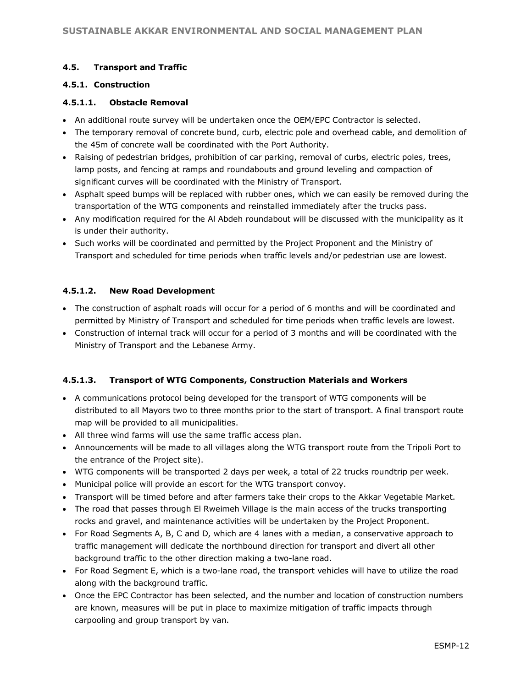#### **4.5. Transport and Traffic**

#### **4.5.1. Construction**

#### **4.5.1.1. Obstacle Removal**

- An additional route survey will be undertaken once the OEM/EPC Contractor is selected.
- The temporary removal of concrete bund, curb, electric pole and overhead cable, and demolition of the 45m of concrete wall be coordinated with the Port Authority.
- Raising of pedestrian bridges, prohibition of car parking, removal of curbs, electric poles, trees, lamp posts, and fencing at ramps and roundabouts and ground leveling and compaction of significant curves will be coordinated with the Ministry of Transport.
- Asphalt speed bumps will be replaced with rubber ones, which we can easily be removed during the transportation of the WTG components and reinstalled immediately after the trucks pass.
- Any modification required for the Al Abdeh roundabout will be discussed with the municipality as it is under their authority.
- Such works will be coordinated and permitted by the Project Proponent and the Ministry of Transport and scheduled for time periods when traffic levels and/or pedestrian use are lowest.

## **4.5.1.2. New Road Development**

- The construction of asphalt roads will occur for a period of 6 months and will be coordinated and permitted by Ministry of Transport and scheduled for time periods when traffic levels are lowest.
- Construction of internal track will occur for a period of 3 months and will be coordinated with the Ministry of Transport and the Lebanese Army.

#### **4.5.1.3. Transport of WTG Components, Construction Materials and Workers**

- A communications protocol being developed for the transport of WTG components will be distributed to all Mayors two to three months prior to the start of transport. A final transport route map will be provided to all municipalities.
- All three wind farms will use the same traffic access plan.
- Announcements will be made to all villages along the WTG transport route from the Tripoli Port to the entrance of the Project site).
- WTG components will be transported 2 days per week, a total of 22 trucks roundtrip per week.
- Municipal police will provide an escort for the WTG transport convoy.
- Transport will be timed before and after farmers take their crops to the Akkar Vegetable Market.
- The road that passes through El Rweimeh Village is the main access of the trucks transporting rocks and gravel, and maintenance activities will be undertaken by the Project Proponent.
- For Road Segments A, B, C and D, which are 4 lanes with a median, a conservative approach to traffic management will dedicate the northbound direction for transport and divert all other background traffic to the other direction making a two-lane road.
- For Road Segment E, which is a two-lane road, the transport vehicles will have to utilize the road along with the background traffic.
- Once the EPC Contractor has been selected, and the number and location of construction numbers are known, measures will be put in place to maximize mitigation of traffic impacts through carpooling and group transport by van.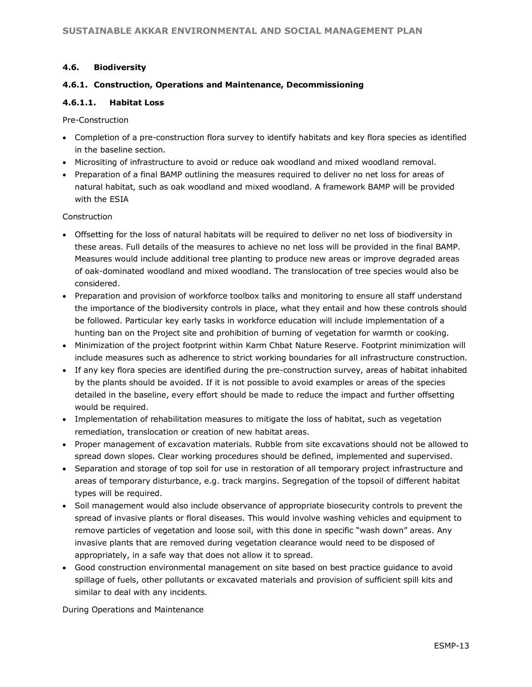#### **4.6. Biodiversity**

#### **4.6.1. Construction, Operations and Maintenance, Decommissioning**

#### **4.6.1.1. Habitat Loss**

Pre-Construction

- Completion of a pre-construction flora survey to identify habitats and key flora species as identified in the baseline section.
- Micrositing of infrastructure to avoid or reduce oak woodland and mixed woodland removal.
- Preparation of a final BAMP outlining the measures required to deliver no net loss for areas of natural habitat, such as oak woodland and mixed woodland. A framework BAMP will be provided with the ESIA

#### Construction

- Offsetting for the loss of natural habitats will be required to deliver no net loss of biodiversity in these areas. Full details of the measures to achieve no net loss will be provided in the final BAMP. Measures would include additional tree planting to produce new areas or improve degraded areas of oak-dominated woodland and mixed woodland. The translocation of tree species would also be considered.
- Preparation and provision of workforce toolbox talks and monitoring to ensure all staff understand the importance of the biodiversity controls in place, what they entail and how these controls should be followed. Particular key early tasks in workforce education will include implementation of a hunting ban on the Project site and prohibition of burning of vegetation for warmth or cooking.
- Minimization of the project footprint within Karm Chbat Nature Reserve. Footprint minimization will include measures such as adherence to strict working boundaries for all infrastructure construction.
- If any key flora species are identified during the pre-construction survey, areas of habitat inhabited by the plants should be avoided. If it is not possible to avoid examples or areas of the species detailed in the baseline, every effort should be made to reduce the impact and further offsetting would be required.
- Implementation of rehabilitation measures to mitigate the loss of habitat, such as vegetation remediation, translocation or creation of new habitat areas.
- Proper management of excavation materials. Rubble from site excavations should not be allowed to spread down slopes. Clear working procedures should be defined, implemented and supervised.
- Separation and storage of top soil for use in restoration of all temporary project infrastructure and areas of temporary disturbance, e.g. track margins. Segregation of the topsoil of different habitat types will be required.
- Soil management would also include observance of appropriate biosecurity controls to prevent the spread of invasive plants or floral diseases. This would involve washing vehicles and equipment to remove particles of vegetation and loose soil, with this done in specific "wash down" areas. Any invasive plants that are removed during vegetation clearance would need to be disposed of appropriately, in a safe way that does not allow it to spread.
- Good construction environmental management on site based on best practice guidance to avoid spillage of fuels, other pollutants or excavated materials and provision of sufficient spill kits and similar to deal with any incidents.

During Operations and Maintenance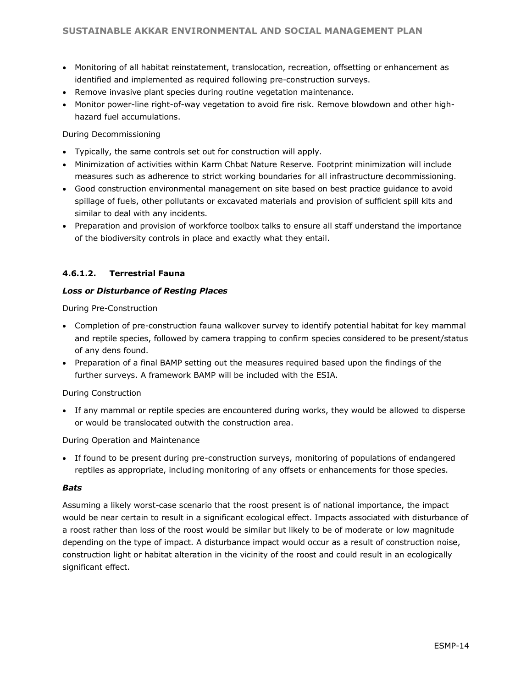- Monitoring of all habitat reinstatement, translocation, recreation, offsetting or enhancement as identified and implemented as required following pre-construction surveys.
- Remove invasive plant species during routine vegetation maintenance.
- Monitor power-line right-of-way vegetation to avoid fire risk. Remove blowdown and other highhazard fuel accumulations.

During Decommissioning

- Typically, the same controls set out for construction will apply.
- Minimization of activities within Karm Chbat Nature Reserve. Footprint minimization will include measures such as adherence to strict working boundaries for all infrastructure decommissioning.
- Good construction environmental management on site based on best practice guidance to avoid spillage of fuels, other pollutants or excavated materials and provision of sufficient spill kits and similar to deal with any incidents.
- Preparation and provision of workforce toolbox talks to ensure all staff understand the importance of the biodiversity controls in place and exactly what they entail.

#### **4.6.1.2. Terrestrial Fauna**

#### *Loss or Disturbance of Resting Places*

During Pre-Construction

- Completion of pre-construction fauna walkover survey to identify potential habitat for key mammal and reptile species, followed by camera trapping to confirm species considered to be present/status of any dens found.
- Preparation of a final BAMP setting out the measures required based upon the findings of the further surveys. A framework BAMP will be included with the ESIA.

#### During Construction

• If any mammal or reptile species are encountered during works, they would be allowed to disperse or would be translocated outwith the construction area.

#### During Operation and Maintenance

• If found to be present during pre-construction surveys, monitoring of populations of endangered reptiles as appropriate, including monitoring of any offsets or enhancements for those species.

#### *Bats*

Assuming a likely worst-case scenario that the roost present is of national importance, the impact would be near certain to result in a significant ecological effect. Impacts associated with disturbance of a roost rather than loss of the roost would be similar but likely to be of moderate or low magnitude depending on the type of impact. A disturbance impact would occur as a result of construction noise, construction light or habitat alteration in the vicinity of the roost and could result in an ecologically significant effect.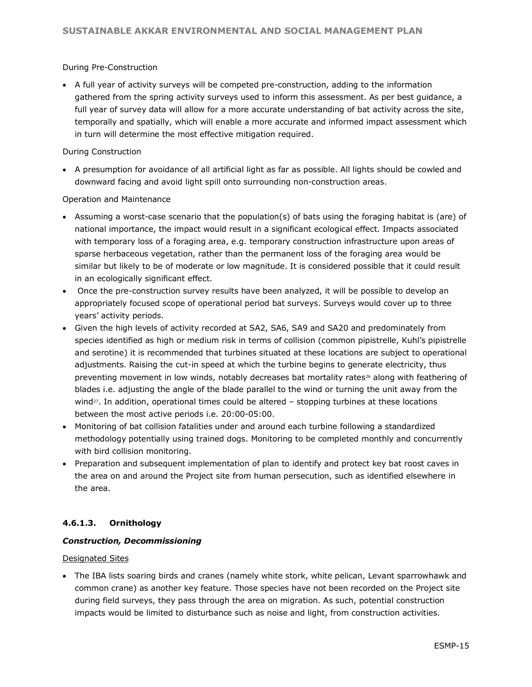#### During Pre-Construction

• A full year of activity surveys will be competed pre-construction, adding to the information gathered from the spring activity surveys used to inform this assessment. As per best guidance, a full year of survey data will allow for a more accurate understanding of bat activity across the site, temporally and spatially, which will enable a more accurate and informed impact assessment which in turn will determine the most effective mitigation required.

#### During Construction

• A presumption for avoidance of all artificial light as far as possible. All lights should be cowled and downward facing and avoid light spill onto surrounding non-construction areas.

#### Operation and Maintenance

- Assuming a worst-case scenario that the population(s) of bats using the foraging habitat is (are) of national importance, the impact would result in a significant ecological effect. Impacts associated with temporary loss of a foraging area, e.g. temporary construction infrastructure upon areas of sparse herbaceous vegetation, rather than the permanent loss of the foraging area would be similar but likely to be of moderate or low magnitude. It is considered possible that it could result in an ecologically significant effect.
- Once the pre-construction survey results have been analyzed, it will be possible to develop an appropriately focused scope of operational period bat surveys. Surveys would cover up to three years' activity periods.
- Given the high levels of activity recorded at SA2, SA6, SA9 and SA20 and predominately from species identified as high or medium risk in terms of collision (common pipistrelle, Kuhl's pipistrelle and serotine) it is recommended that turbines situated at these locations are subject to operational adjustments. Raising the cut-in speed at which the turbine begins to generate electricity, thus preventing movement in low winds, notably decreases bat mortality rates<sup>26</sup> along with feathering of blades i.e. adjusting the angle of the blade parallel to the wind or turning the unit away from the wind $27$ . In addition, operational times could be altered  $-$  stopping turbines at these locations between the most active periods i.e. 20:00-05:00.
- Monitoring of bat collision fatalities under and around each turbine following a standardized methodology potentially using trained dogs. Monitoring to be completed monthly and concurrently with bird collision monitoring.
- Preparation and subsequent implementation of plan to identify and protect key bat roost caves in the area on and around the Project site from human persecution, such as identified elsewhere in the area.

#### **4.6.1.3. Ornithology**

#### *Construction, Decommissioning*

#### Designated Sites

• The IBA lists soaring birds and cranes (namely white stork, white pelican, Levant sparrowhawk and common crane) as another key feature. Those species have not been recorded on the Project site during field surveys, they pass through the area on migration. As such, potential construction impacts would be limited to disturbance such as noise and light, from construction activities.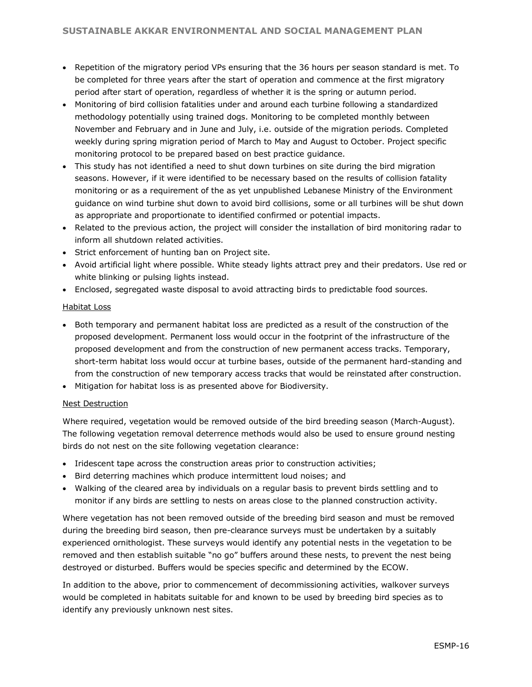- Repetition of the migratory period VPs ensuring that the 36 hours per season standard is met. To be completed for three years after the start of operation and commence at the first migratory period after start of operation, regardless of whether it is the spring or autumn period.
- Monitoring of bird collision fatalities under and around each turbine following a standardized methodology potentially using trained dogs. Monitoring to be completed monthly between November and February and in June and July, i.e. outside of the migration periods. Completed weekly during spring migration period of March to May and August to October. Project specific monitoring protocol to be prepared based on best practice guidance.
- This study has not identified a need to shut down turbines on site during the bird migration seasons. However, if it were identified to be necessary based on the results of collision fatality monitoring or as a requirement of the as yet unpublished Lebanese Ministry of the Environment guidance on wind turbine shut down to avoid bird collisions, some or all turbines will be shut down as appropriate and proportionate to identified confirmed or potential impacts.
- Related to the previous action, the project will consider the installation of bird monitoring radar to inform all shutdown related activities.
- Strict enforcement of hunting ban on Project site.
- Avoid artificial light where possible. White steady lights attract prey and their predators. Use red or white blinking or pulsing lights instead.
- Enclosed, segregated waste disposal to avoid attracting birds to predictable food sources.

#### Habitat Loss

- Both temporary and permanent habitat loss are predicted as a result of the construction of the proposed development. Permanent loss would occur in the footprint of the infrastructure of the proposed development and from the construction of new permanent access tracks. Temporary, short-term habitat loss would occur at turbine bases, outside of the permanent hard-standing and from the construction of new temporary access tracks that would be reinstated after construction.
- Mitigation for habitat loss is as presented above for Biodiversity.

#### Nest Destruction

Where required, vegetation would be removed outside of the bird breeding season (March-August). The following vegetation removal deterrence methods would also be used to ensure ground nesting birds do not nest on the site following vegetation clearance:

- Iridescent tape across the construction areas prior to construction activities;
- Bird deterring machines which produce intermittent loud noises; and
- Walking of the cleared area by individuals on a regular basis to prevent birds settling and to monitor if any birds are settling to nests on areas close to the planned construction activity.

Where vegetation has not been removed outside of the breeding bird season and must be removed during the breeding bird season, then pre-clearance surveys must be undertaken by a suitably experienced ornithologist. These surveys would identify any potential nests in the vegetation to be removed and then establish suitable "no go" buffers around these nests, to prevent the nest being destroyed or disturbed. Buffers would be species specific and determined by the ECOW.

In addition to the above, prior to commencement of decommissioning activities, walkover surveys would be completed in habitats suitable for and known to be used by breeding bird species as to identify any previously unknown nest sites.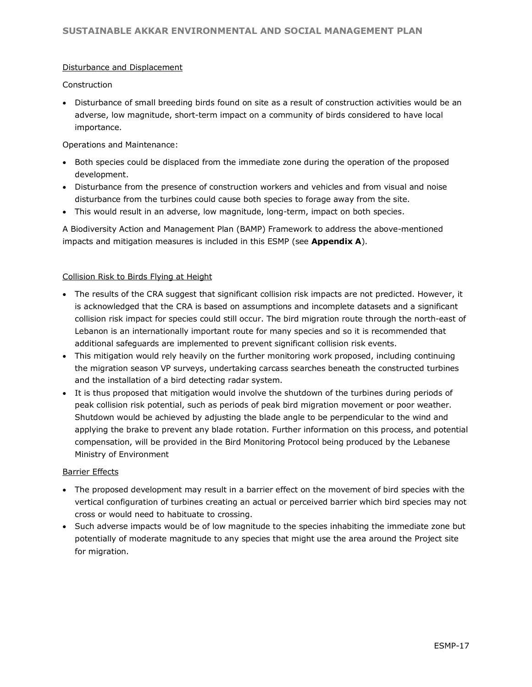#### Disturbance and Displacement

Construction

• Disturbance of small breeding birds found on site as a result of construction activities would be an adverse, low magnitude, short-term impact on a community of birds considered to have local importance.

Operations and Maintenance:

- Both species could be displaced from the immediate zone during the operation of the proposed development.
- Disturbance from the presence of construction workers and vehicles and from visual and noise disturbance from the turbines could cause both species to forage away from the site.
- This would result in an adverse, low magnitude, long-term, impact on both species.

A Biodiversity Action and Management Plan (BAMP) Framework to address the above-mentioned impacts and mitigation measures is included in this ESMP (see **Appendix A**).

#### Collision Risk to Birds Flying at Height

- The results of the CRA suggest that significant collision risk impacts are not predicted. However, it is acknowledged that the CRA is based on assumptions and incomplete datasets and a significant collision risk impact for species could still occur. The bird migration route through the north-east of Lebanon is an internationally important route for many species and so it is recommended that additional safeguards are implemented to prevent significant collision risk events.
- This mitigation would rely heavily on the further monitoring work proposed, including continuing the migration season VP surveys, undertaking carcass searches beneath the constructed turbines and the installation of a bird detecting radar system.
- It is thus proposed that mitigation would involve the shutdown of the turbines during periods of peak collision risk potential, such as periods of peak bird migration movement or poor weather. Shutdown would be achieved by adjusting the blade angle to be perpendicular to the wind and applying the brake to prevent any blade rotation. Further information on this process, and potential compensation, will be provided in the Bird Monitoring Protocol being produced by the Lebanese Ministry of Environment

#### Barrier Effects

- The proposed development may result in a barrier effect on the movement of bird species with the vertical configuration of turbines creating an actual or perceived barrier which bird species may not cross or would need to habituate to crossing.
- Such adverse impacts would be of low magnitude to the species inhabiting the immediate zone but potentially of moderate magnitude to any species that might use the area around the Project site for migration.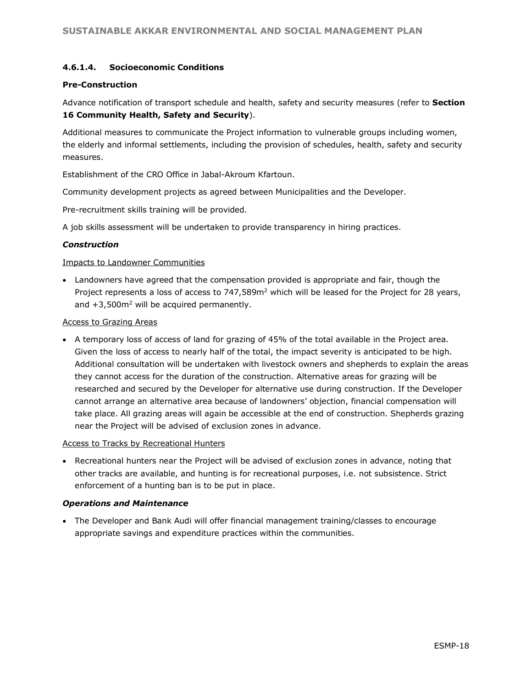#### **4.6.1.4. Socioeconomic Conditions**

#### **Pre-Construction**

Advance notification of transport schedule and health, safety and security measures (refer to **Section 16 Community Health, Safety and Security**).

Additional measures to communicate the Project information to vulnerable groups including women, the elderly and informal settlements, including the provision of schedules, health, safety and security measures.

Establishment of the CRO Office in Jabal-Akroum Kfartoun.

Community development projects as agreed between Municipalities and the Developer.

Pre-recruitment skills training will be provided.

A job skills assessment will be undertaken to provide transparency in hiring practices.

#### *Construction*

#### Impacts to Landowner Communities

• Landowners have agreed that the compensation provided is appropriate and fair, though the Project represents a loss of access to 747,589m<sup>2</sup> which will be leased for the Project for 28 years, and  $+3,500$ m<sup>2</sup> will be acquired permanently.

#### Access to Grazing Areas

• A temporary loss of access of land for grazing of 45% of the total available in the Project area. Given the loss of access to nearly half of the total, the impact severity is anticipated to be high. Additional consultation will be undertaken with livestock owners and shepherds to explain the areas they cannot access for the duration of the construction. Alternative areas for grazing will be researched and secured by the Developer for alternative use during construction. If the Developer cannot arrange an alternative area because of landowners' objection, financial compensation will take place. All grazing areas will again be accessible at the end of construction. Shepherds grazing near the Project will be advised of exclusion zones in advance.

#### Access to Tracks by Recreational Hunters

• Recreational hunters near the Project will be advised of exclusion zones in advance, noting that other tracks are available, and hunting is for recreational purposes, i.e. not subsistence. Strict enforcement of a hunting ban is to be put in place.

#### *Operations and Maintenance*

• The Developer and Bank Audi will offer financial management training/classes to encourage appropriate savings and expenditure practices within the communities.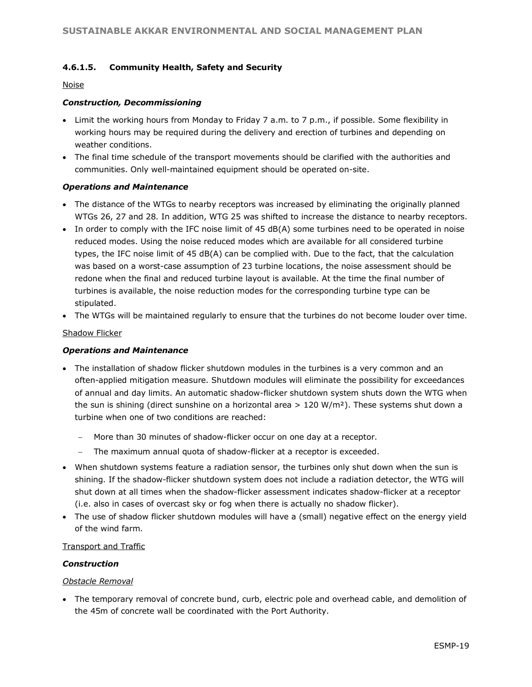#### **4.6.1.5. Community Health, Safety and Security**

#### Noise

#### *Construction, Decommissioning*

- Limit the working hours from Monday to Friday 7 a.m. to 7 p.m., if possible. Some flexibility in working hours may be required during the delivery and erection of turbines and depending on weather conditions.
- The final time schedule of the transport movements should be clarified with the authorities and communities. Only well-maintained equipment should be operated on-site.

#### *Operations and Maintenance*

- The distance of the WTGs to nearby receptors was increased by eliminating the originally planned WTGs 26, 27 and 28. In addition, WTG 25 was shifted to increase the distance to nearby receptors.
- In order to comply with the IFC noise limit of 45 dB(A) some turbines need to be operated in noise reduced modes. Using the noise reduced modes which are available for all considered turbine types, the IFC noise limit of 45 dB(A) can be complied with. Due to the fact, that the calculation was based on a worst-case assumption of 23 turbine locations, the noise assessment should be redone when the final and reduced turbine layout is available. At the time the final number of turbines is available, the noise reduction modes for the corresponding turbine type can be stipulated.
- The WTGs will be maintained regularly to ensure that the turbines do not become louder over time.

#### Shadow Flicker

#### *Operations and Maintenance*

- The installation of shadow flicker shutdown modules in the turbines is a very common and an often-applied mitigation measure. Shutdown modules will eliminate the possibility for exceedances of annual and day limits. An automatic shadow-flicker shutdown system shuts down the WTG when the sun is shining (direct sunshine on a horizontal area  $> 120 \text{ W/m}^2$ ). These systems shut down a turbine when one of two conditions are reached:
	- − More than 30 minutes of shadow-flicker occur on one day at a receptor.
	- The maximum annual quota of shadow-flicker at a receptor is exceeded.
- When shutdown systems feature a radiation sensor, the turbines only shut down when the sun is shining. If the shadow-flicker shutdown system does not include a radiation detector, the WTG will shut down at all times when the shadow-flicker assessment indicates shadow-flicker at a receptor (i.e. also in cases of overcast sky or fog when there is actually no shadow flicker).
- The use of shadow flicker shutdown modules will have a (small) negative effect on the energy yield of the wind farm.

#### Transport and Traffic

#### *Construction*

#### *Obstacle Removal*

• The temporary removal of concrete bund, curb, electric pole and overhead cable, and demolition of the 45m of concrete wall be coordinated with the Port Authority.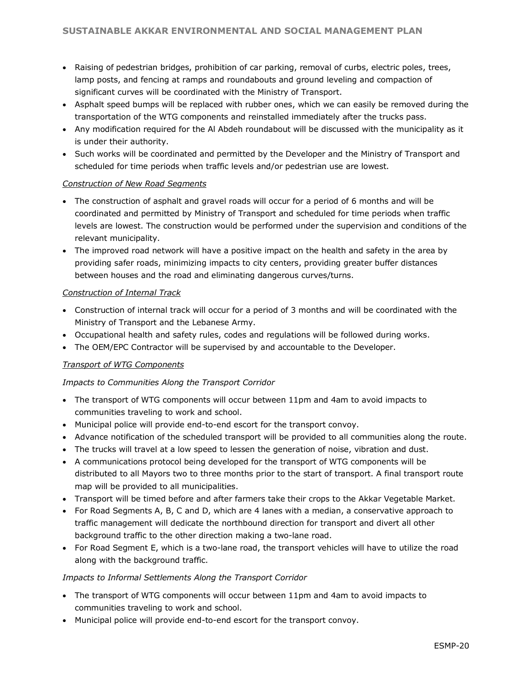- Raising of pedestrian bridges, prohibition of car parking, removal of curbs, electric poles, trees, lamp posts, and fencing at ramps and roundabouts and ground leveling and compaction of significant curves will be coordinated with the Ministry of Transport.
- Asphalt speed bumps will be replaced with rubber ones, which we can easily be removed during the transportation of the WTG components and reinstalled immediately after the trucks pass.
- Any modification required for the Al Abdeh roundabout will be discussed with the municipality as it is under their authority.
- Such works will be coordinated and permitted by the Developer and the Ministry of Transport and scheduled for time periods when traffic levels and/or pedestrian use are lowest.

#### *Construction of New Road Segments*

- The construction of asphalt and gravel roads will occur for a period of 6 months and will be coordinated and permitted by Ministry of Transport and scheduled for time periods when traffic levels are lowest. The construction would be performed under the supervision and conditions of the relevant municipality.
- The improved road network will have a positive impact on the health and safety in the area by providing safer roads, minimizing impacts to city centers, providing greater buffer distances between houses and the road and eliminating dangerous curves/turns.

#### *Construction of Internal Track*

- Construction of internal track will occur for a period of 3 months and will be coordinated with the Ministry of Transport and the Lebanese Army.
- Occupational health and safety rules, codes and regulations will be followed during works.
- The OEM/EPC Contractor will be supervised by and accountable to the Developer.

#### *Transport of WTG Components*

#### *Impacts to Communities Along the Transport Corridor*

- The transport of WTG components will occur between 11pm and 4am to avoid impacts to communities traveling to work and school.
- Municipal police will provide end-to-end escort for the transport convoy.
- Advance notification of the scheduled transport will be provided to all communities along the route.
- The trucks will travel at a low speed to lessen the generation of noise, vibration and dust.
- A communications protocol being developed for the transport of WTG components will be distributed to all Mayors two to three months prior to the start of transport. A final transport route map will be provided to all municipalities.
- Transport will be timed before and after farmers take their crops to the Akkar Vegetable Market.
- For Road Segments A, B, C and D, which are 4 lanes with a median, a conservative approach to traffic management will dedicate the northbound direction for transport and divert all other background traffic to the other direction making a two-lane road.
- For Road Segment E, which is a two-lane road, the transport vehicles will have to utilize the road along with the background traffic.

#### *Impacts to Informal Settlements Along the Transport Corridor*

- The transport of WTG components will occur between 11pm and 4am to avoid impacts to communities traveling to work and school.
- Municipal police will provide end-to-end escort for the transport convoy.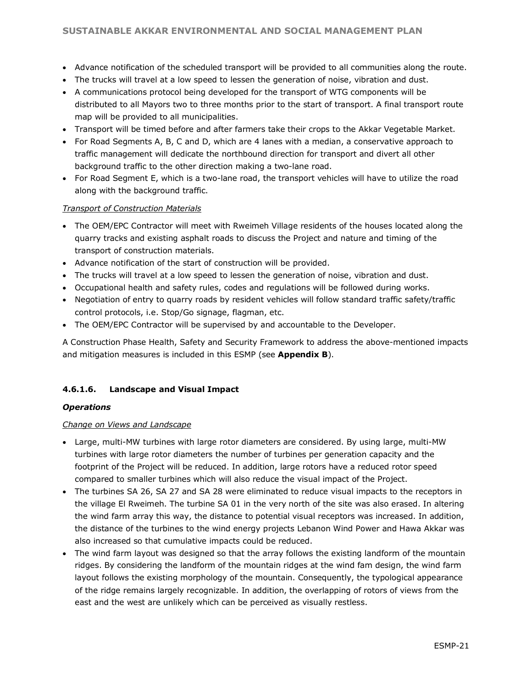- Advance notification of the scheduled transport will be provided to all communities along the route.
- The trucks will travel at a low speed to lessen the generation of noise, vibration and dust.
- A communications protocol being developed for the transport of WTG components will be distributed to all Mayors two to three months prior to the start of transport. A final transport route map will be provided to all municipalities.
- Transport will be timed before and after farmers take their crops to the Akkar Vegetable Market.
- For Road Segments A, B, C and D, which are 4 lanes with a median, a conservative approach to traffic management will dedicate the northbound direction for transport and divert all other background traffic to the other direction making a two-lane road.
- For Road Segment E, which is a two-lane road, the transport vehicles will have to utilize the road along with the background traffic.

#### *Transport of Construction Materials*

- The OEM/EPC Contractor will meet with Rweimeh Village residents of the houses located along the quarry tracks and existing asphalt roads to discuss the Project and nature and timing of the transport of construction materials.
- Advance notification of the start of construction will be provided.
- The trucks will travel at a low speed to lessen the generation of noise, vibration and dust.
- Occupational health and safety rules, codes and regulations will be followed during works.
- Negotiation of entry to quarry roads by resident vehicles will follow standard traffic safety/traffic control protocols, i.e. Stop/Go signage, flagman, etc.
- The OEM/EPC Contractor will be supervised by and accountable to the Developer.

A Construction Phase Health, Safety and Security Framework to address the above-mentioned impacts and mitigation measures is included in this ESMP (see **Appendix B**).

#### **4.6.1.6. Landscape and Visual Impact**

#### *Operations*

#### *Change on Views and Landscape*

- Large, multi-MW turbines with large rotor diameters are considered. By using large, multi-MW turbines with large rotor diameters the number of turbines per generation capacity and the footprint of the Project will be reduced. In addition, large rotors have a reduced rotor speed compared to smaller turbines which will also reduce the visual impact of the Project.
- The turbines SA 26, SA 27 and SA 28 were eliminated to reduce visual impacts to the receptors in the village El Rweimeh. The turbine SA 01 in the very north of the site was also erased. In altering the wind farm array this way, the distance to potential visual receptors was increased. In addition, the distance of the turbines to the wind energy projects Lebanon Wind Power and Hawa Akkar was also increased so that cumulative impacts could be reduced.
- The wind farm layout was designed so that the array follows the existing landform of the mountain ridges. By considering the landform of the mountain ridges at the wind fam design, the wind farm layout follows the existing morphology of the mountain. Consequently, the typological appearance of the ridge remains largely recognizable. In addition, the overlapping of rotors of views from the east and the west are unlikely which can be perceived as visually restless.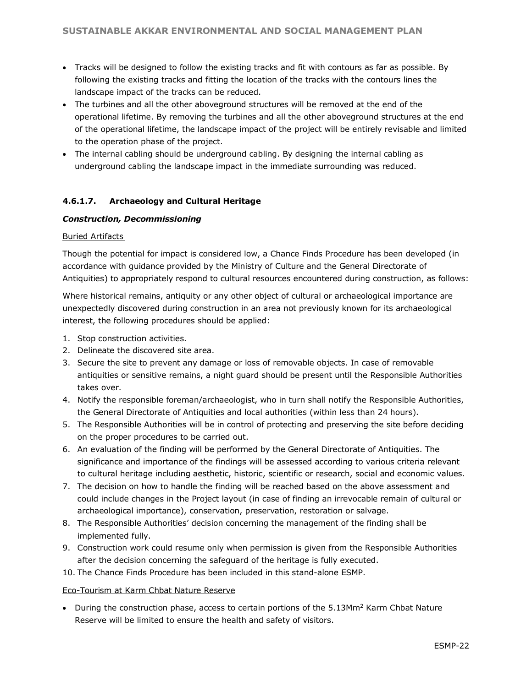- Tracks will be designed to follow the existing tracks and fit with contours as far as possible. By following the existing tracks and fitting the location of the tracks with the contours lines the landscape impact of the tracks can be reduced.
- The turbines and all the other aboveground structures will be removed at the end of the operational lifetime. By removing the turbines and all the other aboveground structures at the end of the operational lifetime, the landscape impact of the project will be entirely revisable and limited to the operation phase of the project.
- The internal cabling should be underground cabling. By designing the internal cabling as underground cabling the landscape impact in the immediate surrounding was reduced.

#### **4.6.1.7. Archaeology and Cultural Heritage**

#### *Construction, Decommissioning*

#### Buried Artifacts

Though the potential for impact is considered low, a Chance Finds Procedure has been developed (in accordance with guidance provided by the Ministry of Culture and the General Directorate of Antiquities) to appropriately respond to cultural resources encountered during construction, as follows:

Where historical remains, antiquity or any other object of cultural or archaeological importance are unexpectedly discovered during construction in an area not previously known for its archaeological interest, the following procedures should be applied:

- 1. Stop construction activities.
- 2. Delineate the discovered site area.
- 3. Secure the site to prevent any damage or loss of removable objects. In case of removable antiquities or sensitive remains, a night guard should be present until the Responsible Authorities takes over.
- 4. Notify the responsible foreman/archaeologist, who in turn shall notify the Responsible Authorities, the General Directorate of Antiquities and local authorities (within less than 24 hours).
- 5. The Responsible Authorities will be in control of protecting and preserving the site before deciding on the proper procedures to be carried out.
- 6. An evaluation of the finding will be performed by the General Directorate of Antiquities. The significance and importance of the findings will be assessed according to various criteria relevant to cultural heritage including aesthetic, historic, scientific or research, social and economic values.
- 7. The decision on how to handle the finding will be reached based on the above assessment and could include changes in the Project layout (in case of finding an irrevocable remain of cultural or archaeological importance), conservation, preservation, restoration or salvage.
- 8. The Responsible Authorities' decision concerning the management of the finding shall be implemented fully.
- 9. Construction work could resume only when permission is given from the Responsible Authorities after the decision concerning the safeguard of the heritage is fully executed.
- 10. The Chance Finds Procedure has been included in this stand-alone ESMP.

#### Eco-Tourism at Karm Chbat Nature Reserve

• During the construction phase, access to certain portions of the 5.13Mm<sup>2</sup> Karm Chbat Nature Reserve will be limited to ensure the health and safety of visitors.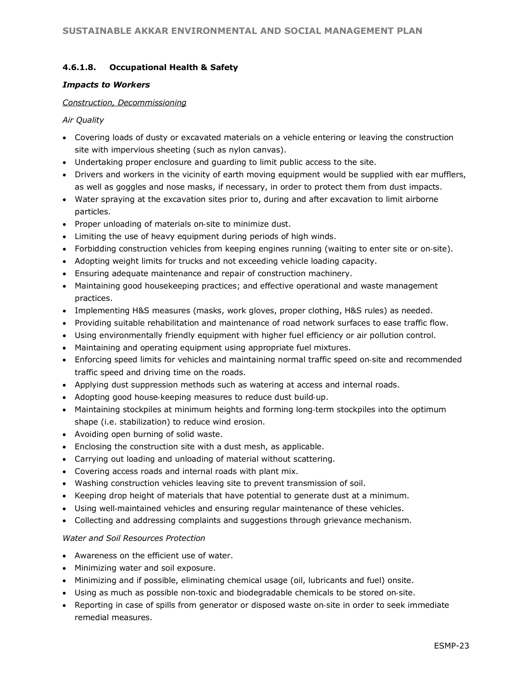#### **4.6.1.8. Occupational Health & Safety**

#### *Impacts to Workers*

#### *Construction, Decommissioning*

#### *Air Quality*

- Covering loads of dusty or excavated materials on a vehicle entering or leaving the construction site with impervious sheeting (such as nylon canvas).
- Undertaking proper enclosure and guarding to limit public access to the site.
- Drivers and workers in the vicinity of earth moving equipment would be supplied with ear mufflers, as well as goggles and nose masks, if necessary, in order to protect them from dust impacts.
- Water spraying at the excavation sites prior to, during and after excavation to limit airborne particles.
- Proper unloading of materials on‐site to minimize dust.
- Limiting the use of heavy equipment during periods of high winds.
- Forbidding construction vehicles from keeping engines running (waiting to enter site or on-site).
- Adopting weight limits for trucks and not exceeding vehicle loading capacity.
- Ensuring adequate maintenance and repair of construction machinery.
- Maintaining good housekeeping practices; and effective operational and waste management practices.
- Implementing H&S measures (masks, work gloves, proper clothing, H&S rules) as needed.
- Providing suitable rehabilitation and maintenance of road network surfaces to ease traffic flow.
- Using environmentally friendly equipment with higher fuel efficiency or air pollution control.
- Maintaining and operating equipment using appropriate fuel mixtures.
- Enforcing speed limits for vehicles and maintaining normal traffic speed on‐site and recommended traffic speed and driving time on the roads.
- Applying dust suppression methods such as watering at access and internal roads.
- Adopting good house-keeping measures to reduce dust build-up.
- Maintaining stockpiles at minimum heights and forming long-term stockpiles into the optimum shape (i.e. stabilization) to reduce wind erosion.
- Avoiding open burning of solid waste.
- Enclosing the construction site with a dust mesh, as applicable.
- Carrying out loading and unloading of material without scattering.
- Covering access roads and internal roads with plant mix.
- Washing construction vehicles leaving site to prevent transmission of soil.
- Keeping drop height of materials that have potential to generate dust at a minimum.
- Using well-maintained vehicles and ensuring regular maintenance of these vehicles.
- Collecting and addressing complaints and suggestions through grievance mechanism.

#### *Water and Soil Resources Protection*

- Awareness on the efficient use of water.
- Minimizing water and soil exposure.
- Minimizing and if possible, eliminating chemical usage (oil, lubricants and fuel) onsite.
- Using as much as possible non‐toxic and biodegradable chemicals to be stored on‐site.
- Reporting in case of spills from generator or disposed waste on‐site in order to seek immediate remedial measures.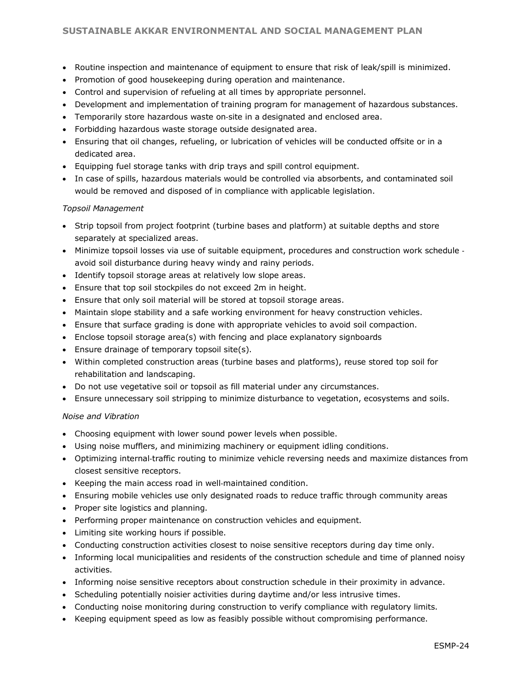- Routine inspection and maintenance of equipment to ensure that risk of leak/spill is minimized.
- Promotion of good housekeeping during operation and maintenance.
- Control and supervision of refueling at all times by appropriate personnel.
- Development and implementation of training program for management of hazardous substances.
- Temporarily store hazardous waste on-site in a designated and enclosed area.
- Forbidding hazardous waste storage outside designated area.
- Ensuring that oil changes, refueling, or lubrication of vehicles will be conducted offsite or in a dedicated area.
- Equipping fuel storage tanks with drip trays and spill control equipment.
- In case of spills, hazardous materials would be controlled via absorbents, and contaminated soil would be removed and disposed of in compliance with applicable legislation.

#### *Topsoil Management*

- Strip topsoil from project footprint (turbine bases and platform) at suitable depths and store separately at specialized areas.
- Minimize topsoil losses via use of suitable equipment, procedures and construction work schedule ‐ avoid soil disturbance during heavy windy and rainy periods.
- Identify topsoil storage areas at relatively low slope areas.
- Ensure that top soil stockpiles do not exceed 2m in height.
- Ensure that only soil material will be stored at topsoil storage areas.
- Maintain slope stability and a safe working environment for heavy construction vehicles.
- Ensure that surface grading is done with appropriate vehicles to avoid soil compaction.
- Enclose topsoil storage area(s) with fencing and place explanatory signboards
- Ensure drainage of temporary topsoil site(s).
- Within completed construction areas (turbine bases and platforms), reuse stored top soil for rehabilitation and landscaping.
- Do not use vegetative soil or topsoil as fill material under any circumstances.
- Ensure unnecessary soil stripping to minimize disturbance to vegetation, ecosystems and soils.

#### *Noise and Vibration*

- Choosing equipment with lower sound power levels when possible.
- Using noise mufflers, and minimizing machinery or equipment idling conditions.
- Optimizing internal‐traffic routing to minimize vehicle reversing needs and maximize distances from closest sensitive receptors.
- Keeping the main access road in well‐maintained condition.
- Ensuring mobile vehicles use only designated roads to reduce traffic through community areas
- Proper site logistics and planning.
- Performing proper maintenance on construction vehicles and equipment.
- Limiting site working hours if possible.
- Conducting construction activities closest to noise sensitive receptors during day time only.
- Informing local municipalities and residents of the construction schedule and time of planned noisy activities.
- Informing noise sensitive receptors about construction schedule in their proximity in advance.
- Scheduling potentially noisier activities during daytime and/or less intrusive times.
- Conducting noise monitoring during construction to verify compliance with regulatory limits.
- Keeping equipment speed as low as feasibly possible without compromising performance.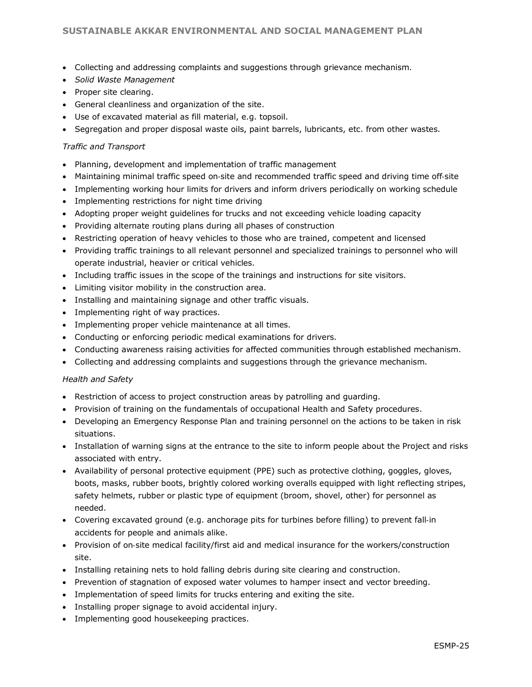- Collecting and addressing complaints and suggestions through grievance mechanism.
- *Solid Waste Management*
- Proper site clearing.
- General cleanliness and organization of the site.
- Use of excavated material as fill material, e.g. topsoil.
- Segregation and proper disposal waste oils, paint barrels, lubricants, etc. from other wastes.

#### *Traffic and Transport*

- Planning, development and implementation of traffic management
- Maintaining minimal traffic speed on-site and recommended traffic speed and driving time off-site
- Implementing working hour limits for drivers and inform drivers periodically on working schedule
- Implementing restrictions for night time driving
- Adopting proper weight guidelines for trucks and not exceeding vehicle loading capacity
- Providing alternate routing plans during all phases of construction
- Restricting operation of heavy vehicles to those who are trained, competent and licensed
- Providing traffic trainings to all relevant personnel and specialized trainings to personnel who will operate industrial, heavier or critical vehicles.
- Including traffic issues in the scope of the trainings and instructions for site visitors.
- Limiting visitor mobility in the construction area.
- Installing and maintaining signage and other traffic visuals.
- Implementing right of way practices.
- Implementing proper vehicle maintenance at all times.
- Conducting or enforcing periodic medical examinations for drivers.
- Conducting awareness raising activities for affected communities through established mechanism.
- Collecting and addressing complaints and suggestions through the grievance mechanism.

#### *Health and Safety*

- Restriction of access to project construction areas by patrolling and guarding.
- Provision of training on the fundamentals of occupational Health and Safety procedures.
- Developing an Emergency Response Plan and training personnel on the actions to be taken in risk situations.
- Installation of warning signs at the entrance to the site to inform people about the Project and risks associated with entry.
- Availability of personal protective equipment (PPE) such as protective clothing, goggles, gloves, boots, masks, rubber boots, brightly colored working overalls equipped with light reflecting stripes, safety helmets, rubber or plastic type of equipment (broom, shovel, other) for personnel as needed.
- Covering excavated ground (e.g. anchorage pits for turbines before filling) to prevent fall‐in accidents for people and animals alike.
- Provision of on‐site medical facility/first aid and medical insurance for the workers/construction site.
- Installing retaining nets to hold falling debris during site clearing and construction.
- Prevention of stagnation of exposed water volumes to hamper insect and vector breeding.
- Implementation of speed limits for trucks entering and exiting the site.
- Installing proper signage to avoid accidental injury.
- Implementing good housekeeping practices.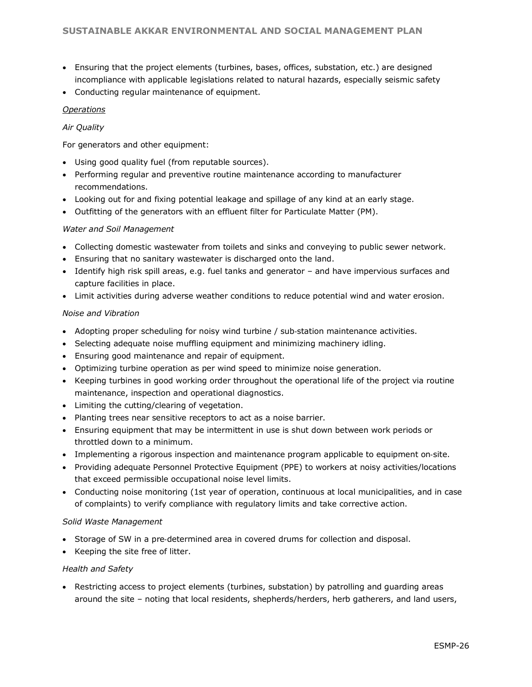- Ensuring that the project elements (turbines, bases, offices, substation, etc.) are designed incompliance with applicable legislations related to natural hazards, especially seismic safety
- Conducting regular maintenance of equipment.

#### *Operations*

#### *Air Quality*

For generators and other equipment:

- Using good quality fuel (from reputable sources).
- Performing regular and preventive routine maintenance according to manufacturer recommendations.
- Looking out for and fixing potential leakage and spillage of any kind at an early stage.
- Outfitting of the generators with an effluent filter for Particulate Matter (PM).

#### *Water and Soil Management*

- Collecting domestic wastewater from toilets and sinks and conveying to public sewer network.
- Ensuring that no sanitary wastewater is discharged onto the land.
- Identify high risk spill areas, e.g. fuel tanks and generator and have impervious surfaces and capture facilities in place.
- Limit activities during adverse weather conditions to reduce potential wind and water erosion.

#### *Noise and Vibration*

- Adopting proper scheduling for noisy wind turbine / sub-station maintenance activities.
- Selecting adequate noise muffling equipment and minimizing machinery idling.
- Ensuring good maintenance and repair of equipment.
- Optimizing turbine operation as per wind speed to minimize noise generation.
- Keeping turbines in good working order throughout the operational life of the project via routine maintenance, inspection and operational diagnostics.
- Limiting the cutting/clearing of vegetation.
- Planting trees near sensitive receptors to act as a noise barrier.
- Ensuring equipment that may be intermittent in use is shut down between work periods or throttled down to a minimum.
- Implementing a rigorous inspection and maintenance program applicable to equipment on-site.
- Providing adequate Personnel Protective Equipment (PPE) to workers at noisy activities/locations that exceed permissible occupational noise level limits.
- Conducting noise monitoring (1st year of operation, continuous at local municipalities, and in case of complaints) to verify compliance with regulatory limits and take corrective action.

#### *Solid Waste Management*

- Storage of SW in a pre-determined area in covered drums for collection and disposal.
- Keeping the site free of litter.

#### *Health and Safety*

• Restricting access to project elements (turbines, substation) by patrolling and guarding areas around the site – noting that local residents, shepherds/herders, herb gatherers, and land users,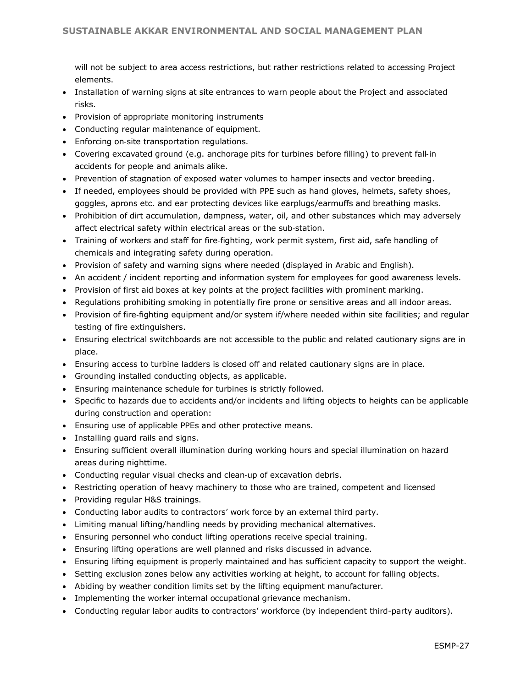will not be subject to area access restrictions, but rather restrictions related to accessing Project elements.

- Installation of warning signs at site entrances to warn people about the Project and associated risks.
- Provision of appropriate monitoring instruments
- Conducting regular maintenance of equipment.
- Enforcing on‐site transportation regulations.
- Covering excavated ground (e.g. anchorage pits for turbines before filling) to prevent fall‐in accidents for people and animals alike.
- Prevention of stagnation of exposed water volumes to hamper insects and vector breeding.
- If needed, employees should be provided with PPE such as hand gloves, helmets, safety shoes, goggles, aprons etc. and ear protecting devices like earplugs/earmuffs and breathing masks.
- Prohibition of dirt accumulation, dampness, water, oil, and other substances which may adversely affect electrical safety within electrical areas or the sub‐station.
- Training of workers and staff for fire-fighting, work permit system, first aid, safe handling of chemicals and integrating safety during operation.
- Provision of safety and warning signs where needed (displayed in Arabic and English).
- An accident / incident reporting and information system for employees for good awareness levels.
- Provision of first aid boxes at key points at the project facilities with prominent marking.
- Regulations prohibiting smoking in potentially fire prone or sensitive areas and all indoor areas.
- Provision of fire-fighting equipment and/or system if/where needed within site facilities; and regular testing of fire extinguishers.
- Ensuring electrical switchboards are not accessible to the public and related cautionary signs are in place.
- Ensuring access to turbine ladders is closed off and related cautionary signs are in place.
- Grounding installed conducting objects, as applicable.
- Ensuring maintenance schedule for turbines is strictly followed.
- Specific to hazards due to accidents and/or incidents and lifting objects to heights can be applicable during construction and operation:
- Ensuring use of applicable PPEs and other protective means.
- Installing guard rails and signs.
- Ensuring sufficient overall illumination during working hours and special illumination on hazard areas during nighttime.
- Conducting regular visual checks and clean‐up of excavation debris.
- Restricting operation of heavy machinery to those who are trained, competent and licensed
- Providing regular H&S trainings.
- Conducting labor audits to contractors' work force by an external third party.
- Limiting manual lifting/handling needs by providing mechanical alternatives.
- Ensuring personnel who conduct lifting operations receive special training.
- Ensuring lifting operations are well planned and risks discussed in advance.
- Ensuring lifting equipment is properly maintained and has sufficient capacity to support the weight.
- Setting exclusion zones below any activities working at height, to account for falling objects.
- Abiding by weather condition limits set by the lifting equipment manufacturer.
- Implementing the worker internal occupational grievance mechanism.
- Conducting regular labor audits to contractors' workforce (by independent third-party auditors).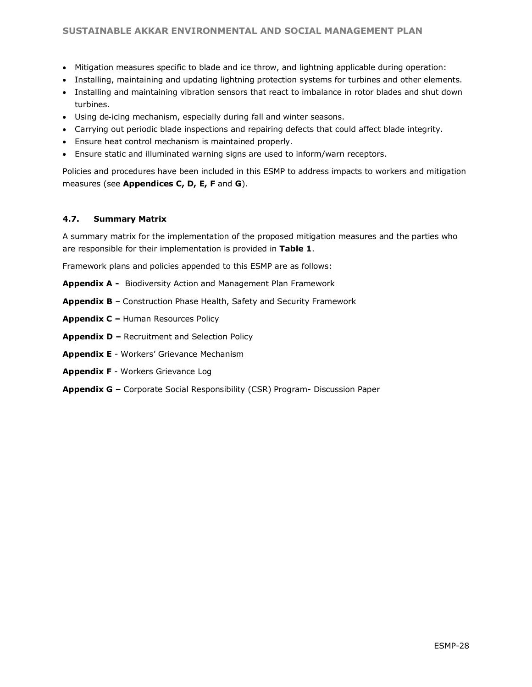- Mitigation measures specific to blade and ice throw, and lightning applicable during operation:
- Installing, maintaining and updating lightning protection systems for turbines and other elements.
- Installing and maintaining vibration sensors that react to imbalance in rotor blades and shut down turbines.
- Using de‐icing mechanism, especially during fall and winter seasons.
- Carrying out periodic blade inspections and repairing defects that could affect blade integrity.
- Ensure heat control mechanism is maintained properly.
- Ensure static and illuminated warning signs are used to inform/warn receptors.

Policies and procedures have been included in this ESMP to address impacts to workers and mitigation measures (see **Appendices C, D, E, F** and **G**).

#### **4.7. Summary Matrix**

A summary matrix for the implementation of the proposed mitigation measures and the parties who are responsible for their implementation is provided in **Table 1**.

Framework plans and policies appended to this ESMP are as follows:

- **Appendix A -** Biodiversity Action and Management Plan Framework
- **Appendix B** Construction Phase Health, Safety and Security Framework
- **Appendix C –** Human Resources Policy
- **Appendix D –** Recruitment and Selection Policy
- **Appendix E** Workers' Grievance Mechanism
- **Appendix F** Workers Grievance Log
- **Appendix G –** Corporate Social Responsibility (CSR) Program- Discussion Paper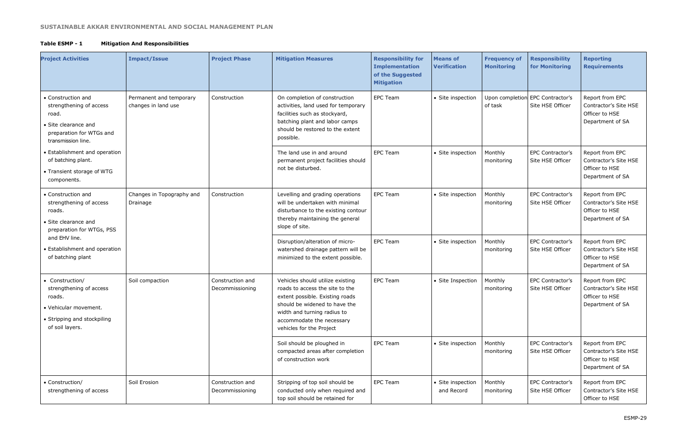## **Table ESMP - 1 Mitigation And Responsibilities**

| <b>Project Activities</b>                                                                                                        | <b>Impact/Issue</b>                            | <b>Project Phase</b>                | <b>Mitigation Measures</b>                                                                                                                                                                                                      | <b>Responsibility for</b><br><b>Implementation</b><br>of the Suggested<br><b>Mitigation</b> | <b>Means of</b><br>Verification | <b>Frequency of</b><br><b>Monitoring</b> | <b>Responsibility</b><br>for Monitoring              | <b>Reporting</b><br><b>Requirements</b>                                        |
|----------------------------------------------------------------------------------------------------------------------------------|------------------------------------------------|-------------------------------------|---------------------------------------------------------------------------------------------------------------------------------------------------------------------------------------------------------------------------------|---------------------------------------------------------------------------------------------|---------------------------------|------------------------------------------|------------------------------------------------------|--------------------------------------------------------------------------------|
| • Construction and<br>strengthening of access<br>road.<br>• Site clearance and<br>preparation for WTGs and<br>transmission line. | Permanent and temporary<br>changes in land use | Construction                        | On completion of construction<br>activities, land used for temporary<br>facilities such as stockyard,<br>batching plant and labor camps<br>should be restored to the extent<br>possible.                                        | <b>EPC Team</b>                                                                             | • Site inspection               | of task                                  | Upon completion EPC Contractor's<br>Site HSE Officer | Report from EPC<br>Contractor's Site HSE<br>Officer to HSE<br>Department of SA |
| • Establishment and operation<br>of batching plant.<br>• Transient storage of WTG<br>components.                                 |                                                |                                     | The land use in and around<br>permanent project facilities should<br>not be disturbed.                                                                                                                                          | <b>EPC Team</b>                                                                             | • Site inspection               | Monthly<br>monitoring                    | EPC Contractor's<br>Site HSE Officer                 | Report from EPC<br>Contractor's Site HSE<br>Officer to HSE<br>Department of SA |
| • Construction and<br>strengthening of access<br>roads.<br>• Site clearance and<br>preparation for WTGs, PSS                     | Changes in Topography and<br>Drainage          | Construction                        | Levelling and grading operations<br>will be undertaken with minimal<br>disturbance to the existing contour<br>thereby maintaining the general<br>slope of site.                                                                 | <b>EPC Team</b>                                                                             | • Site inspection               | Monthly<br>monitoring                    | <b>EPC Contractor's</b><br>Site HSE Officer          | Report from EPC<br>Contractor's Site HSE<br>Officer to HSE<br>Department of SA |
| and EHV line.<br>• Establishment and operation<br>of batching plant                                                              |                                                |                                     | Disruption/alteration of micro-<br>watershed drainage pattern will be<br>minimized to the extent possible.                                                                                                                      | <b>EPC Team</b>                                                                             | • Site inspection               | Monthly<br>monitoring                    | EPC Contractor's<br>Site HSE Officer                 | Report from EPC<br>Contractor's Site HSE<br>Officer to HSE<br>Department of SA |
| • Construction/<br>strengthening of access<br>roads.<br>• Vehicular movement.<br>• Stripping and stockpiling<br>of soil layers.  | Soil compaction                                | Construction and<br>Decommissioning | Vehicles should utilize existing<br>roads to access the site to the<br>extent possible. Existing roads<br>should be widened to have the<br>width and turning radius to<br>accommodate the necessary<br>vehicles for the Project | <b>EPC Team</b>                                                                             | • Site Inspection               | Monthly<br>monitoring                    | EPC Contractor's<br>Site HSE Officer                 | Report from EPC<br>Contractor's Site HSE<br>Officer to HSE<br>Department of SA |
|                                                                                                                                  |                                                |                                     | Soil should be ploughed in<br>compacted areas after completion<br>of construction work                                                                                                                                          | <b>EPC Team</b>                                                                             | • Site inspection               | Monthly<br>monitoring                    | EPC Contractor's<br>Site HSE Officer                 | Report from EPC<br>Contractor's Site HSE<br>Officer to HSE<br>Department of SA |
| • Construction/<br>strengthening of access                                                                                       | Soil Erosion                                   | Construction and<br>Decommissioning | Stripping of top soil should be<br>conducted only when required and<br>top soil should be retained for                                                                                                                          | EPC Team                                                                                    | • Site inspection<br>and Record | Monthly<br>monitoring                    | EPC Contractor's<br>Site HSE Officer                 | Report from EPC<br>Contractor's Site HSE<br>Officer to HSE                     |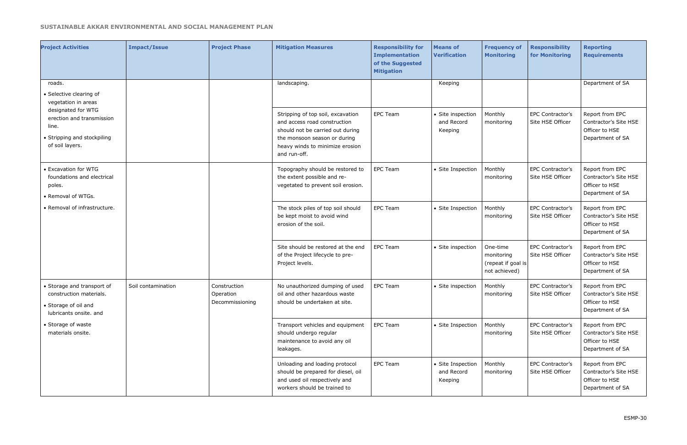| <b>Project Activities</b>                                                                                  | <b>Impact/Issue</b> | <b>Project Phase</b>                         | <b>Mitigation Measures</b>                                                                                                                                                               | <b>Responsibility for</b><br><b>Implementation</b><br>of the Suggested<br><b>Mitigation</b> | <b>Means of</b><br><b>Verification</b>     | <b>Frequency of</b><br>Monitoring                             | <b>Responsibility</b><br>for Monitoring     | <b>Reporting</b><br><b>Requirements</b>                                        |
|------------------------------------------------------------------------------------------------------------|---------------------|----------------------------------------------|------------------------------------------------------------------------------------------------------------------------------------------------------------------------------------------|---------------------------------------------------------------------------------------------|--------------------------------------------|---------------------------------------------------------------|---------------------------------------------|--------------------------------------------------------------------------------|
| roads.<br>• Selective clearing of<br>vegetation in areas                                                   |                     |                                              | landscaping.                                                                                                                                                                             |                                                                                             | Keeping                                    |                                                               |                                             | Department of SA                                                               |
| designated for WTG<br>erection and transmission<br>line.<br>• Stripping and stockpiling<br>of soil layers. |                     |                                              | Stripping of top soil, excavation<br>and access road construction<br>should not be carried out during<br>the monsoon season or during<br>heavy winds to minimize erosion<br>and run-off. | <b>EPC Team</b>                                                                             | • Site inspection<br>and Record<br>Keeping | Monthly<br>monitoring                                         | EPC Contractor's<br>Site HSE Officer        | Report from EPC<br>Contractor's Site HSE<br>Officer to HSE<br>Department of SA |
| • Excavation for WTG<br>foundations and electrical<br>poles.<br>• Removal of WTGs.                         |                     |                                              | Topography should be restored to<br>the extent possible and re-<br>vegetated to prevent soil erosion.                                                                                    | <b>EPC Team</b>                                                                             | • Site Inspection                          | Monthly<br>monitoring                                         | EPC Contractor's<br>Site HSE Officer        | Report from EPC<br>Contractor's Site HSE<br>Officer to HSE<br>Department of SA |
| • Removal of infrastructure.                                                                               |                     |                                              | The stock piles of top soil should<br>be kept moist to avoid wind<br>erosion of the soil.                                                                                                | <b>EPC Team</b>                                                                             | • Site Inspection                          | Monthly<br>monitoring                                         | <b>EPC Contractor's</b><br>Site HSE Officer | Report from EPC<br>Contractor's Site HSE<br>Officer to HSE<br>Department of SA |
|                                                                                                            |                     |                                              | Site should be restored at the end<br>of the Project lifecycle to pre-<br>Project levels.                                                                                                | <b>EPC Team</b>                                                                             | • Site inspection                          | One-time<br>monitoring<br>(repeat if goal is<br>not achieved) | EPC Contractor's<br>Site HSE Officer        | Report from EPC<br>Contractor's Site HSE<br>Officer to HSE<br>Department of SA |
| • Storage and transport of<br>construction materials.<br>• Storage of oil and<br>lubricants onsite. and    | Soil contamination  | Construction<br>Operation<br>Decommissioning | No unauthorized dumping of used<br>oil and other hazardous waste<br>should be undertaken at site.                                                                                        | <b>EPC Team</b>                                                                             | • Site inspection                          | Monthly<br>monitoring                                         | EPC Contractor's<br>Site HSE Officer        | Report from EPC<br>Contractor's Site HSE<br>Officer to HSE<br>Department of SA |
| • Storage of waste<br>materials onsite.                                                                    |                     |                                              | Transport vehicles and equipment<br>should undergo regular<br>maintenance to avoid any oil<br>leakages.                                                                                  | EPC Team                                                                                    | • Site Inspection                          | Monthly<br>monitoring                                         | EPC Contractor's<br>Site HSE Officer        | Report from EPC<br>Contractor's Site HSE<br>Officer to HSE<br>Department of SA |
|                                                                                                            |                     |                                              | Unloading and loading protocol<br>should be prepared for diesel, oil<br>and used oil respectively and<br>workers should be trained to                                                    | EPC Team                                                                                    | • Site Inspection<br>and Record<br>Keeping | Monthly<br>monitoring                                         | EPC Contractor's<br>Site HSE Officer        | Report from EPC<br>Contractor's Site HSE<br>Officer to HSE<br>Department of SA |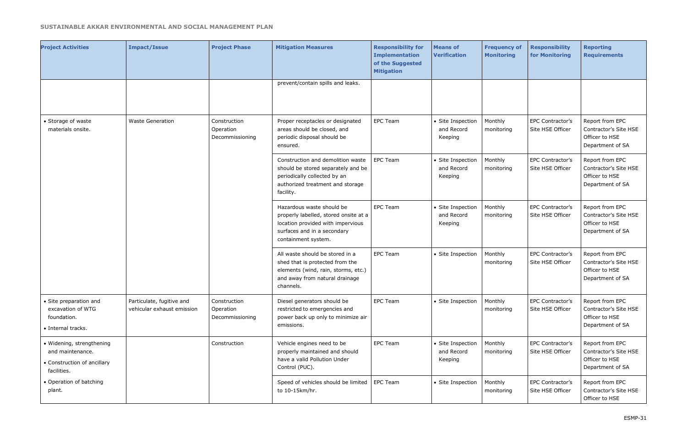| <b>Project Activities</b>                                                                   | <b>Impact/Issue</b>                                     | <b>Project Phase</b>                         | <b>Mitigation Measures</b>                                                                                                                                    | <b>Responsibility for</b><br><b>Implementation</b><br>of the Suggested<br><b>Mitigation</b> | <b>Means of</b><br><b>Verification</b>     | <b>Frequency of</b><br><b>Monitoring</b> | <b>Responsibility</b><br>for Monitoring | <b>Reporting</b><br><b>Requirements</b>                                        |
|---------------------------------------------------------------------------------------------|---------------------------------------------------------|----------------------------------------------|---------------------------------------------------------------------------------------------------------------------------------------------------------------|---------------------------------------------------------------------------------------------|--------------------------------------------|------------------------------------------|-----------------------------------------|--------------------------------------------------------------------------------|
|                                                                                             |                                                         |                                              | prevent/contain spills and leaks.                                                                                                                             |                                                                                             |                                            |                                          |                                         |                                                                                |
| • Storage of waste<br>materials onsite.                                                     | <b>Waste Generation</b>                                 | Construction<br>Operation<br>Decommissioning | Proper receptacles or designated<br>areas should be closed, and<br>periodic disposal should be<br>ensured.                                                    | <b>EPC Team</b>                                                                             | • Site Inspection<br>and Record<br>Keeping | Monthly<br>monitoring                    | EPC Contractor's<br>Site HSE Officer    | Report from EPC<br>Contractor's Site HSE<br>Officer to HSE<br>Department of SA |
|                                                                                             |                                                         |                                              | Construction and demolition waste<br>should be stored separately and be<br>periodically collected by an<br>authorized treatment and storage<br>facility.      | <b>EPC Team</b>                                                                             | • Site Inspection<br>and Record<br>Keeping | Monthly<br>monitoring                    | EPC Contractor's<br>Site HSE Officer    | Report from EPC<br>Contractor's Site HSE<br>Officer to HSE<br>Department of SA |
|                                                                                             |                                                         |                                              | Hazardous waste should be<br>properly labelled, stored onsite at a<br>location provided with impervious<br>surfaces and in a secondary<br>containment system. | <b>EPC Team</b>                                                                             | • Site Inspection<br>and Record<br>Keeping | Monthly<br>monitoring                    | EPC Contractor's<br>Site HSE Officer    | Report from EPC<br>Contractor's Site HSE<br>Officer to HSE<br>Department of SA |
|                                                                                             |                                                         |                                              | All waste should be stored in a<br>shed that is protected from the<br>elements (wind, rain, storms, etc.)<br>and away from natural drainage<br>channels.      | <b>EPC Team</b>                                                                             | • Site Inspection                          | Monthly<br>monitoring                    | EPC Contractor's<br>Site HSE Officer    | Report from EPC<br>Contractor's Site HSE<br>Officer to HSE<br>Department of SA |
| • Site preparation and<br>excavation of WTG<br>foundation.<br>· Internal tracks.            | Particulate, fugitive and<br>vehicular exhaust emission | Construction<br>Operation<br>Decommissioning | Diesel generators should be<br>restricted to emergencies and<br>power back up only to minimize air<br>emissions.                                              | <b>EPC Team</b>                                                                             | • Site Inspection                          | Monthly<br>monitoring                    | EPC Contractor's<br>Site HSE Officer    | Report from EPC<br>Contractor's Site HSE<br>Officer to HSE<br>Department of SA |
| · Widening, strengthening<br>and maintenance.<br>• Construction of ancillary<br>facilities. |                                                         | Construction                                 | Vehicle engines need to be<br>properly maintained and should<br>have a valid Pollution Under<br>Control (PUC).                                                | <b>EPC Team</b>                                                                             | • Site Inspection<br>and Record<br>Keeping | Monthly<br>monitoring                    | EPC Contractor's<br>Site HSE Officer    | Report from EPC<br>Contractor's Site HSE<br>Officer to HSE<br>Department of SA |
| • Operation of batching<br>plant.                                                           |                                                         |                                              | Speed of vehicles should be limited<br>to 10-15km/hr.                                                                                                         | EPC Team                                                                                    | • Site Inspection                          | Monthly<br>monitoring                    | EPC Contractor's<br>Site HSE Officer    | Report from EPC<br>Contractor's Site HSE<br>Officer to HSE                     |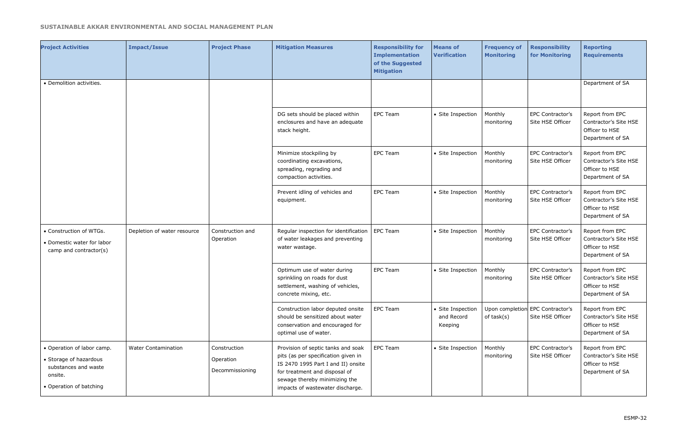| <b>Project Activities</b>                                                                                          | <b>Impact/Issue</b>         | <b>Project Phase</b>                         | <b>Mitigation Measures</b>                                                                                                                                                                                            | <b>Responsibility for</b><br><b>Implementation</b><br>of the Suggested<br><b>Mitigation</b> | <b>Means of</b><br><b>Verification</b>     | <b>Frequency of</b><br><b>Monitoring</b> | <b>Responsibility</b><br>for Monitoring              | <b>Reporting</b><br><b>Requirements</b>                                        |
|--------------------------------------------------------------------------------------------------------------------|-----------------------------|----------------------------------------------|-----------------------------------------------------------------------------------------------------------------------------------------------------------------------------------------------------------------------|---------------------------------------------------------------------------------------------|--------------------------------------------|------------------------------------------|------------------------------------------------------|--------------------------------------------------------------------------------|
| • Demolition activities.                                                                                           |                             |                                              |                                                                                                                                                                                                                       |                                                                                             |                                            |                                          |                                                      | Department of SA                                                               |
|                                                                                                                    |                             |                                              | DG sets should be placed within<br>enclosures and have an adequate<br>stack height.                                                                                                                                   | <b>EPC Team</b>                                                                             | • Site Inspection                          | Monthly<br>monitoring                    | EPC Contractor's<br>Site HSE Officer                 | Report from EPC<br>Contractor's Site HSE<br>Officer to HSE<br>Department of SA |
|                                                                                                                    |                             |                                              | Minimize stockpiling by<br>coordinating excavations,<br>spreading, regrading and<br>compaction activities.                                                                                                            | <b>EPC Team</b>                                                                             | • Site Inspection                          | Monthly<br>monitoring                    | EPC Contractor's<br>Site HSE Officer                 | Report from EPC<br>Contractor's Site HSE<br>Officer to HSE<br>Department of SA |
|                                                                                                                    |                             |                                              | Prevent idling of vehicles and<br>equipment.                                                                                                                                                                          | <b>EPC Team</b>                                                                             | • Site Inspection                          | Monthly<br>monitoring                    | EPC Contractor's<br>Site HSE Officer                 | Report from EPC<br>Contractor's Site HSE<br>Officer to HSE<br>Department of SA |
| • Construction of WTGs.<br>• Domestic water for labor<br>camp and contractor(s)                                    | Depletion of water resource | Construction and<br>Operation                | Regular inspection for identification<br>of water leakages and preventing<br>water wastage.                                                                                                                           | <b>EPC Team</b>                                                                             | • Site Inspection                          | Monthly<br>monitoring                    | EPC Contractor's<br>Site HSE Officer                 | Report from EPC<br>Contractor's Site HSE<br>Officer to HSE<br>Department of SA |
|                                                                                                                    |                             |                                              | Optimum use of water during<br>sprinkling on roads for dust<br>settlement, washing of vehicles,<br>concrete mixing, etc.                                                                                              | <b>EPC Team</b>                                                                             | • Site Inspection                          | Monthly<br>monitoring                    | EPC Contractor's<br>Site HSE Officer                 | Report from EPC<br>Contractor's Site HSE<br>Officer to HSE<br>Department of SA |
|                                                                                                                    |                             |                                              | Construction labor deputed onsite<br>should be sensitized about water<br>conservation and encouraged for<br>optimal use of water.                                                                                     | EPC Team                                                                                    | • Site Inspection<br>and Record<br>Keeping | of task(s)                               | Upon completion EPC Contractor's<br>Site HSE Officer | Report from EPC<br>Contractor's Site HSE<br>Officer to HSE<br>Department of SA |
| • Operation of labor camp.<br>• Storage of hazardous<br>substances and waste<br>onsite.<br>• Operation of batching | <b>Water Contamination</b>  | Construction<br>Operation<br>Decommissioning | Provision of septic tanks and soak<br>pits (as per specification given in<br>IS 2470 1995 Part I and II) onsite<br>for treatment and disposal of<br>sewage thereby minimizing the<br>impacts of wastewater discharge. | EPC Team                                                                                    | • Site Inspection                          | Monthly<br>monitoring                    | EPC Contractor's<br>Site HSE Officer                 | Report from EPC<br>Contractor's Site HSE<br>Officer to HSE<br>Department of SA |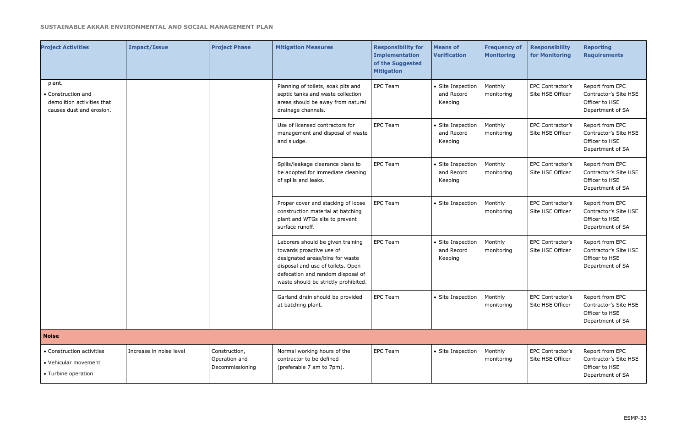| <b>Project Activities</b>                                                              | <b>Impact/Issue</b>     | <b>Project Phase</b>                              | <b>Mitigation Measures</b>                                                                                                                                                                                         | <b>Responsibility for</b><br><b>Implementation</b><br>of the Suggested<br><b>Mitigation</b> | <b>Means of</b><br><b>Verification</b>     | <b>Frequency of</b><br><b>Monitoring</b> | <b>Responsibility</b><br>for Monitoring | <b>Reporting</b><br><b>Requirements</b>                                        |
|----------------------------------------------------------------------------------------|-------------------------|---------------------------------------------------|--------------------------------------------------------------------------------------------------------------------------------------------------------------------------------------------------------------------|---------------------------------------------------------------------------------------------|--------------------------------------------|------------------------------------------|-----------------------------------------|--------------------------------------------------------------------------------|
| plant.<br>• Construction and<br>demolition activities that<br>causes dust and erosion. |                         |                                                   | Planning of toilets, soak pits and<br>septic tanks and waste collection<br>areas should be away from natural<br>drainage channels.                                                                                 | <b>EPC Team</b>                                                                             | • Site Inspection<br>and Record<br>Keeping | Monthly<br>monitoring                    | EPC Contractor's<br>Site HSE Officer    | Report from EPC<br>Contractor's Site HSE<br>Officer to HSE<br>Department of SA |
|                                                                                        |                         |                                                   | Use of licensed contractors for<br>management and disposal of waste<br>and sludge.                                                                                                                                 | <b>EPC Team</b>                                                                             | • Site Inspection<br>and Record<br>Keeping | Monthly<br>monitoring                    | EPC Contractor's<br>Site HSE Officer    | Report from EPC<br>Contractor's Site HSE<br>Officer to HSE<br>Department of SA |
|                                                                                        |                         |                                                   | Spills/leakage clearance plans to<br>be adopted for immediate cleaning<br>of spills and leaks.                                                                                                                     | <b>EPC Team</b>                                                                             | • Site Inspection<br>and Record<br>Keeping | Monthly<br>monitoring                    | EPC Contractor's<br>Site HSE Officer    | Report from EPC<br>Contractor's Site HSE<br>Officer to HSE<br>Department of SA |
|                                                                                        |                         |                                                   | Proper cover and stacking of loose<br>construction material at batching<br>plant and WTGs site to prevent<br>surface runoff.                                                                                       | <b>EPC Team</b>                                                                             | • Site Inspection                          | Monthly<br>monitoring                    | EPC Contractor's<br>Site HSE Officer    | Report from EPC<br>Contractor's Site HSE<br>Officer to HSE<br>Department of SA |
|                                                                                        |                         |                                                   | Laborers should be given training<br>towards proactive use of<br>designated areas/bins for waste<br>disposal and use of toilets. Open<br>defecation and random disposal of<br>waste should be strictly prohibited. | <b>EPC Team</b>                                                                             | • Site Inspection<br>and Record<br>Keeping | Monthly<br>monitoring                    | EPC Contractor's<br>Site HSE Officer    | Report from EPC<br>Contractor's Site HSE<br>Officer to HSE<br>Department of SA |
|                                                                                        |                         |                                                   | Garland drain should be provided<br>at batching plant.                                                                                                                                                             | EPC Team                                                                                    | • Site Inspection                          | Monthly<br>monitoring                    | EPC Contractor's<br>Site HSE Officer    | Report from EPC<br>Contractor's Site HSE<br>Officer to HSE<br>Department of SA |
| <b>Noise</b>                                                                           |                         |                                                   |                                                                                                                                                                                                                    |                                                                                             |                                            |                                          |                                         |                                                                                |
| • Construction activities<br>• Vehicular movement<br>• Turbine operation               | Increase in noise level | Construction,<br>Operation and<br>Decommissioning | Normal working hours of the<br>contractor to be defined<br>(preferable 7 am to 7pm).                                                                                                                               | <b>EPC Team</b>                                                                             | • Site Inspection                          | Monthly<br>monitoring                    | EPC Contractor's<br>Site HSE Officer    | Report from EPC<br>Contractor's Site HSE<br>Officer to HSE<br>Department of SA |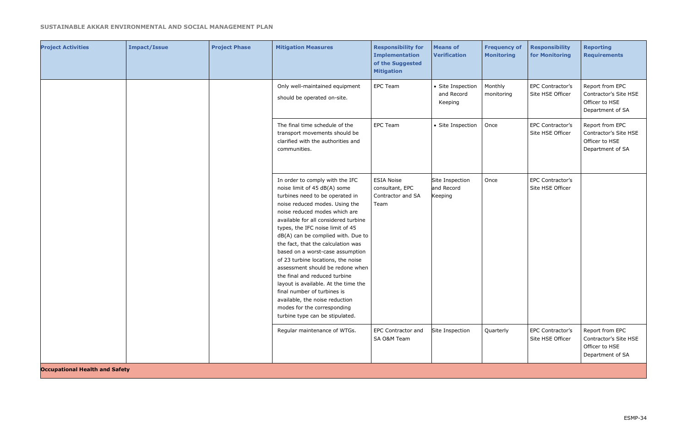| <b>Project Activities</b>             | <b>Impact/Issue</b> | <b>Project Phase</b> | <b>Mitigation Measures</b>                                                                                                                                                                                                                                                                                                                                                                                                                                                                                                                                                                                                                              | <b>Responsibility for</b><br><b>Implementation</b><br>of the Suggested<br><b>Mitigation</b> | <b>Means of</b><br><b>Verification</b>     | <b>Frequency of</b><br><b>Monitoring</b> | <b>Responsibility</b><br>for Monitoring | <b>Reporting</b><br><b>Requirements</b>                                        |
|---------------------------------------|---------------------|----------------------|---------------------------------------------------------------------------------------------------------------------------------------------------------------------------------------------------------------------------------------------------------------------------------------------------------------------------------------------------------------------------------------------------------------------------------------------------------------------------------------------------------------------------------------------------------------------------------------------------------------------------------------------------------|---------------------------------------------------------------------------------------------|--------------------------------------------|------------------------------------------|-----------------------------------------|--------------------------------------------------------------------------------|
|                                       |                     |                      | Only well-maintained equipment<br>should be operated on-site.                                                                                                                                                                                                                                                                                                                                                                                                                                                                                                                                                                                           | <b>EPC Team</b>                                                                             | • Site Inspection<br>and Record<br>Keeping | Monthly<br>monitoring                    | EPC Contractor's<br>Site HSE Officer    | Report from EPC<br>Contractor's Site HSE<br>Officer to HSE<br>Department of SA |
|                                       |                     |                      | The final time schedule of the<br>transport movements should be<br>clarified with the authorities and<br>communities.                                                                                                                                                                                                                                                                                                                                                                                                                                                                                                                                   | <b>EPC Team</b>                                                                             | • Site Inspection                          | Once                                     | EPC Contractor's<br>Site HSE Officer    | Report from EPC<br>Contractor's Site HSE<br>Officer to HSE<br>Department of SA |
|                                       |                     |                      | In order to comply with the IFC<br>noise limit of 45 dB(A) some<br>turbines need to be operated in<br>noise reduced modes. Using the<br>noise reduced modes which are<br>available for all considered turbine<br>types, the IFC noise limit of 45<br>dB(A) can be complied with. Due to<br>the fact, that the calculation was<br>based on a worst-case assumption<br>of 23 turbine locations, the noise<br>assessment should be redone when<br>the final and reduced turbine<br>layout is available. At the time the<br>final number of turbines is<br>available, the noise reduction<br>modes for the corresponding<br>turbine type can be stipulated. | <b>ESIA Noise</b><br>consultant, EPC<br>Contractor and SA<br>Team                           | Site Inspection<br>and Record<br>Keeping   | Once                                     | EPC Contractor's<br>Site HSE Officer    |                                                                                |
|                                       |                     |                      | Regular maintenance of WTGs.                                                                                                                                                                                                                                                                                                                                                                                                                                                                                                                                                                                                                            | <b>EPC Contractor and</b><br>SA O&M Team                                                    | Site Inspection                            | Quarterly                                | EPC Contractor's<br>Site HSE Officer    | Report from EPC<br>Contractor's Site HSE<br>Officer to HSE<br>Department of SA |
| <b>Occupational Health and Safety</b> |                     |                      |                                                                                                                                                                                                                                                                                                                                                                                                                                                                                                                                                                                                                                                         |                                                                                             |                                            |                                          |                                         |                                                                                |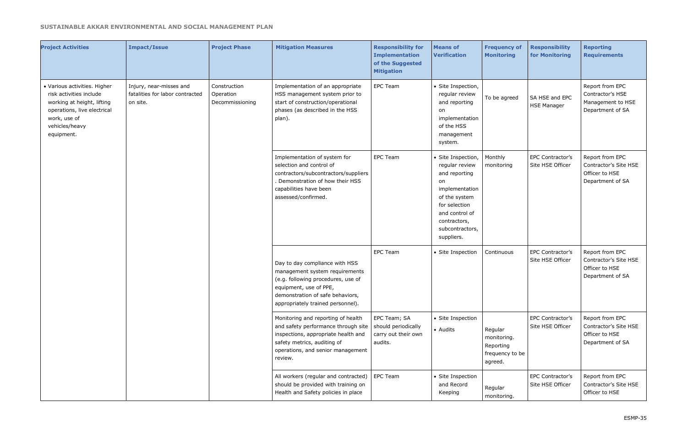| <b>Project Activities</b>                                                                                                                                            | <b>Impact/Issue</b>                                                    | <b>Project Phase</b>                         | <b>Mitigation Measures</b>                                                                                                                                                                                | <b>Responsibility for</b><br><b>Implementation</b><br>of the Suggested<br><b>Mitigation</b> | <b>Means of</b><br><b>Verification</b>                                                                                                                                             | <b>Frequency of</b><br><b>Monitoring</b>                          | <b>Responsibility</b><br>for Monitoring | <b>Reporting</b><br><b>Requirements</b>                                        |
|----------------------------------------------------------------------------------------------------------------------------------------------------------------------|------------------------------------------------------------------------|----------------------------------------------|-----------------------------------------------------------------------------------------------------------------------------------------------------------------------------------------------------------|---------------------------------------------------------------------------------------------|------------------------------------------------------------------------------------------------------------------------------------------------------------------------------------|-------------------------------------------------------------------|-----------------------------------------|--------------------------------------------------------------------------------|
| · Various activities. Higher<br>risk activities include<br>working at height, lifting<br>operations, live electrical<br>work, use of<br>vehicles/heavy<br>equipment. | Injury, near-misses and<br>fatalities for labor contracted<br>on site. | Construction<br>Operation<br>Decommissioning | Implementation of an appropriate<br>HSS management system prior to<br>start of construction/operational<br>phases (as described in the HSS<br>plan).                                                      | <b>EPC Team</b>                                                                             | · Site Inspection,<br>regular review<br>and reporting<br>on<br>implementation<br>of the HSS<br>management<br>system.                                                               | To be agreed                                                      | SA HSE and EPC<br><b>HSE Manager</b>    | Report from EPC<br>Contractor's HSE<br>Management to HSE<br>Department of SA   |
|                                                                                                                                                                      |                                                                        |                                              | Implementation of system for<br>selection and control of<br>contractors/subcontractors/suppliers<br>. Demonstration of how their HSS<br>capabilities have been<br>assessed/confirmed.                     | <b>EPC Team</b>                                                                             | · Site Inspection,<br>regular review<br>and reporting<br>on<br>implementation<br>of the system<br>for selection<br>and control of<br>contractors,<br>subcontractors,<br>suppliers. | Monthly<br>monitoring                                             | EPC Contractor's<br>Site HSE Officer    | Report from EPC<br>Contractor's Site HSE<br>Officer to HSE<br>Department of SA |
|                                                                                                                                                                      |                                                                        |                                              | Day to day compliance with HSS<br>management system requirements<br>(e.g. following procedures, use of<br>equipment, use of PPE,<br>demonstration of safe behaviors,<br>appropriately trained personnel). | <b>EPC Team</b>                                                                             | • Site Inspection                                                                                                                                                                  | Continuous                                                        | EPC Contractor's<br>Site HSE Officer    | Report from EPC<br>Contractor's Site HSE<br>Officer to HSE<br>Department of SA |
|                                                                                                                                                                      |                                                                        |                                              | Monitoring and reporting of health<br>and safety performance through site<br>inspections, appropriate health and<br>safety metrics, auditing of<br>operations, and senior management<br>review.           | EPC Team; SA<br>should periodically<br>carry out their own<br>audits.                       | • Site Inspection<br>• Audits                                                                                                                                                      | Regular<br>monitoring.<br>Reporting<br>frequency to be<br>agreed. | EPC Contractor's<br>Site HSE Officer    | Report from EPC<br>Contractor's Site HSE<br>Officer to HSE<br>Department of SA |
|                                                                                                                                                                      |                                                                        |                                              | All workers (regular and contracted)<br>should be provided with training on<br>Health and Safety policies in place                                                                                        | EPC Team                                                                                    | • Site Inspection<br>and Record<br>Keeping                                                                                                                                         | Regular<br>monitoring.                                            | EPC Contractor's<br>Site HSE Officer    | Report from EPC<br>Contractor's Site HSE<br>Officer to HSE                     |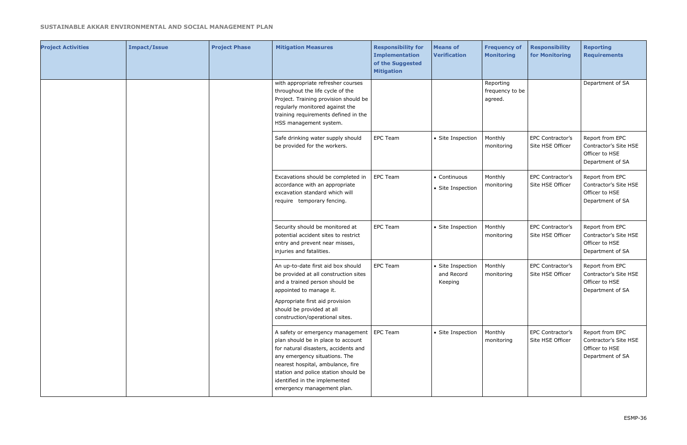| <b>Project Activities</b> | <b>Impact/Issue</b> | <b>Project Phase</b> | <b>Mitigation Measures</b>                                                                                                                                                                                                                                                                             | <b>Responsibility for</b><br><b>Implementation</b><br>of the Suggested<br><b>Mitigation</b> | <b>Means of</b><br><b>Verification</b>     | <b>Frequency of</b><br><b>Monitoring</b> | <b>Responsibility</b><br>for Monitoring | <b>Reporting</b><br><b>Requirements</b>                                        |
|---------------------------|---------------------|----------------------|--------------------------------------------------------------------------------------------------------------------------------------------------------------------------------------------------------------------------------------------------------------------------------------------------------|---------------------------------------------------------------------------------------------|--------------------------------------------|------------------------------------------|-----------------------------------------|--------------------------------------------------------------------------------|
|                           |                     |                      | with appropriate refresher courses<br>throughout the life cycle of the<br>Project. Training provision should be<br>regularly monitored against the<br>training requirements defined in the<br>HSS management system.                                                                                   |                                                                                             |                                            | Reporting<br>frequency to be<br>agreed.  |                                         | Department of SA                                                               |
|                           |                     |                      | Safe drinking water supply should<br>be provided for the workers.                                                                                                                                                                                                                                      | <b>EPC Team</b>                                                                             | • Site Inspection                          | Monthly<br>monitoring                    | EPC Contractor's<br>Site HSE Officer    | Report from EPC<br>Contractor's Site HSE<br>Officer to HSE<br>Department of SA |
|                           |                     |                      | Excavations should be completed in<br>accordance with an appropriate<br>excavation standard which will<br>require temporary fencing.                                                                                                                                                                   | EPC Team                                                                                    | • Continuous<br>• Site Inspection          | Monthly<br>monitoring                    | EPC Contractor's<br>Site HSE Officer    | Report from EPC<br>Contractor's Site HSE<br>Officer to HSE<br>Department of SA |
|                           |                     |                      | Security should be monitored at<br>potential accident sites to restrict<br>entry and prevent near misses,<br>injuries and fatalities.                                                                                                                                                                  | <b>EPC Team</b>                                                                             | • Site Inspection                          | Monthly<br>monitoring                    | EPC Contractor's<br>Site HSE Officer    | Report from EPC<br>Contractor's Site HSE<br>Officer to HSE<br>Department of SA |
|                           |                     |                      | An up-to-date first aid box should<br>be provided at all construction sites<br>and a trained person should be<br>appointed to manage it.<br>Appropriate first aid provision<br>should be provided at all<br>construction/operational sites.                                                            | <b>EPC Team</b>                                                                             | • Site Inspection<br>and Record<br>Keeping | Monthly<br>monitoring                    | EPC Contractor's<br>Site HSE Officer    | Report from EPC<br>Contractor's Site HSE<br>Officer to HSE<br>Department of SA |
|                           |                     |                      | A safety or emergency management   EPC Team<br>plan should be in place to account<br>for natural disasters, accidents and<br>any emergency situations. The<br>nearest hospital, ambulance, fire<br>station and police station should be<br>identified in the implemented<br>emergency management plan. |                                                                                             | • Site Inspection                          | Monthly<br>monitoring                    | EPC Contractor's<br>Site HSE Officer    | Report from EPC<br>Contractor's Site HSE<br>Officer to HSE<br>Department of SA |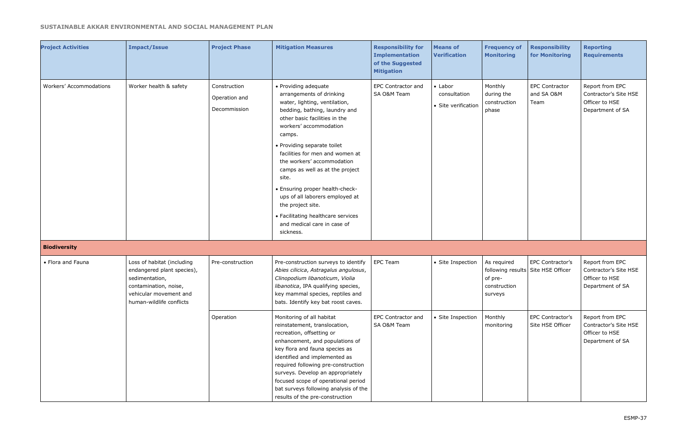| <b>Project Activities</b> | <b>Impact/Issue</b>                                                                                                                                       | <b>Project Phase</b>                          | <b>Mitigation Measures</b>                                                                                                                                                                                                                                                                                                                                                                                                                                                                                       | <b>Responsibility for</b><br><b>Implementation</b><br>of the Suggested<br><b>Mitigation</b> | <b>Means of</b><br><b>Verification</b>                 | <b>Frequency of</b><br><b>Monitoring</b>          | <b>Responsibility</b><br>for Monitoring                | <b>Reporting</b><br><b>Requirements</b>                                        |
|---------------------------|-----------------------------------------------------------------------------------------------------------------------------------------------------------|-----------------------------------------------|------------------------------------------------------------------------------------------------------------------------------------------------------------------------------------------------------------------------------------------------------------------------------------------------------------------------------------------------------------------------------------------------------------------------------------------------------------------------------------------------------------------|---------------------------------------------------------------------------------------------|--------------------------------------------------------|---------------------------------------------------|--------------------------------------------------------|--------------------------------------------------------------------------------|
| Workers' Accommodations   | Worker health & safety                                                                                                                                    | Construction<br>Operation and<br>Decommission | • Providing adequate<br>arrangements of drinking<br>water, lighting, ventilation,<br>bedding, bathing, laundry and<br>other basic facilities in the<br>workers' accommodation<br>camps.<br>• Providing separate toilet<br>facilities for men and women at<br>the workers' accommodation<br>camps as well as at the project<br>site.<br>• Ensuring proper health-check-<br>ups of all laborers employed at<br>the project site.<br>• Facilitating healthcare services<br>and medical care in case of<br>sickness. | EPC Contractor and<br>SA O&M Team                                                           | $\bullet$ Labor<br>consultation<br>• Site verification | Monthly<br>during the<br>construction<br>phase    | <b>EPC Contractor</b><br>and SA O&M<br>Team            | Report from EPC<br>Contractor's Site HSE<br>Officer to HSE<br>Department of SA |
| <b>Biodiversity</b>       |                                                                                                                                                           |                                               |                                                                                                                                                                                                                                                                                                                                                                                                                                                                                                                  |                                                                                             |                                                        |                                                   |                                                        |                                                                                |
| • Flora and Fauna         | Loss of habitat (including<br>endangered plant species),<br>sedimentation,<br>contamination, noise,<br>vehicular movement and<br>human-wildlife conflicts | Pre-construction                              | Pre-construction surveys to identify<br>Abies cilicica, Astragalus angulosus,<br>Clinopodium libanoticum, Violia<br>libanotica, IPA qualifying species,<br>key mammal species, reptiles and<br>bats. Identify key bat roost caves.                                                                                                                                                                                                                                                                               | <b>EPC Team</b>                                                                             | • Site Inspection                                      | As required<br>of pre-<br>construction<br>surveys | EPC Contractor's<br>following results Site HSE Officer | Report from EPC<br>Contractor's Site HSE<br>Officer to HSE<br>Department of SA |
|                           |                                                                                                                                                           | Operation                                     | Monitoring of all habitat<br>reinstatement, translocation,<br>recreation, offsetting or<br>enhancement, and populations of<br>key flora and fauna species as<br>identified and implemented as<br>required following pre-construction<br>surveys. Develop an appropriately<br>focused scope of operational period<br>bat surveys following analysis of the<br>results of the pre-construction                                                                                                                     | <b>EPC Contractor and</b><br>SA O&M Team                                                    | • Site Inspection                                      | Monthly<br>monitoring                             | EPC Contractor's<br>Site HSE Officer                   | Report from EPC<br>Contractor's Site HSE<br>Officer to HSE<br>Department of SA |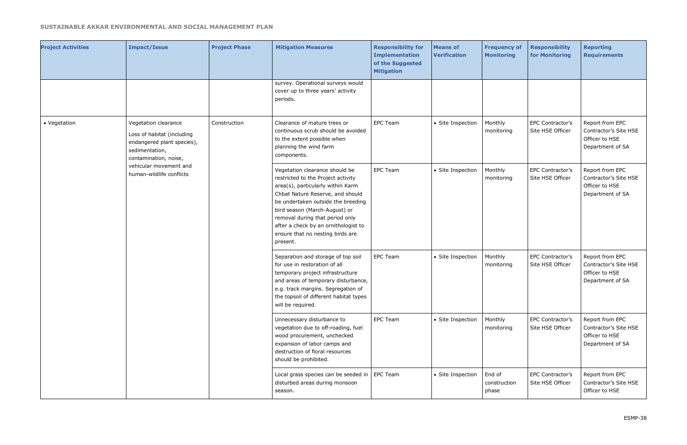| <b>Project Activities</b> | <b>Impact/Issue</b>                                                                                                         | <b>Project Phase</b> | <b>Mitigation Measures</b>                                                                                                                                                                                                                                                                                                                      | <b>Responsibility for</b><br><b>Implementation</b><br>of the Suggested<br><b>Mitigation</b> | <b>Means of</b><br><b>Verification</b> | <b>Frequency of</b><br><b>Monitoring</b> | <b>Responsibility</b><br>for Monitoring | <b>Reporting</b><br><b>Requirements</b>                                        |
|---------------------------|-----------------------------------------------------------------------------------------------------------------------------|----------------------|-------------------------------------------------------------------------------------------------------------------------------------------------------------------------------------------------------------------------------------------------------------------------------------------------------------------------------------------------|---------------------------------------------------------------------------------------------|----------------------------------------|------------------------------------------|-----------------------------------------|--------------------------------------------------------------------------------|
|                           |                                                                                                                             |                      | survey. Operational surveys would<br>cover up to three years' activity<br>periods.                                                                                                                                                                                                                                                              |                                                                                             |                                        |                                          |                                         |                                                                                |
| • Vegetation              | Vegetation clearance<br>Loss of habitat (including<br>endangered plant species),<br>sedimentation,<br>contamination, noise, | Construction         | Clearance of mature trees or<br>continuous scrub should be avoided<br>to the extent possible when<br>planning the wind farm<br>components.                                                                                                                                                                                                      | <b>EPC Team</b>                                                                             | • Site Inspection                      | Monthly<br>monitoring                    | EPC Contractor's<br>Site HSE Officer    | Report from EPC<br>Contractor's Site HSE<br>Officer to HSE<br>Department of SA |
|                           | vehicular movement and<br>human-wildlife conflicts                                                                          |                      | Vegetation clearance should be<br>restricted to the Project activity<br>area(s), particularly within Karm<br>Chbat Nature Reserve, and should<br>be undertaken outside the breeding<br>bird season (March-August) or<br>removal during that period only<br>after a check by an ornithologist to<br>ensure that no nesting birds are<br>present. | <b>EPC Team</b>                                                                             | • Site Inspection                      | Monthly<br>monitoring                    | EPC Contractor's<br>Site HSE Officer    | Report from EPC<br>Contractor's Site HSE<br>Officer to HSE<br>Department of SA |
|                           |                                                                                                                             |                      | Separation and storage of top soil<br>for use in restoration of all<br>temporary project infrastructure<br>and areas of temporary disturbance,<br>e.g. track margins. Segregation of<br>the topsoil of different habitat types<br>will be required.                                                                                             | <b>EPC Team</b>                                                                             | • Site Inspection                      | Monthly<br>monitoring                    | EPC Contractor's<br>Site HSE Officer    | Report from EPC<br>Contractor's Site HSE<br>Officer to HSE<br>Department of SA |
|                           |                                                                                                                             |                      | Unnecessary disturbance to<br>vegetation due to off-roading, fuel<br>wood procurement, unchecked<br>expansion of labor camps and<br>destruction of floral resources<br>should be prohibited.                                                                                                                                                    | EPC Team                                                                                    | • Site Inspection                      | Monthly<br>monitoring                    | EPC Contractor's<br>Site HSE Officer    | Report from EPC<br>Contractor's Site HSE<br>Officer to HSE<br>Department of SA |
|                           |                                                                                                                             |                      | Local grass species can be seeded in $\vert$ EPC Team<br>disturbed areas during monsoon<br>season.                                                                                                                                                                                                                                              |                                                                                             | • Site Inspection                      | End of<br>construction<br>phase          | EPC Contractor's<br>Site HSE Officer    | Report from EPC<br>Contractor's Site HSE<br>Officer to HSE                     |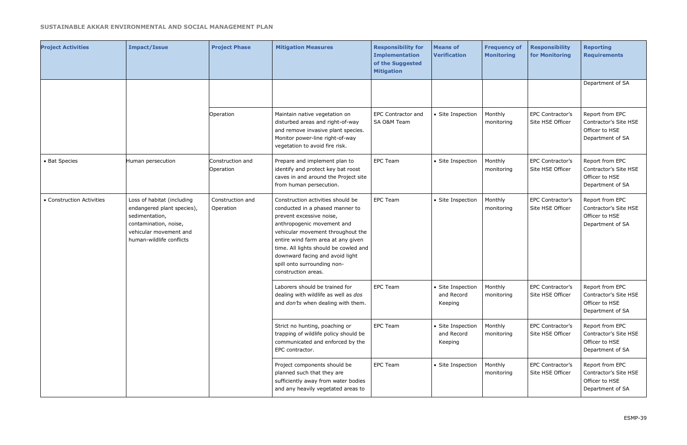| <b>Project Activities</b> | <b>Impact/Issue</b>                                                                                                                                       | <b>Project Phase</b>          | <b>Mitigation Measures</b>                                                                                                                                                                                                                                                                                                                  | <b>Responsibility for</b><br><b>Implementation</b><br>of the Suggested<br><b>Mitigation</b> | <b>Means of</b><br><b>Verification</b>     | <b>Frequency of</b><br><b>Monitoring</b> | <b>Responsibility</b><br>for Monitoring                                        | <b>Reporting</b><br><b>Requirements</b>                                        |
|---------------------------|-----------------------------------------------------------------------------------------------------------------------------------------------------------|-------------------------------|---------------------------------------------------------------------------------------------------------------------------------------------------------------------------------------------------------------------------------------------------------------------------------------------------------------------------------------------|---------------------------------------------------------------------------------------------|--------------------------------------------|------------------------------------------|--------------------------------------------------------------------------------|--------------------------------------------------------------------------------|
|                           |                                                                                                                                                           |                               |                                                                                                                                                                                                                                                                                                                                             |                                                                                             |                                            |                                          |                                                                                | Department of SA                                                               |
|                           |                                                                                                                                                           | Operation                     | Maintain native vegetation on<br>disturbed areas and right-of-way<br>and remove invasive plant species.<br>Monitor power-line right-of-way<br>vegetation to avoid fire risk.                                                                                                                                                                | <b>EPC Contractor and</b><br>SA O&M Team                                                    | • Site Inspection                          | Monthly<br>monitoring                    | EPC Contractor's<br>Site HSE Officer                                           | Report from EPC<br>Contractor's Site HSE<br>Officer to HSE<br>Department of SA |
| • Bat Species             | Human persecution                                                                                                                                         | Construction and<br>Operation | Prepare and implement plan to<br>identify and protect key bat roost<br>caves in and around the Project site<br>from human persecution.                                                                                                                                                                                                      | <b>EPC Team</b>                                                                             | • Site Inspection                          | Monthly<br>monitoring                    | EPC Contractor's<br>Site HSE Officer                                           | Report from EPC<br>Contractor's Site HSE<br>Officer to HSE<br>Department of SA |
| • Construction Activities | Loss of habitat (including<br>endangered plant species),<br>sedimentation,<br>contamination, noise,<br>vehicular movement and<br>human-wildlife conflicts | Construction and<br>Operation | Construction activities should be<br>conducted in a phased manner to<br>prevent excessive noise,<br>anthropogenic movement and<br>vehicular movement throughout the<br>entire wind farm area at any given<br>time. All lights should be cowled and<br>downward facing and avoid light<br>spill onto surrounding non-<br>construction areas. | <b>EPC Team</b><br>• Site Inspection                                                        | Monthly<br>monitoring                      | EPC Contractor's<br>Site HSE Officer     | Report from EPC<br>Contractor's Site HSE<br>Officer to HSE<br>Department of SA |                                                                                |
|                           |                                                                                                                                                           |                               | Laborers should be trained for<br>dealing with wildlife as well as dos<br>and don'ts when dealing with them.                                                                                                                                                                                                                                | <b>EPC Team</b>                                                                             | • Site Inspection<br>and Record<br>Keeping | Monthly<br>monitoring                    | EPC Contractor's<br>Site HSE Officer                                           | Report from EPC<br>Contractor's Site HSE<br>Officer to HSE<br>Department of SA |
|                           |                                                                                                                                                           |                               | Strict no hunting, poaching or<br>trapping of wildlife policy should be<br>communicated and enforced by the<br>EPC contractor.                                                                                                                                                                                                              | <b>EPC Team</b>                                                                             | • Site Inspection<br>and Record<br>Keeping | Monthly<br>monitoring                    | EPC Contractor's<br>Site HSE Officer                                           | Report from EPC<br>Contractor's Site HSE<br>Officer to HSE<br>Department of SA |
|                           |                                                                                                                                                           |                               | Project components should be<br>planned such that they are<br>sufficiently away from water bodies<br>and any heavily vegetated areas to                                                                                                                                                                                                     | <b>EPC Team</b>                                                                             | • Site Inspection                          | Monthly<br>monitoring                    | EPC Contractor's<br>Site HSE Officer                                           | Report from EPC<br>Contractor's Site HSE<br>Officer to HSE<br>Department of SA |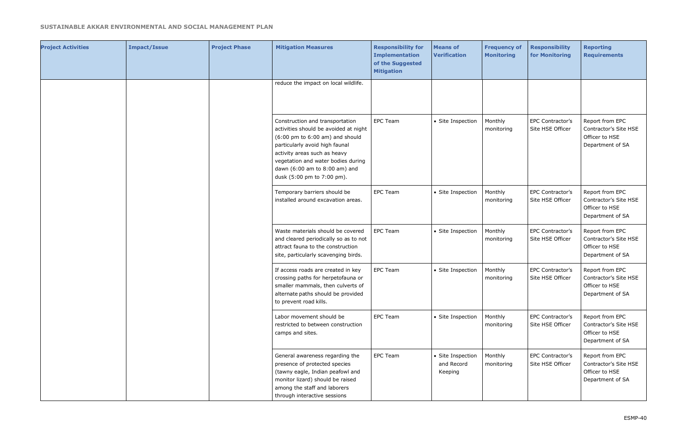| <b>Project Activities</b> | <b>Impact/Issue</b> | <b>Project Phase</b> | <b>Mitigation Measures</b>                                                                                                                                                                                                                                                                             | <b>Responsibility for</b><br><b>Implementation</b><br>of the Suggested<br><b>Mitigation</b> | <b>Means of</b><br><b>Verification</b>     | <b>Frequency of</b><br><b>Monitoring</b> | <b>Responsibility</b><br>for Monitoring | <b>Reporting</b><br><b>Requirements</b>                                        |
|---------------------------|---------------------|----------------------|--------------------------------------------------------------------------------------------------------------------------------------------------------------------------------------------------------------------------------------------------------------------------------------------------------|---------------------------------------------------------------------------------------------|--------------------------------------------|------------------------------------------|-----------------------------------------|--------------------------------------------------------------------------------|
|                           |                     |                      | reduce the impact on local wildlife.                                                                                                                                                                                                                                                                   |                                                                                             |                                            |                                          |                                         |                                                                                |
|                           |                     |                      | Construction and transportation<br>activities should be avoided at night<br>$(6:00 \text{ pm}$ to $6:00 \text{ am})$ and should<br>particularly avoid high faunal<br>activity areas such as heavy<br>vegetation and water bodies during<br>dawn (6:00 am to 8:00 am) and<br>dusk (5:00 pm to 7:00 pm). | <b>EPC Team</b>                                                                             | • Site Inspection                          | Monthly<br>monitoring                    | EPC Contractor's<br>Site HSE Officer    | Report from EPC<br>Contractor's Site HSE<br>Officer to HSE<br>Department of SA |
|                           |                     |                      | Temporary barriers should be<br>installed around excavation areas.                                                                                                                                                                                                                                     | <b>EPC Team</b>                                                                             | • Site Inspection                          | Monthly<br>monitoring                    | EPC Contractor's<br>Site HSE Officer    | Report from EPC<br>Contractor's Site HSE<br>Officer to HSE<br>Department of SA |
|                           |                     |                      | Waste materials should be covered<br>and cleared periodically so as to not<br>attract fauna to the construction<br>site, particularly scavenging birds.                                                                                                                                                | <b>EPC Team</b>                                                                             | • Site Inspection                          | Monthly<br>monitoring                    | EPC Contractor's<br>Site HSE Officer    | Report from EPC<br>Contractor's Site HSE<br>Officer to HSE<br>Department of SA |
|                           |                     |                      | If access roads are created in key<br>crossing paths for herpetofauna or<br>smaller mammals, then culverts of<br>alternate paths should be provided<br>to prevent road kills.                                                                                                                          | <b>EPC Team</b>                                                                             | • Site Inspection                          | Monthly<br>monitoring                    | EPC Contractor's<br>Site HSE Officer    | Report from EPC<br>Contractor's Site HSE<br>Officer to HSE<br>Department of SA |
|                           |                     |                      | Labor movement should be<br>restricted to between construction<br>camps and sites.                                                                                                                                                                                                                     | <b>EPC Team</b>                                                                             | • Site Inspection                          | Monthly<br>monitoring                    | EPC Contractor's<br>Site HSE Officer    | Report from EPC<br>Contractor's Site HSE<br>Officer to HSE<br>Department of SA |
|                           |                     |                      | General awareness regarding the<br>presence of protected species<br>(tawny eagle, Indian peafowl and<br>monitor lizard) should be raised<br>among the staff and laborers<br>through interactive sessions                                                                                               | <b>EPC Team</b>                                                                             | • Site Inspection<br>and Record<br>Keeping | Monthly<br>monitoring                    | EPC Contractor's<br>Site HSE Officer    | Report from EPC<br>Contractor's Site HSE<br>Officer to HSE<br>Department of SA |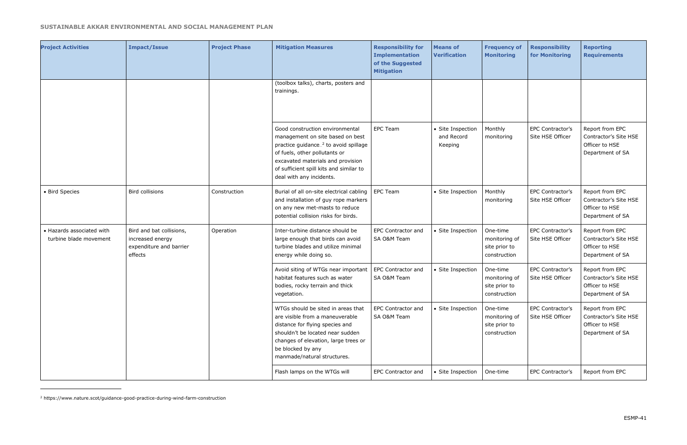| <b>Project Activities</b>                           | <b>Impact/Issue</b>                                                                | <b>Project Phase</b> | <b>Mitigation Measures</b>                                                                                                                                                                                                                                            | <b>Responsibility for</b><br><b>Implementation</b><br>of the Suggested<br><b>Mitigation</b> | <b>Means of</b><br><b>Verification</b>     | <b>Frequency of</b><br><b>Monitoring</b>                   | <b>Responsibility</b><br>for Monitoring | <b>Reporting</b><br><b>Requirements</b>                                        |
|-----------------------------------------------------|------------------------------------------------------------------------------------|----------------------|-----------------------------------------------------------------------------------------------------------------------------------------------------------------------------------------------------------------------------------------------------------------------|---------------------------------------------------------------------------------------------|--------------------------------------------|------------------------------------------------------------|-----------------------------------------|--------------------------------------------------------------------------------|
|                                                     |                                                                                    |                      | (toolbox talks), charts, posters and<br>trainings.                                                                                                                                                                                                                    |                                                                                             |                                            |                                                            |                                         |                                                                                |
|                                                     |                                                                                    |                      | Good construction environmental<br>management on site based on best<br>practice guidance. <sup>2</sup> to avoid spillage<br>of fuels, other pollutants or<br>excavated materials and provision<br>of sufficient spill kits and similar to<br>deal with any incidents. | <b>EPC Team</b>                                                                             | • Site Inspection<br>and Record<br>Keeping | Monthly<br>monitoring                                      | EPC Contractor's<br>Site HSE Officer    | Report from EPC<br>Contractor's Site HSE<br>Officer to HSE<br>Department of SA |
| • Bird Species                                      | <b>Bird collisions</b>                                                             | Construction         | Burial of all on-site electrical cabling<br>and installation of guy rope markers<br>on any new met-masts to reduce<br>potential collision risks for birds.                                                                                                            | <b>EPC Team</b>                                                                             | • Site Inspection                          | Monthly<br>monitoring                                      | EPC Contractor's<br>Site HSE Officer    | Report from EPC<br>Contractor's Site HSE<br>Officer to HSE<br>Department of SA |
| • Hazards associated with<br>turbine blade movement | Bird and bat collisions,<br>increased energy<br>expenditure and barrier<br>effects | Operation            | Inter-turbine distance should be<br>large enough that birds can avoid<br>turbine blades and utilize minimal<br>energy while doing so.                                                                                                                                 | <b>EPC Contractor and</b><br>SA O&M Team                                                    | • Site Inspection                          | One-time<br>monitoring of<br>site prior to<br>construction | EPC Contractor's<br>Site HSE Officer    | Report from EPC<br>Contractor's Site HSE<br>Officer to HSE<br>Department of SA |
|                                                     |                                                                                    |                      | Avoid siting of WTGs near important<br>habitat features such as water<br>bodies, rocky terrain and thick<br>vegetation.                                                                                                                                               | EPC Contractor and<br>SA O&M Team                                                           | • Site Inspection                          | One-time<br>monitoring of<br>site prior to<br>construction | EPC Contractor's<br>Site HSE Officer    | Report from EPC<br>Contractor's Site HSE<br>Officer to HSE<br>Department of SA |
|                                                     |                                                                                    |                      | WTGs should be sited in areas that<br>are visible from a maneuverable<br>distance for flying species and<br>shouldn't be located near sudden<br>changes of elevation, large trees or<br>be blocked by any<br>manmade/natural structures.                              | <b>EPC Contractor and</b><br>SA O&M Team                                                    | • Site Inspection                          | One-time<br>monitoring of<br>site prior to<br>construction | EPC Contractor's<br>Site HSE Officer    | Report from EPC<br>Contractor's Site HSE<br>Officer to HSE<br>Department of SA |
|                                                     |                                                                                    |                      | Flash lamps on the WTGs will                                                                                                                                                                                                                                          | EPC Contractor and                                                                          | • Site Inspection                          | One-time                                                   | EPC Contractor's                        | Report from EPC                                                                |

<sup>2</sup> https://www.nature.scot/guidance-good-practice-during-wind-farm-construction

l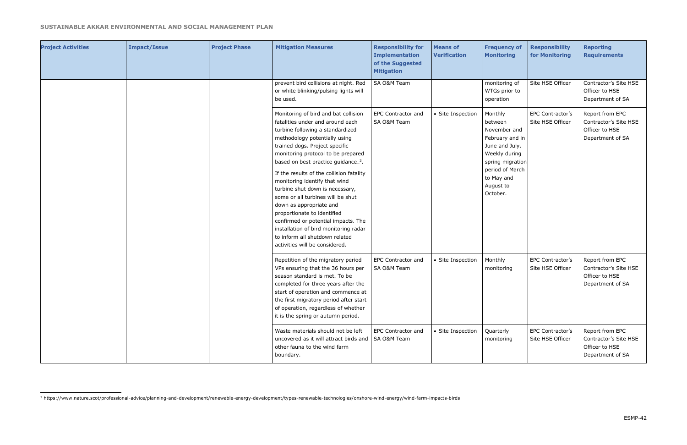l

| <b>Project Activities</b> | <b>Impact/Issue</b> | <b>Project Phase</b> | <b>Mitigation Measures</b>                                                                                                                                                                                                                                                                                                                                                                                                                                                                                                                                                                                                                  | <b>Responsibility for</b><br><b>Implementation</b><br>of the Suggested<br><b>Mitigation</b> | <b>Means of</b><br><b>Verification</b> | <b>Frequency of</b><br><b>Monitoring</b>                                                                                                                               | <b>Responsibility</b><br>for Monitoring | <b>Reporting</b><br><b>Requirements</b>                                        |
|---------------------------|---------------------|----------------------|---------------------------------------------------------------------------------------------------------------------------------------------------------------------------------------------------------------------------------------------------------------------------------------------------------------------------------------------------------------------------------------------------------------------------------------------------------------------------------------------------------------------------------------------------------------------------------------------------------------------------------------------|---------------------------------------------------------------------------------------------|----------------------------------------|------------------------------------------------------------------------------------------------------------------------------------------------------------------------|-----------------------------------------|--------------------------------------------------------------------------------|
|                           |                     |                      | prevent bird collisions at night. Red<br>or white blinking/pulsing lights will<br>be used.                                                                                                                                                                                                                                                                                                                                                                                                                                                                                                                                                  | SA O&M Team                                                                                 |                                        | monitoring of<br>WTGs prior to<br>operation                                                                                                                            | Site HSE Officer                        | Contractor's Site HSE<br>Officer to HSE<br>Department of SA                    |
|                           |                     |                      | Monitoring of bird and bat collision<br>fatalities under and around each<br>turbine following a standardized<br>methodology potentially using<br>trained dogs. Project specific<br>monitoring protocol to be prepared<br>based on best practice guidance. <sup>3</sup> .<br>If the results of the collision fatality<br>monitoring identify that wind<br>turbine shut down is necessary,<br>some or all turbines will be shut<br>down as appropriate and<br>proportionate to identified<br>confirmed or potential impacts. The<br>installation of bird monitoring radar<br>to inform all shutdown related<br>activities will be considered. | <b>EPC Contractor and</b><br>SA O&M Team                                                    | • Site Inspection                      | Monthly<br>between<br>November and<br>February and in<br>June and July.<br>Weekly during<br>spring migration<br>period of March<br>to May and<br>August to<br>October. | EPC Contractor's<br>Site HSE Officer    | Report from EPC<br>Contractor's Site HSE<br>Officer to HSE<br>Department of SA |
|                           |                     |                      | Repetition of the migratory period<br>VPs ensuring that the 36 hours per<br>season standard is met. To be<br>completed for three years after the<br>start of operation and commence at<br>the first migratory period after start<br>of operation, regardless of whether<br>it is the spring or autumn period.                                                                                                                                                                                                                                                                                                                               | <b>EPC Contractor and</b><br>SA O&M Team                                                    | • Site Inspection                      | Monthly<br>monitoring                                                                                                                                                  | EPC Contractor's<br>Site HSE Officer    | Report from EPC<br>Contractor's Site HSE<br>Officer to HSE<br>Department of SA |
|                           |                     |                      | Waste materials should not be left<br>uncovered as it will attract birds and<br>other fauna to the wind farm<br>boundary.                                                                                                                                                                                                                                                                                                                                                                                                                                                                                                                   | <b>EPC Contractor and</b><br>SA O&M Team                                                    | • Site Inspection                      | Quarterly<br>monitoring                                                                                                                                                | EPC Contractor's<br>Site HSE Officer    | Report from EPC<br>Contractor's Site HSE<br>Officer to HSE<br>Department of SA |

<sup>3</sup> https://www.nature.scot/professional-advice/planning-and-development/renewable-energy-development/types-renewable-technologies/onshore-wind-energy/wind-farm-impacts-birds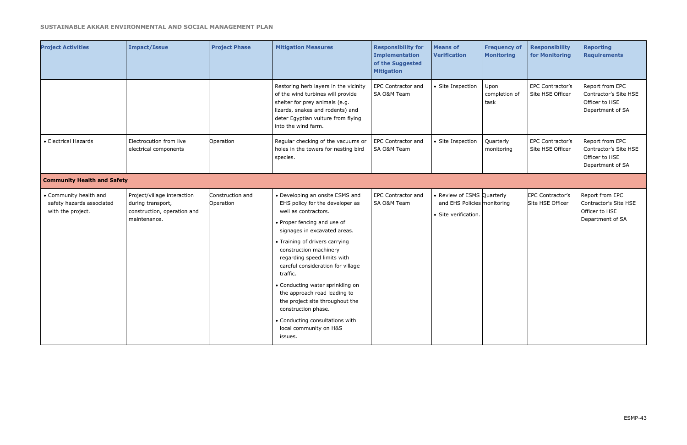| <b>Project Activities</b>                                                | <b>Impact/Issue</b>                                                                             | <b>Project Phase</b>          | <b>Mitigation Measures</b>                                                                                                                                                                                                                                                                                                                                                                                                                                                                                  | <b>Responsibility for</b><br><b>Implementation</b><br>of the Suggested<br><b>Mitigation</b> | <b>Means of</b><br><b>Verification</b>                                            | <b>Frequency of</b><br><b>Monitoring</b> | <b>Responsibility</b><br>for Monitoring     | <b>Reporting</b><br><b>Requirements</b>                                        |
|--------------------------------------------------------------------------|-------------------------------------------------------------------------------------------------|-------------------------------|-------------------------------------------------------------------------------------------------------------------------------------------------------------------------------------------------------------------------------------------------------------------------------------------------------------------------------------------------------------------------------------------------------------------------------------------------------------------------------------------------------------|---------------------------------------------------------------------------------------------|-----------------------------------------------------------------------------------|------------------------------------------|---------------------------------------------|--------------------------------------------------------------------------------|
|                                                                          |                                                                                                 |                               | Restoring herb layers in the vicinity<br>of the wind turbines will provide<br>shelter for prey animals (e.g.<br>lizards, snakes and rodents) and<br>deter Egyptian vulture from flying<br>into the wind farm.                                                                                                                                                                                                                                                                                               | <b>EPC Contractor and</b><br>SA O&M Team                                                    | • Site Inspection                                                                 | Upon<br>completion of<br>task            | EPC Contractor's<br>Site HSE Officer        | Report from EPC<br>Contractor's Site HSE<br>Officer to HSE<br>Department of SA |
| • Electrical Hazards                                                     | Electrocution from live<br>electrical components                                                | Operation                     | Regular checking of the vacuums or<br>holes in the towers for nesting bird<br>species.                                                                                                                                                                                                                                                                                                                                                                                                                      | <b>EPC Contractor and</b><br>SA O&M Team                                                    | • Site Inspection                                                                 | Quarterly<br>monitoring                  | EPC Contractor's<br>Site HSE Officer        | Report from EPC<br>Contractor's Site HSE<br>Officer to HSE<br>Department of SA |
| <b>Community Health and Safety</b>                                       |                                                                                                 |                               |                                                                                                                                                                                                                                                                                                                                                                                                                                                                                                             |                                                                                             |                                                                                   |                                          |                                             |                                                                                |
| • Community health and<br>safety hazards associated<br>with the project. | Project/village interaction<br>during transport,<br>construction, operation and<br>maintenance. | Construction and<br>Operation | • Developing an onsite ESMS and<br>EHS policy for the developer as<br>well as contractors.<br>• Proper fencing and use of<br>signages in excavated areas.<br>• Training of drivers carrying<br>construction machinery<br>regarding speed limits with<br>careful consideration for village<br>traffic.<br>• Conducting water sprinkling on<br>the approach road leading to<br>the project site throughout the<br>construction phase.<br>• Conducting consultations with<br>local community on H&S<br>issues. | <b>EPC Contractor and</b><br>SA O&M Team                                                    | • Review of ESMS Quarterly<br>and EHS Policies monitoring<br>· Site verification. |                                          | <b>EPC Contractor's</b><br>Site HSE Officer | Report from EPC<br>Contractor's Site HSE<br>Officer to HSE<br>Department of SA |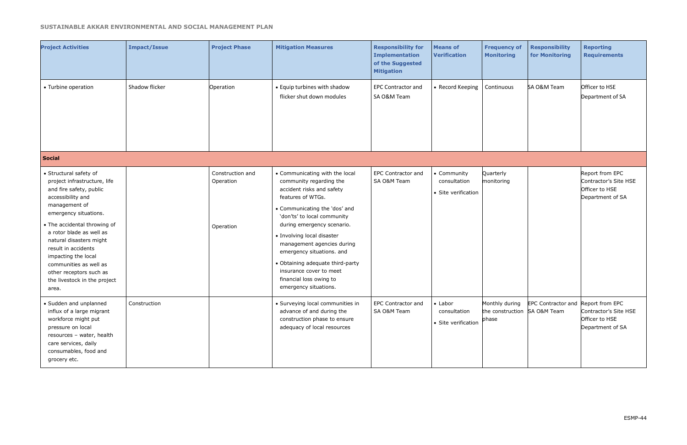| <b>Project Activities</b>                                                                                                                                                                                                                                                                                                                                                           | <b>Impact/Issue</b> | <b>Project Phase</b>                       | <b>Mitigation Measures</b>                                                                                                                                                                                                                                                                                                                                                                                            | <b>Responsibility for</b><br><b>Implementation</b><br>of the Suggested<br><b>Mitigation</b> | <b>Means of</b><br><b>Verification</b>                 | <b>Frequency of</b><br><b>Monitoring</b>                | <b>Responsibility</b><br>for Monitoring | <b>Reporting</b><br><b>Requirements</b>                                        |
|-------------------------------------------------------------------------------------------------------------------------------------------------------------------------------------------------------------------------------------------------------------------------------------------------------------------------------------------------------------------------------------|---------------------|--------------------------------------------|-----------------------------------------------------------------------------------------------------------------------------------------------------------------------------------------------------------------------------------------------------------------------------------------------------------------------------------------------------------------------------------------------------------------------|---------------------------------------------------------------------------------------------|--------------------------------------------------------|---------------------------------------------------------|-----------------------------------------|--------------------------------------------------------------------------------|
| • Turbine operation                                                                                                                                                                                                                                                                                                                                                                 | Shadow flicker      | Operation                                  | • Equip turbines with shadow<br>flicker shut down modules                                                                                                                                                                                                                                                                                                                                                             | <b>EPC Contractor and</b><br>SA O&M Team                                                    | • Record Keeping                                       | Continuous                                              | SA O&M Team                             | Officer to HSE<br>Department of SA                                             |
| <b>Social</b>                                                                                                                                                                                                                                                                                                                                                                       |                     |                                            |                                                                                                                                                                                                                                                                                                                                                                                                                       |                                                                                             |                                                        |                                                         |                                         |                                                                                |
| • Structural safety of<br>project infrastructure, life<br>and fire safety, public<br>accessibility and<br>management of<br>emergency situations.<br>• The accidental throwing of<br>a rotor blade as well as<br>natural disasters might<br>result in accidents<br>impacting the local<br>communities as well as<br>other receptors such as<br>the livestock in the project<br>area. |                     | Construction and<br>Operation<br>Operation | • Communicating with the local<br>community regarding the<br>accident risks and safety<br>features of WTGs.<br>• Communicating the 'dos' and<br>'don'ts' to local community<br>during emergency scenario.<br>• Involving local disaster<br>management agencies during<br>emergency situations. and<br>• Obtaining adequate third-party<br>insurance cover to meet<br>financial loss owing to<br>emergency situations. | <b>EPC Contractor and</b><br>SA O&M Team                                                    | • Community<br>consultation<br>• Site verification     | Quarterly<br>monitoring                                 |                                         | Report from EPC<br>Contractor's Site HSE<br>Officer to HSE<br>Department of SA |
| · Sudden and unplanned<br>influx of a large migrant<br>workforce might put<br>pressure on local<br>resources - water, health<br>care services, daily<br>consumables, food and<br>grocery etc.                                                                                                                                                                                       | Construction        |                                            | • Surveying local communities in<br>advance of and during the<br>construction phase to ensure<br>adequacy of local resources                                                                                                                                                                                                                                                                                          | <b>EPC Contractor and</b><br>SA O&M Team                                                    | $\bullet$ Labor<br>consultation<br>• Site verification | Monthly during<br>the construction SA O&M Team<br>phase | EPC Contractor and Report from EPC      | Contractor's Site HSE<br>Officer to HSE<br>Department of SA                    |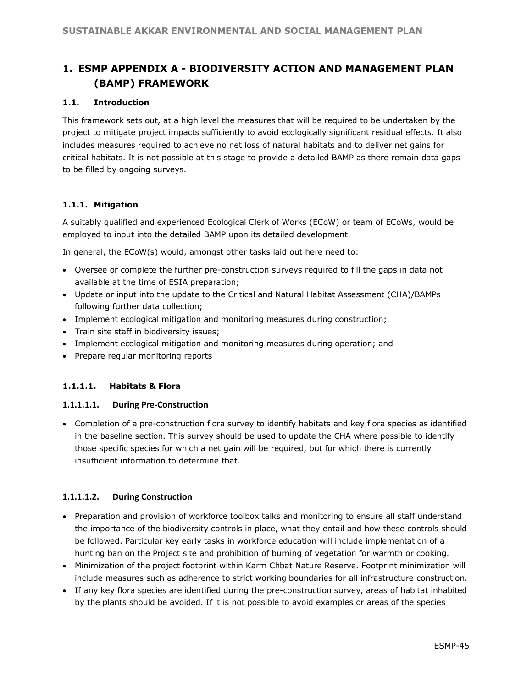# **1. ESMP APPENDIX A - BIODIVERSITY ACTION AND MANAGEMENT PLAN (BAMP) FRAMEWORK**

#### **1.1. Introduction**

This framework sets out, at a high level the measures that will be required to be undertaken by the project to mitigate project impacts sufficiently to avoid ecologically significant residual effects. It also includes measures required to achieve no net loss of natural habitats and to deliver net gains for critical habitats. It is not possible at this stage to provide a detailed BAMP as there remain data gaps to be filled by ongoing surveys.

#### **1.1.1. Mitigation**

A suitably qualified and experienced Ecological Clerk of Works (ECoW) or team of ECoWs, would be employed to input into the detailed BAMP upon its detailed development.

In general, the ECoW(s) would, amongst other tasks laid out here need to:

- Oversee or complete the further pre-construction surveys required to fill the gaps in data not available at the time of ESIA preparation;
- Update or input into the update to the Critical and Natural Habitat Assessment (CHA)/BAMPs following further data collection;
- Implement ecological mitigation and monitoring measures during construction;
- Train site staff in biodiversity issues;
- Implement ecological mitigation and monitoring measures during operation; and
- Prepare regular monitoring reports

#### **1.1.1.1. Habitats & Flora**

#### **1.1.1.1.1. During Pre-Construction**

• Completion of a pre-construction flora survey to identify habitats and key flora species as identified in the baseline section. This survey should be used to update the CHA where possible to identify those specific species for which a net gain will be required, but for which there is currently insufficient information to determine that.

#### **1.1.1.1.2. During Construction**

- Preparation and provision of workforce toolbox talks and monitoring to ensure all staff understand the importance of the biodiversity controls in place, what they entail and how these controls should be followed. Particular key early tasks in workforce education will include implementation of a hunting ban on the Project site and prohibition of burning of vegetation for warmth or cooking.
- Minimization of the project footprint within Karm Chbat Nature Reserve. Footprint minimization will include measures such as adherence to strict working boundaries for all infrastructure construction.
- If any key flora species are identified during the pre-construction survey, areas of habitat inhabited by the plants should be avoided. If it is not possible to avoid examples or areas of the species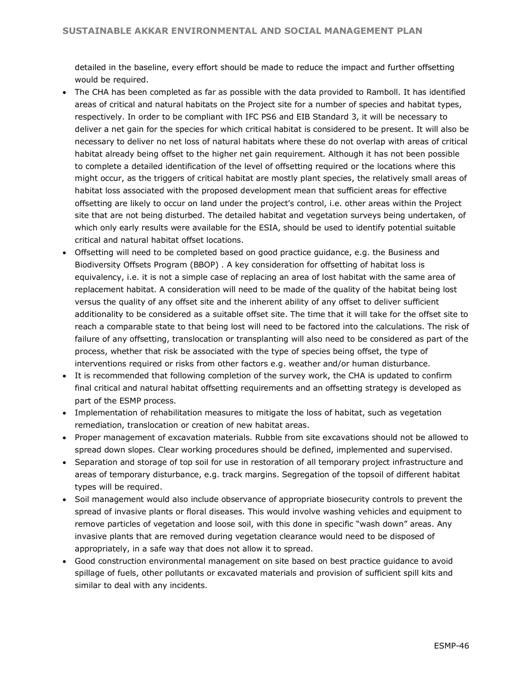detailed in the baseline, every effort should be made to reduce the impact and further offsetting would be required.

- The CHA has been completed as far as possible with the data provided to Ramboll. It has identified areas of critical and natural habitats on the Project site for a number of species and habitat types, respectively. In order to be compliant with IFC PS6 and EIB Standard 3, it will be necessary to deliver a net gain for the species for which critical habitat is considered to be present. It will also be necessary to deliver no net loss of natural habitats where these do not overlap with areas of critical habitat already being offset to the higher net gain requirement. Although it has not been possible to complete a detailed identification of the level of offsetting required or the locations where this might occur, as the triggers of critical habitat are mostly plant species, the relatively small areas of habitat loss associated with the proposed development mean that sufficient areas for effective offsetting are likely to occur on land under the project's control, i.e. other areas within the Project site that are not being disturbed. The detailed habitat and vegetation surveys being undertaken, of which only early results were available for the ESIA, should be used to identify potential suitable critical and natural habitat offset locations.
- Offsetting will need to be completed based on good practice guidance, e.g. the Business and Biodiversity Offsets Program (BBOP) . A key consideration for offsetting of habitat loss is equivalency, i.e. it is not a simple case of replacing an area of lost habitat with the same area of replacement habitat. A consideration will need to be made of the quality of the habitat being lost versus the quality of any offset site and the inherent ability of any offset to deliver sufficient additionality to be considered as a suitable offset site. The time that it will take for the offset site to reach a comparable state to that being lost will need to be factored into the calculations. The risk of failure of any offsetting, translocation or transplanting will also need to be considered as part of the process, whether that risk be associated with the type of species being offset, the type of interventions required or risks from other factors e.g. weather and/or human disturbance.
- It is recommended that following completion of the survey work, the CHA is updated to confirm final critical and natural habitat offsetting requirements and an offsetting strategy is developed as part of the ESMP process.
- Implementation of rehabilitation measures to mitigate the loss of habitat, such as vegetation remediation, translocation or creation of new habitat areas.
- Proper management of excavation materials. Rubble from site excavations should not be allowed to spread down slopes. Clear working procedures should be defined, implemented and supervised.
- Separation and storage of top soil for use in restoration of all temporary project infrastructure and areas of temporary disturbance, e.g. track margins. Segregation of the topsoil of different habitat types will be required.
- Soil management would also include observance of appropriate biosecurity controls to prevent the spread of invasive plants or floral diseases. This would involve washing vehicles and equipment to remove particles of vegetation and loose soil, with this done in specific "wash down" areas. Any invasive plants that are removed during vegetation clearance would need to be disposed of appropriately, in a safe way that does not allow it to spread.
- Good construction environmental management on site based on best practice guidance to avoid spillage of fuels, other pollutants or excavated materials and provision of sufficient spill kits and similar to deal with any incidents.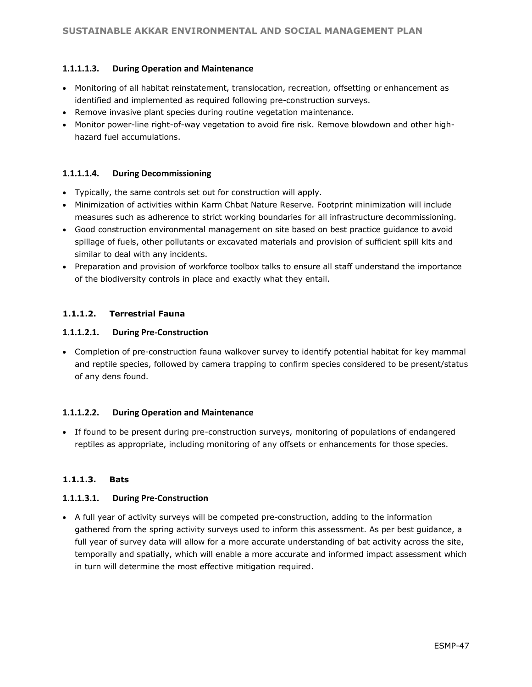#### **1.1.1.1.3. During Operation and Maintenance**

- Monitoring of all habitat reinstatement, translocation, recreation, offsetting or enhancement as identified and implemented as required following pre-construction surveys.
- Remove invasive plant species during routine vegetation maintenance.
- Monitor power-line right-of-way vegetation to avoid fire risk. Remove blowdown and other highhazard fuel accumulations.

#### **1.1.1.1.4. During Decommissioning**

- Typically, the same controls set out for construction will apply.
- Minimization of activities within Karm Chbat Nature Reserve. Footprint minimization will include measures such as adherence to strict working boundaries for all infrastructure decommissioning.
- Good construction environmental management on site based on best practice guidance to avoid spillage of fuels, other pollutants or excavated materials and provision of sufficient spill kits and similar to deal with any incidents.
- Preparation and provision of workforce toolbox talks to ensure all staff understand the importance of the biodiversity controls in place and exactly what they entail.

#### **1.1.1.2. Terrestrial Fauna**

#### **1.1.1.2.1. During Pre-Construction**

• Completion of pre-construction fauna walkover survey to identify potential habitat for key mammal and reptile species, followed by camera trapping to confirm species considered to be present/status of any dens found.

#### **1.1.1.2.2. During Operation and Maintenance**

• If found to be present during pre-construction surveys, monitoring of populations of endangered reptiles as appropriate, including monitoring of any offsets or enhancements for those species.

#### **1.1.1.3. Bats**

#### **1.1.1.3.1. During Pre-Construction**

• A full year of activity surveys will be competed pre-construction, adding to the information gathered from the spring activity surveys used to inform this assessment. As per best guidance, a full year of survey data will allow for a more accurate understanding of bat activity across the site, temporally and spatially, which will enable a more accurate and informed impact assessment which in turn will determine the most effective mitigation required.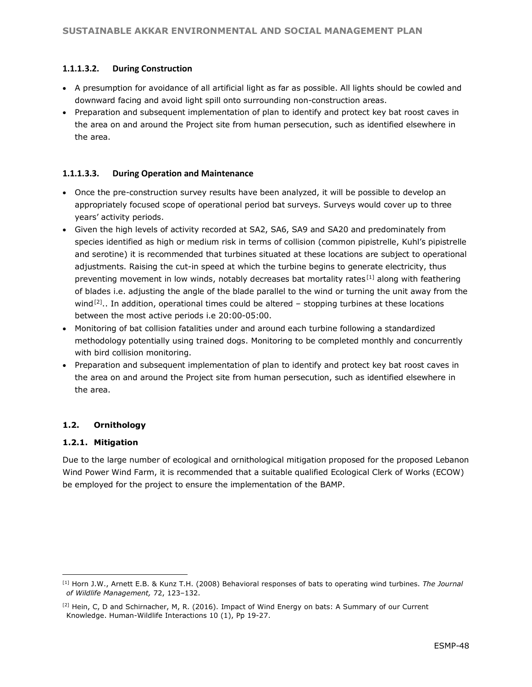#### **1.1.1.3.2. During Construction**

- A presumption for avoidance of all artificial light as far as possible. All lights should be cowled and downward facing and avoid light spill onto surrounding non-construction areas.
- Preparation and subsequent implementation of plan to identify and protect key bat roost caves in the area on and around the Project site from human persecution, such as identified elsewhere in the area.

#### **1.1.1.3.3. During Operation and Maintenance**

- Once the pre-construction survey results have been analyzed, it will be possible to develop an appropriately focused scope of operational period bat surveys. Surveys would cover up to three years' activity periods.
- Given the high levels of activity recorded at SA2, SA6, SA9 and SA20 and predominately from species identified as high or medium risk in terms of collision (common pipistrelle, Kuhl's pipistrelle and serotine) it is recommended that turbines situated at these locations are subject to operational adjustments. Raising the cut-in speed at which the turbine begins to generate electricity, thus preventing movement in low winds, notably decreases bat mortality rates<sup>[1]</sup> along with feathering of blades i.e. adjusting the angle of the blade parallel to the wind or turning the unit away from the wind<sup>[2]</sup>.. In addition, operational times could be altered  $-$  stopping turbines at these locations between the most active periods i.e 20:00-05:00.
- Monitoring of bat collision fatalities under and around each turbine following a standardized methodology potentially using trained dogs. Monitoring to be completed monthly and concurrently with bird collision monitoring.
- Preparation and subsequent implementation of plan to identify and protect key bat roost caves in the area on and around the Project site from human persecution, such as identified elsewhere in the area.

#### **1.2. Ornithology**

#### **1.2.1. Mitigation**

l

Due to the large number of ecological and ornithological mitigation proposed for the proposed Lebanon Wind Power Wind Farm, it is recommended that a suitable qualified Ecological Clerk of Works (ECOW) be employed for the project to ensure the implementation of the BAMP.

<sup>[1]</sup> Horn J.W., Arnett E.B. & Kunz T.H. (2008) Behavioral responses of bats to operating wind turbines. *The Journal of Wildlife Management,* 72, 123–132.

<sup>[2]</sup> Hein, C, D and Schirnacher, M, R. (2016). Impact of Wind Energy on bats: A Summary of our Current Knowledge. Human-Wildlife Interactions 10 (1), Pp 19-27.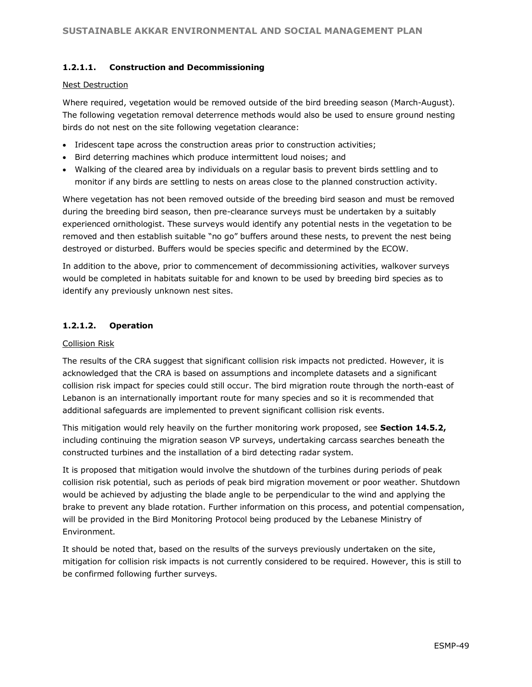#### **1.2.1.1. Construction and Decommissioning**

#### Nest Destruction

Where required, vegetation would be removed outside of the bird breeding season (March-August). The following vegetation removal deterrence methods would also be used to ensure ground nesting birds do not nest on the site following vegetation clearance:

- Iridescent tape across the construction areas prior to construction activities;
- Bird deterring machines which produce intermittent loud noises; and
- Walking of the cleared area by individuals on a regular basis to prevent birds settling and to monitor if any birds are settling to nests on areas close to the planned construction activity.

Where vegetation has not been removed outside of the breeding bird season and must be removed during the breeding bird season, then pre-clearance surveys must be undertaken by a suitably experienced ornithologist. These surveys would identify any potential nests in the vegetation to be removed and then establish suitable "no go" buffers around these nests, to prevent the nest being destroyed or disturbed. Buffers would be species specific and determined by the ECOW.

In addition to the above, prior to commencement of decommissioning activities, walkover surveys would be completed in habitats suitable for and known to be used by breeding bird species as to identify any previously unknown nest sites.

#### **1.2.1.2. Operation**

#### Collision Risk

The results of the CRA suggest that significant collision risk impacts not predicted. However, it is acknowledged that the CRA is based on assumptions and incomplete datasets and a significant collision risk impact for species could still occur. The bird migration route through the north-east of Lebanon is an internationally important route for many species and so it is recommended that additional safeguards are implemented to prevent significant collision risk events.

This mitigation would rely heavily on the further monitoring work proposed, see **Section 14.5.2,**  including continuing the migration season VP surveys, undertaking carcass searches beneath the constructed turbines and the installation of a bird detecting radar system.

It is proposed that mitigation would involve the shutdown of the turbines during periods of peak collision risk potential, such as periods of peak bird migration movement or poor weather. Shutdown would be achieved by adjusting the blade angle to be perpendicular to the wind and applying the brake to prevent any blade rotation. Further information on this process, and potential compensation, will be provided in the Bird Monitoring Protocol being produced by the Lebanese Ministry of Environment.

It should be noted that, based on the results of the surveys previously undertaken on the site, mitigation for collision risk impacts is not currently considered to be required. However, this is still to be confirmed following further surveys.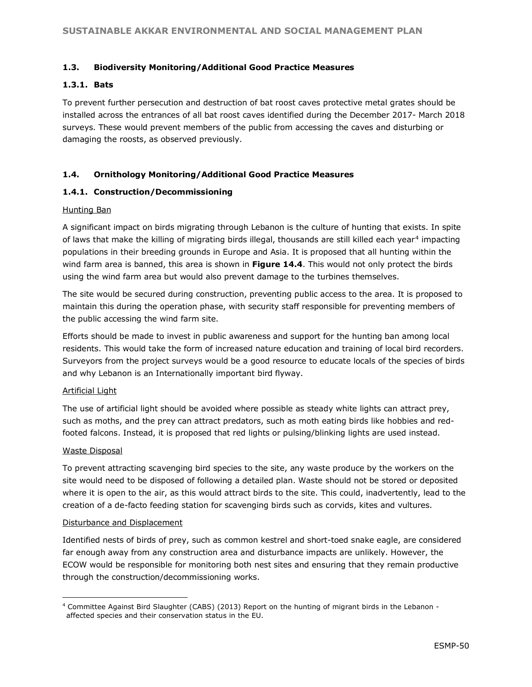#### **1.3. Biodiversity Monitoring/Additional Good Practice Measures**

#### **1.3.1. Bats**

To prevent further persecution and destruction of bat roost caves protective metal grates should be installed across the entrances of all bat roost caves identified during the December 2017- March 2018 surveys. These would prevent members of the public from accessing the caves and disturbing or damaging the roosts, as observed previously.

#### **1.4. Ornithology Monitoring/Additional Good Practice Measures**

#### **1.4.1. Construction/Decommissioning**

#### Hunting Ban

A significant impact on birds migrating through Lebanon is the culture of hunting that exists. In spite of laws that make the killing of migrating birds illegal, thousands are still killed each year.<sup>4</sup> impacting populations in their breeding grounds in Europe and Asia. It is proposed that all hunting within the wind farm area is banned, this area is shown in **Figure 14.4**. This would not only protect the birds using the wind farm area but would also prevent damage to the turbines themselves.

The site would be secured during construction, preventing public access to the area. It is proposed to maintain this during the operation phase, with security staff responsible for preventing members of the public accessing the wind farm site.

Efforts should be made to invest in public awareness and support for the hunting ban among local residents. This would take the form of increased nature education and training of local bird recorders. Surveyors from the project surveys would be a good resource to educate locals of the species of birds and why Lebanon is an Internationally important bird flyway.

#### Artificial Light

The use of artificial light should be avoided where possible as steady white lights can attract prey, such as moths, and the prey can attract predators, such as moth eating birds like hobbies and redfooted falcons. Instead, it is proposed that red lights or pulsing/blinking lights are used instead.

#### Waste Disposal

To prevent attracting scavenging bird species to the site, any waste produce by the workers on the site would need to be disposed of following a detailed plan. Waste should not be stored or deposited where it is open to the air, as this would attract birds to the site. This could, inadvertently, lead to the creation of a de-facto feeding station for scavenging birds such as corvids, kites and vultures.

#### Disturbance and Displacement

Identified nests of birds of prey, such as common kestrel and short-toed snake eagle, are considered far enough away from any construction area and disturbance impacts are unlikely. However, the ECOW would be responsible for monitoring both nest sites and ensuring that they remain productive through the construction/decommissioning works.

 $\overline{a}$ <sup>4</sup> Committee Against Bird Slaughter (CABS) (2013) Report on the hunting of migrant birds in the Lebanon affected species and their conservation status in the EU.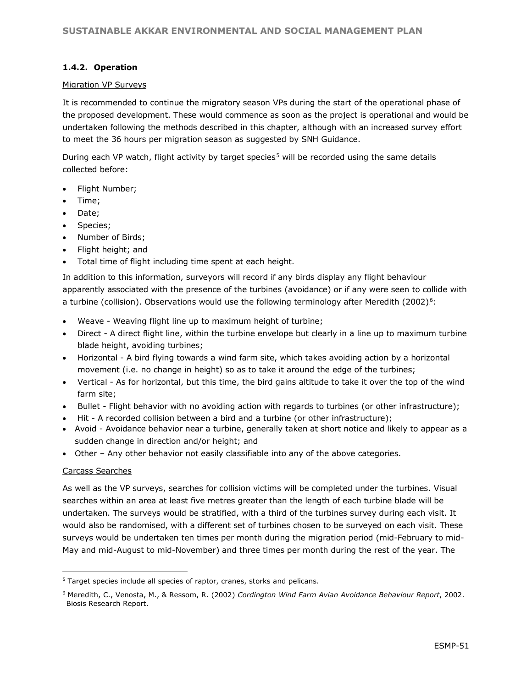#### **1.4.2. Operation**

#### Migration VP Surveys

It is recommended to continue the migratory season VPs during the start of the operational phase of the proposed development. These would commence as soon as the project is operational and would be undertaken following the methods described in this chapter, although with an increased survey effort to meet the 36 hours per migration season as suggested by SNH Guidance.

During each VP watch, flight activity by target species<sup>5</sup> will be recorded using the same details collected before:

- Flight Number;
- Time;
- Date:
- Species;
- Number of Birds;
- Flight height; and
- Total time of flight including time spent at each height.

In addition to this information, surveyors will record if any birds display any flight behaviour apparently associated with the presence of the turbines (avoidance) or if any were seen to collide with a turbine (collision). Observations would use the following terminology after Meredith (2002)<sup>6</sup>:

- Weave Weaving flight line up to maximum height of turbine;
- Direct A direct flight line, within the turbine envelope but clearly in a line up to maximum turbine blade height, avoiding turbines;
- Horizontal A bird flying towards a wind farm site, which takes avoiding action by a horizontal movement (i.e. no change in height) so as to take it around the edge of the turbines;
- Vertical As for horizontal, but this time, the bird gains altitude to take it over the top of the wind farm site;
- Bullet Flight behavior with no avoiding action with regards to turbines (or other infrastructure);
- Hit A recorded collision between a bird and a turbine (or other infrastructure);
- Avoid Avoidance behavior near a turbine, generally taken at short notice and likely to appear as a sudden change in direction and/or height; and
- Other Any other behavior not easily classifiable into any of the above categories.

#### Carcass Searches

l

As well as the VP surveys, searches for collision victims will be completed under the turbines. Visual searches within an area at least five metres greater than the length of each turbine blade will be undertaken. The surveys would be stratified, with a third of the turbines survey during each visit. It would also be randomised, with a different set of turbines chosen to be surveyed on each visit. These surveys would be undertaken ten times per month during the migration period (mid-February to mid-May and mid-August to mid-November) and three times per month during the rest of the year. The

<sup>&</sup>lt;sup>5</sup> Target species include all species of raptor, cranes, storks and pelicans.

<sup>6</sup> Meredith, C., Venosta, M., & Ressom, R. (2002) *Cordington Wind Farm Avian Avoidance Behaviour Report*, 2002. Biosis Research Report.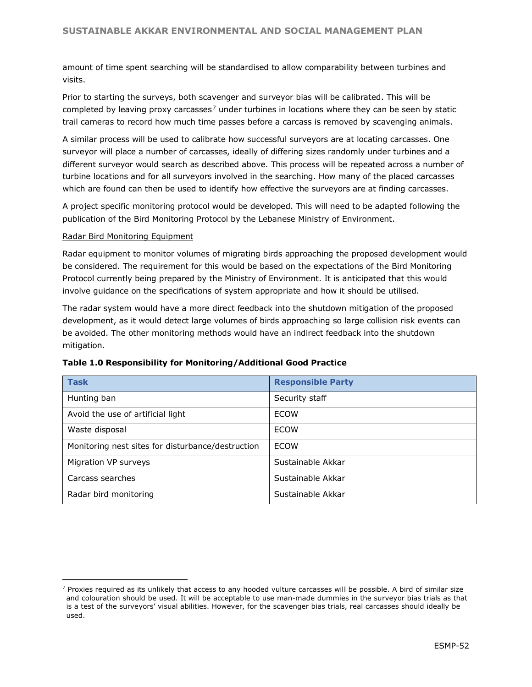amount of time spent searching will be standardised to allow comparability between turbines and visits.

Prior to starting the surveys, both scavenger and surveyor bias will be calibrated. This will be completed by leaving proxy carcasses<sup>7</sup> under turbines in locations where they can be seen by static trail cameras to record how much time passes before a carcass is removed by scavenging animals.

A similar process will be used to calibrate how successful surveyors are at locating carcasses. One surveyor will place a number of carcasses, ideally of differing sizes randomly under turbines and a different surveyor would search as described above. This process will be repeated across a number of turbine locations and for all surveyors involved in the searching. How many of the placed carcasses which are found can then be used to identify how effective the surveyors are at finding carcasses.

A project specific monitoring protocol would be developed. This will need to be adapted following the publication of the Bird Monitoring Protocol by the Lebanese Ministry of Environment.

#### Radar Bird Monitoring Equipment

l

Radar equipment to monitor volumes of migrating birds approaching the proposed development would be considered. The requirement for this would be based on the expectations of the Bird Monitoring Protocol currently being prepared by the Ministry of Environment. It is anticipated that this would involve guidance on the specifications of system appropriate and how it should be utilised.

The radar system would have a more direct feedback into the shutdown mitigation of the proposed development, as it would detect large volumes of birds approaching so large collision risk events can be avoided. The other monitoring methods would have an indirect feedback into the shutdown mitigation.

| <b>Task</b>                                       | <b>Responsible Party</b> |
|---------------------------------------------------|--------------------------|
| Hunting ban                                       | Security staff           |
| Avoid the use of artificial light                 | <b>ECOW</b>              |
| Waste disposal                                    | <b>ECOW</b>              |
| Monitoring nest sites for disturbance/destruction | <b>FCOW</b>              |
| Migration VP surveys                              | Sustainable Akkar        |
| Carcass searches                                  | Sustainable Akkar        |
| Radar bird monitoring                             | Sustainable Akkar        |

#### **Table 1.0 Responsibility for Monitoring/Additional Good Practice**

 $<sup>7</sup>$  Proxies required as its unlikely that access to any hooded vulture carcasses will be possible. A bird of similar size</sup> and colouration should be used. It will be acceptable to use man-made dummies in the surveyor bias trials as that is a test of the surveyors' visual abilities. However, for the scavenger bias trials, real carcasses should ideally be used.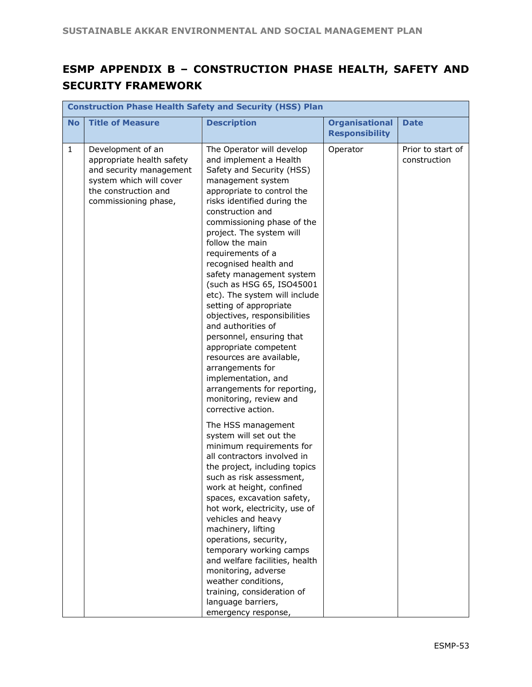# **ESMP APPENDIX B – CONSTRUCTION PHASE HEALTH, SAFETY AND SECURITY FRAMEWORK**

|              | <b>Construction Phase Health Safety and Security (HSS) Plan</b>                                                                                      |                                                                                                                                                                                                                                                                                                                                                                                                                                                                                                                                                                                                                                                                                                        |                                                |                                   |  |  |  |
|--------------|------------------------------------------------------------------------------------------------------------------------------------------------------|--------------------------------------------------------------------------------------------------------------------------------------------------------------------------------------------------------------------------------------------------------------------------------------------------------------------------------------------------------------------------------------------------------------------------------------------------------------------------------------------------------------------------------------------------------------------------------------------------------------------------------------------------------------------------------------------------------|------------------------------------------------|-----------------------------------|--|--|--|
| <b>No</b>    | <b>Title of Measure</b>                                                                                                                              | <b>Description</b>                                                                                                                                                                                                                                                                                                                                                                                                                                                                                                                                                                                                                                                                                     | <b>Organisational</b><br><b>Responsibility</b> | <b>Date</b>                       |  |  |  |
| $\mathbf{1}$ | Development of an<br>appropriate health safety<br>and security management<br>system which will cover<br>the construction and<br>commissioning phase, | The Operator will develop<br>and implement a Health<br>Safety and Security (HSS)<br>management system<br>appropriate to control the<br>risks identified during the<br>construction and<br>commissioning phase of the<br>project. The system will<br>follow the main<br>requirements of a<br>recognised health and<br>safety management system<br>(such as HSG 65, ISO45001<br>etc). The system will include<br>setting of appropriate<br>objectives, responsibilities<br>and authorities of<br>personnel, ensuring that<br>appropriate competent<br>resources are available,<br>arrangements for<br>implementation, and<br>arrangements for reporting,<br>monitoring, review and<br>corrective action. | Operator                                       | Prior to start of<br>construction |  |  |  |
|              |                                                                                                                                                      | The HSS management<br>system will set out the<br>minimum requirements for<br>all contractors involved in<br>the project, including topics<br>such as risk assessment,<br>work at height, confined<br>spaces, excavation safety,<br>hot work, electricity, use of<br>vehicles and heavy<br>machinery, lifting<br>operations, security,<br>temporary working camps<br>and welfare facilities, health<br>monitoring, adverse<br>weather conditions,<br>training, consideration of<br>language barriers,<br>emergency response,                                                                                                                                                                            |                                                |                                   |  |  |  |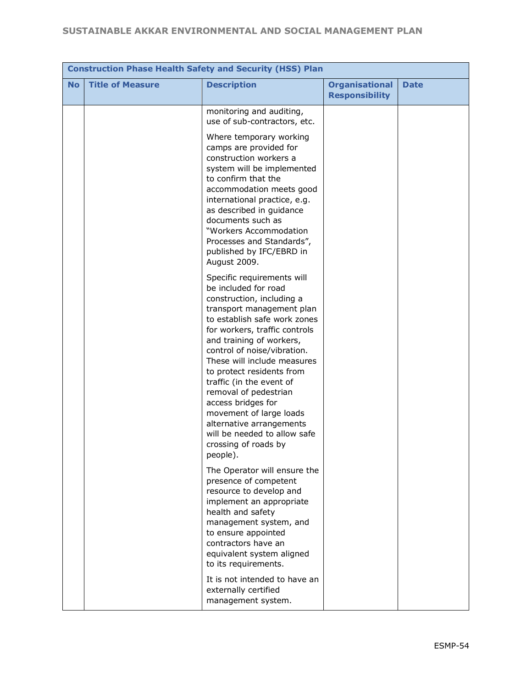|           | <b>Construction Phase Health Safety and Security (HSS) Plan</b> |                                                                                                                                                                                                                                                                                                                                                                                                                                                                                                            |                                                |             |  |  |  |
|-----------|-----------------------------------------------------------------|------------------------------------------------------------------------------------------------------------------------------------------------------------------------------------------------------------------------------------------------------------------------------------------------------------------------------------------------------------------------------------------------------------------------------------------------------------------------------------------------------------|------------------------------------------------|-------------|--|--|--|
| <b>No</b> | <b>Title of Measure</b>                                         | <b>Description</b>                                                                                                                                                                                                                                                                                                                                                                                                                                                                                         | <b>Organisational</b><br><b>Responsibility</b> | <b>Date</b> |  |  |  |
|           |                                                                 | monitoring and auditing,<br>use of sub-contractors, etc.<br>Where temporary working<br>camps are provided for                                                                                                                                                                                                                                                                                                                                                                                              |                                                |             |  |  |  |
|           |                                                                 | construction workers a<br>system will be implemented<br>to confirm that the<br>accommodation meets good<br>international practice, e.g.<br>as described in guidance<br>documents such as<br>"Workers Accommodation<br>Processes and Standards",<br>published by IFC/EBRD in<br>August 2009.                                                                                                                                                                                                                |                                                |             |  |  |  |
|           |                                                                 | Specific requirements will<br>be included for road<br>construction, including a<br>transport management plan<br>to establish safe work zones<br>for workers, traffic controls<br>and training of workers,<br>control of noise/vibration.<br>These will include measures<br>to protect residents from<br>traffic (in the event of<br>removal of pedestrian<br>access bridges for<br>movement of large loads<br>alternative arrangements<br>will be needed to allow safe<br>crossing of roads by<br>people). |                                                |             |  |  |  |
|           |                                                                 | The Operator will ensure the<br>presence of competent<br>resource to develop and<br>implement an appropriate<br>health and safety<br>management system, and<br>to ensure appointed<br>contractors have an<br>equivalent system aligned<br>to its requirements.                                                                                                                                                                                                                                             |                                                |             |  |  |  |
|           |                                                                 | It is not intended to have an<br>externally certified<br>management system.                                                                                                                                                                                                                                                                                                                                                                                                                                |                                                |             |  |  |  |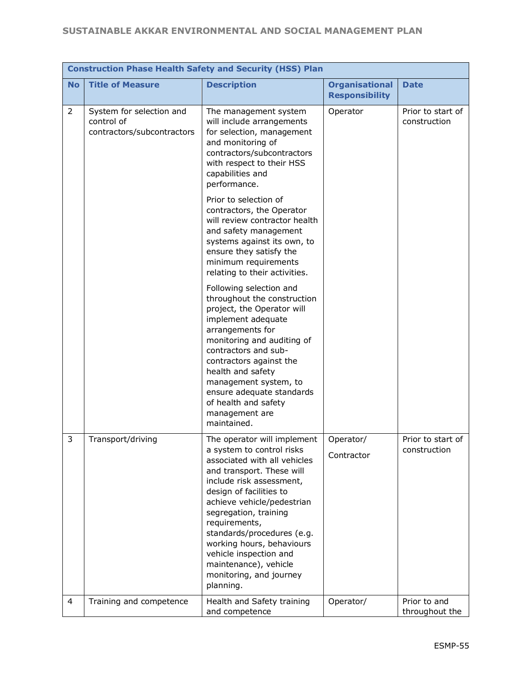|           | <b>Construction Phase Health Safety and Security (HSS) Plan</b>      |                                                                                                                                                                                                                                                                                                                                                                                                            |                                                |                                   |  |  |
|-----------|----------------------------------------------------------------------|------------------------------------------------------------------------------------------------------------------------------------------------------------------------------------------------------------------------------------------------------------------------------------------------------------------------------------------------------------------------------------------------------------|------------------------------------------------|-----------------------------------|--|--|
| <b>No</b> | <b>Title of Measure</b>                                              | <b>Description</b>                                                                                                                                                                                                                                                                                                                                                                                         | <b>Organisational</b><br><b>Responsibility</b> | <b>Date</b>                       |  |  |
| 2         | System for selection and<br>control of<br>contractors/subcontractors | The management system<br>will include arrangements<br>for selection, management<br>and monitoring of<br>contractors/subcontractors<br>with respect to their HSS<br>capabilities and<br>performance.                                                                                                                                                                                                        | Operator                                       | Prior to start of<br>construction |  |  |
|           |                                                                      | Prior to selection of<br>contractors, the Operator<br>will review contractor health<br>and safety management<br>systems against its own, to<br>ensure they satisfy the<br>minimum requirements<br>relating to their activities.                                                                                                                                                                            |                                                |                                   |  |  |
|           |                                                                      | Following selection and<br>throughout the construction<br>project, the Operator will<br>implement adequate<br>arrangements for<br>monitoring and auditing of<br>contractors and sub-<br>contractors against the<br>health and safety<br>management system, to<br>ensure adequate standards<br>of health and safety<br>management are<br>maintained.                                                        |                                                |                                   |  |  |
| 3         | Transport/driving                                                    | The operator will implement<br>a system to control risks<br>associated with all vehicles<br>and transport. These will<br>include risk assessment,<br>design of facilities to<br>achieve vehicle/pedestrian<br>segregation, training<br>requirements,<br>standards/procedures (e.g.<br>working hours, behaviours<br>vehicle inspection and<br>maintenance), vehicle<br>monitoring, and journey<br>planning. | Operator/<br>Contractor                        | Prior to start of<br>construction |  |  |
| 4         | Training and competence                                              | Health and Safety training<br>and competence                                                                                                                                                                                                                                                                                                                                                               | Operator/                                      | Prior to and<br>throughout the    |  |  |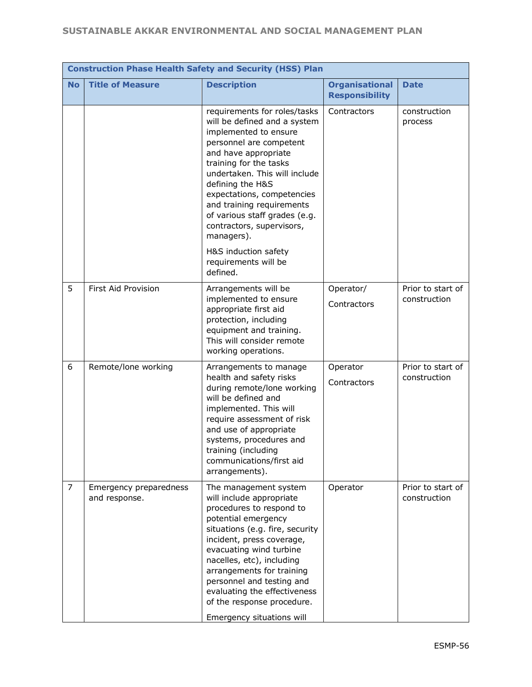|                | <b>Construction Phase Health Safety and Security (HSS) Plan</b> |                                                                                                                                                                                                                                                                                                                                                                                   |                                                |                                   |  |  |  |
|----------------|-----------------------------------------------------------------|-----------------------------------------------------------------------------------------------------------------------------------------------------------------------------------------------------------------------------------------------------------------------------------------------------------------------------------------------------------------------------------|------------------------------------------------|-----------------------------------|--|--|--|
| <b>No</b>      | <b>Title of Measure</b>                                         | <b>Description</b>                                                                                                                                                                                                                                                                                                                                                                | <b>Organisational</b><br><b>Responsibility</b> | <b>Date</b>                       |  |  |  |
|                |                                                                 | requirements for roles/tasks<br>will be defined and a system<br>implemented to ensure<br>personnel are competent<br>and have appropriate<br>training for the tasks<br>undertaken. This will include<br>defining the H&S<br>expectations, competencies<br>and training requirements<br>of various staff grades (e.g.<br>contractors, supervisors,<br>managers).                    | Contractors                                    | construction<br>process           |  |  |  |
|                |                                                                 | H&S induction safety<br>requirements will be<br>defined.                                                                                                                                                                                                                                                                                                                          |                                                |                                   |  |  |  |
| 5              | First Aid Provision                                             | Arrangements will be<br>implemented to ensure<br>appropriate first aid<br>protection, including<br>equipment and training.<br>This will consider remote<br>working operations.                                                                                                                                                                                                    | Operator/<br>Contractors                       | Prior to start of<br>construction |  |  |  |
| 6              | Remote/lone working                                             | Arrangements to manage<br>health and safety risks<br>during remote/lone working<br>will be defined and<br>implemented. This will<br>require assessment of risk<br>and use of appropriate<br>systems, procedures and<br>training (including<br>communications/first aid<br>arrangements).                                                                                          | Operator<br>Contractors                        | Prior to start of<br>construction |  |  |  |
| $\overline{7}$ | Emergency preparedness<br>and response.                         | The management system<br>will include appropriate<br>procedures to respond to<br>potential emergency<br>situations (e.g. fire, security<br>incident, press coverage,<br>evacuating wind turbine<br>nacelles, etc), including<br>arrangements for training<br>personnel and testing and<br>evaluating the effectiveness<br>of the response procedure.<br>Emergency situations will | Operator                                       | Prior to start of<br>construction |  |  |  |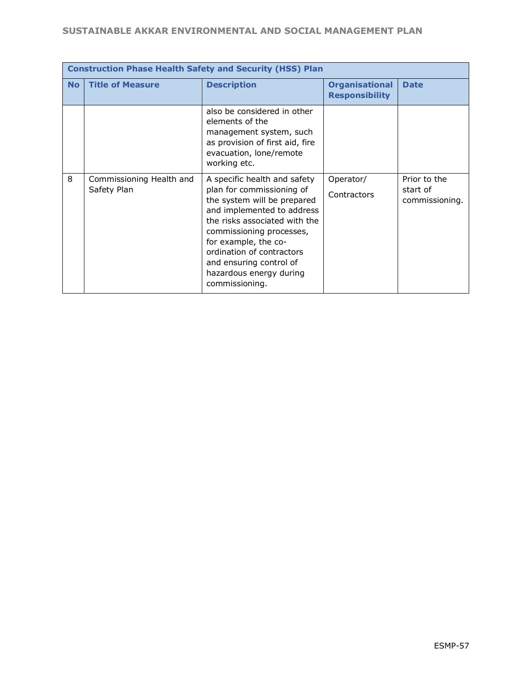|           | <b>Construction Phase Health Safety and Security (HSS) Plan</b> |                                                                                                                                                                                                                                                                                                                  |                                                |                                            |  |  |  |
|-----------|-----------------------------------------------------------------|------------------------------------------------------------------------------------------------------------------------------------------------------------------------------------------------------------------------------------------------------------------------------------------------------------------|------------------------------------------------|--------------------------------------------|--|--|--|
| <b>No</b> | <b>Title of Measure</b>                                         | <b>Description</b>                                                                                                                                                                                                                                                                                               | <b>Organisational</b><br><b>Responsibility</b> | <b>Date</b>                                |  |  |  |
|           |                                                                 | also be considered in other<br>elements of the<br>management system, such<br>as provision of first aid, fire<br>evacuation, lone/remote<br>working etc.                                                                                                                                                          |                                                |                                            |  |  |  |
| 8         | Commissioning Health and<br>Safety Plan                         | A specific health and safety<br>plan for commissioning of<br>the system will be prepared<br>and implemented to address<br>the risks associated with the<br>commissioning processes,<br>for example, the co-<br>ordination of contractors<br>and ensuring control of<br>hazardous energy during<br>commissioning. | Operator/<br>Contractors                       | Prior to the<br>start of<br>commissioning. |  |  |  |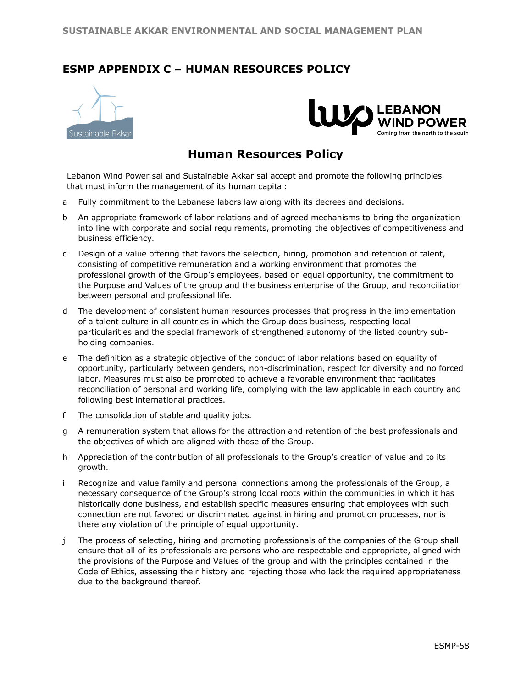# **ESMP APPENDIX C – HUMAN RESOURCES POLICY**





# **Human Resources Policy**

Lebanon Wind Power sal and Sustainable Akkar sal accept and promote the following principles that must inform the management of its human capital:

- a Fully commitment to the Lebanese labors law along with its decrees and decisions.
- b An appropriate framework of labor relations and of agreed mechanisms to bring the organization into line with corporate and social requirements, promoting the objectives of competitiveness and business efficiency.
- c Design of a value offering that favors the selection, hiring, promotion and retention of talent, consisting of competitive remuneration and a working environment that promotes the professional growth of the Group's employees, based on equal opportunity, the commitment to the Purpose and Values of the group and the business enterprise of the Group, and reconciliation between personal and professional life.
- d The development of consistent human resources processes that progress in the implementation of a talent culture in all countries in which the Group does business, respecting local particularities and the special framework of strengthened autonomy of the listed country subholding companies.
- e The definition as a strategic objective of the conduct of labor relations based on equality of opportunity, particularly between genders, non-discrimination, respect for diversity and no forced labor. Measures must also be promoted to achieve a favorable environment that facilitates reconciliation of personal and working life, complying with the law applicable in each country and following best international practices.
- f The consolidation of stable and quality jobs.
- g A remuneration system that allows for the attraction and retention of the best professionals and the objectives of which are aligned with those of the Group.
- h Appreciation of the contribution of all professionals to the Group's creation of value and to its growth.
- i Recognize and value family and personal connections among the professionals of the Group, a necessary consequence of the Group's strong local roots within the communities in which it has historically done business, and establish specific measures ensuring that employees with such connection are not favored or discriminated against in hiring and promotion processes, nor is there any violation of the principle of equal opportunity.
- j The process of selecting, hiring and promoting professionals of the companies of the Group shall ensure that all of its professionals are persons who are respectable and appropriate, aligned with the provisions of the Purpose and Values of the group and with the principles contained in the Code of Ethics, assessing their history and rejecting those who lack the required appropriateness due to the background thereof.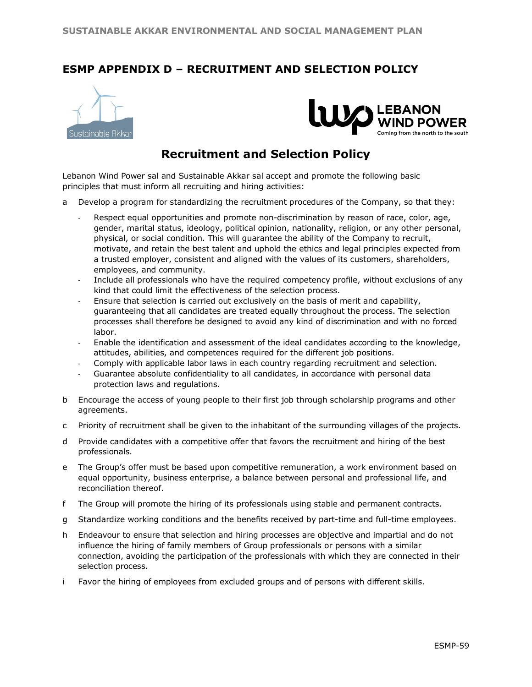# **ESMP APPENDIX D – RECRUITMENT AND SELECTION POLICY**





# **Recruitment and Selection Policy**

Lebanon Wind Power sal and Sustainable Akkar sal accept and promote the following basic principles that must inform all recruiting and hiring activities:

- a Develop a program for standardizing the recruitment procedures of the Company, so that they:
	- Respect equal opportunities and promote non-discrimination by reason of race, color, age, gender, marital status, ideology, political opinion, nationality, religion, or any other personal, physical, or social condition. This will guarantee the ability of the Company to recruit, motivate, and retain the best talent and uphold the ethics and legal principles expected from a trusted employer, consistent and aligned with the values of its customers, shareholders, employees, and community.
	- Include all professionals who have the required competency profile, without exclusions of any kind that could limit the effectiveness of the selection process.
	- Ensure that selection is carried out exclusively on the basis of merit and capability, guaranteeing that all candidates are treated equally throughout the process. The selection processes shall therefore be designed to avoid any kind of discrimination and with no forced labor.
	- Enable the identification and assessment of the ideal candidates according to the knowledge, attitudes, abilities, and competences required for the different job positions.
	- Comply with applicable labor laws in each country regarding recruitment and selection.
	- Guarantee absolute confidentiality to all candidates, in accordance with personal data protection laws and regulations.
- b Encourage the access of young people to their first job through scholarship programs and other agreements.
- c Priority of recruitment shall be given to the inhabitant of the surrounding villages of the projects.
- d Provide candidates with a competitive offer that favors the recruitment and hiring of the best professionals.
- e The Group's offer must be based upon competitive remuneration, a work environment based on equal opportunity, business enterprise, a balance between personal and professional life, and reconciliation thereof.
- f The Group will promote the hiring of its professionals using stable and permanent contracts.
- g Standardize working conditions and the benefits received by part-time and full-time employees.
- h Endeavour to ensure that selection and hiring processes are objective and impartial and do not influence the hiring of family members of Group professionals or persons with a similar connection, avoiding the participation of the professionals with which they are connected in their selection process.
- i Favor the hiring of employees from excluded groups and of persons with different skills.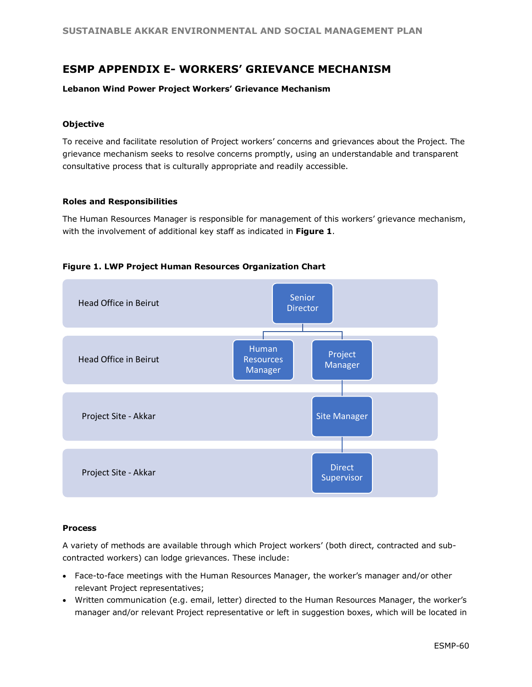# **ESMP APPENDIX E- WORKERS' GRIEVANCE MECHANISM**

#### **Lebanon Wind Power Project Workers' Grievance Mechanism**

#### **Objective**

To receive and facilitate resolution of Project workers' concerns and grievances about the Project. The grievance mechanism seeks to resolve concerns promptly, using an understandable and transparent consultative process that is culturally appropriate and readily accessible.

#### **Roles and Responsibilities**

The Human Resources Manager is responsible for management of this workers' grievance mechanism, with the involvement of additional key staff as indicated in **Figure 1**.



#### **Figure 1. LWP Project Human Resources Organization Chart**

#### **Process**

A variety of methods are available through which Project workers' (both direct, contracted and subcontracted workers) can lodge grievances. These include:

- Face-to-face meetings with the Human Resources Manager, the worker's manager and/or other relevant Project representatives;
- Written communication (e.g. email, letter) directed to the Human Resources Manager, the worker's manager and/or relevant Project representative or left in suggestion boxes, which will be located in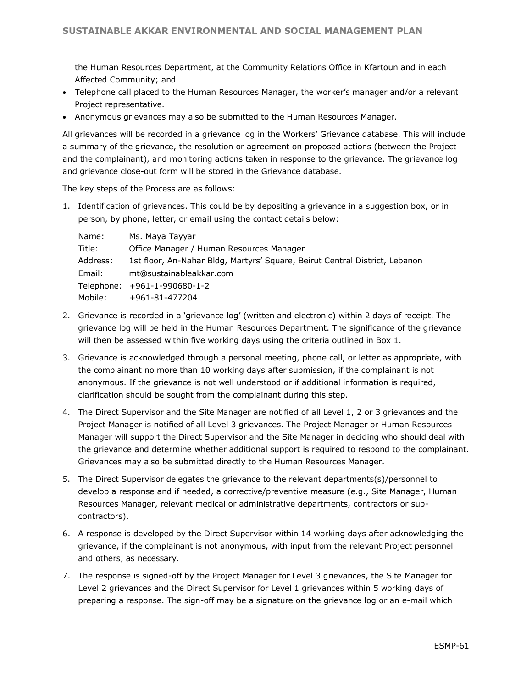the Human Resources Department, at the Community Relations Office in Kfartoun and in each Affected Community; and

- Telephone call placed to the Human Resources Manager, the worker's manager and/or a relevant Project representative.
- Anonymous grievances may also be submitted to the Human Resources Manager.

All grievances will be recorded in a grievance log in the Workers' Grievance database. This will include a summary of the grievance, the resolution or agreement on proposed actions (between the Project and the complainant), and monitoring actions taken in response to the grievance. The grievance log and grievance close-out form will be stored in the Grievance database.

The key steps of the Process are as follows:

1. Identification of grievances. This could be by depositing a grievance in a suggestion box, or in person, by phone, letter, or email using the contact details below:

| Name:    | Ms. Maya Tayyar                                                             |
|----------|-----------------------------------------------------------------------------|
| Title:   | Office Manager / Human Resources Manager                                    |
| Address: | 1st floor, An-Nahar Bldg, Martyrs' Square, Beirut Central District, Lebanon |
| Email:   | mt@sustainableakkar.com                                                     |
|          | Telephone: +961-1-990680-1-2                                                |
| Mobile:  | +961-81-477204                                                              |

- 2. Grievance is recorded in a 'grievance log' (written and electronic) within 2 days of receipt. The grievance log will be held in the Human Resources Department. The significance of the grievance will then be assessed within five working days using the criteria outlined in Box 1.
- 3. Grievance is acknowledged through a personal meeting, phone call, or letter as appropriate, with the complainant no more than 10 working days after submission, if the complainant is not anonymous. If the grievance is not well understood or if additional information is required, clarification should be sought from the complainant during this step.
- 4. The Direct Supervisor and the Site Manager are notified of all Level 1, 2 or 3 grievances and the Project Manager is notified of all Level 3 grievances. The Project Manager or Human Resources Manager will support the Direct Supervisor and the Site Manager in deciding who should deal with the grievance and determine whether additional support is required to respond to the complainant. Grievances may also be submitted directly to the Human Resources Manager.
- 5. The Direct Supervisor delegates the grievance to the relevant departments(s)/personnel to develop a response and if needed, a corrective/preventive measure (e.g., Site Manager, Human Resources Manager, relevant medical or administrative departments, contractors or subcontractors).
- 6. A response is developed by the Direct Supervisor within 14 working days after acknowledging the grievance, if the complainant is not anonymous, with input from the relevant Project personnel and others, as necessary.
- 7. The response is signed-off by the Project Manager for Level 3 grievances, the Site Manager for Level 2 grievances and the Direct Supervisor for Level 1 grievances within 5 working days of preparing a response. The sign-off may be a signature on the grievance log or an e-mail which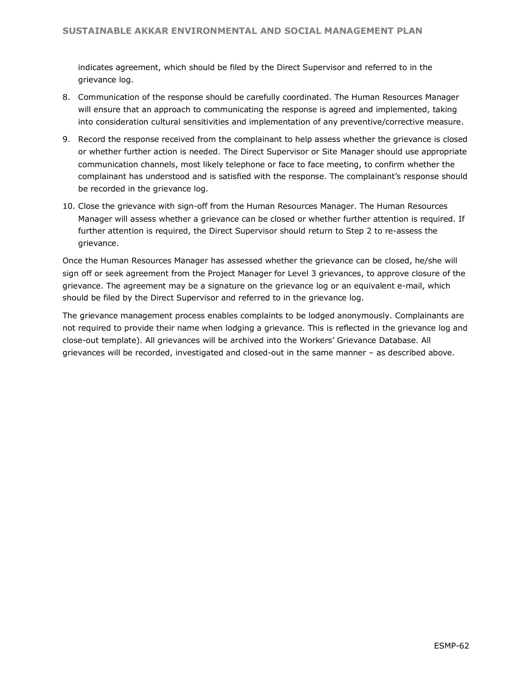indicates agreement, which should be filed by the Direct Supervisor and referred to in the grievance log.

- 8. Communication of the response should be carefully coordinated. The Human Resources Manager will ensure that an approach to communicating the response is agreed and implemented, taking into consideration cultural sensitivities and implementation of any preventive/corrective measure.
- 9. Record the response received from the complainant to help assess whether the grievance is closed or whether further action is needed. The Direct Supervisor or Site Manager should use appropriate communication channels, most likely telephone or face to face meeting, to confirm whether the complainant has understood and is satisfied with the response. The complainant's response should be recorded in the grievance log.
- 10. Close the grievance with sign-off from the Human Resources Manager. The Human Resources Manager will assess whether a grievance can be closed or whether further attention is required. If further attention is required, the Direct Supervisor should return to Step 2 to re-assess the grievance.

Once the Human Resources Manager has assessed whether the grievance can be closed, he/she will sign off or seek agreement from the Project Manager for Level 3 grievances, to approve closure of the grievance. The agreement may be a signature on the grievance log or an equivalent e-mail, which should be filed by the Direct Supervisor and referred to in the grievance log.

The grievance management process enables complaints to be lodged anonymously. Complainants are not required to provide their name when lodging a grievance. This is reflected in the grievance log and close-out template). All grievances will be archived into the Workers' Grievance Database. All grievances will be recorded, investigated and closed-out in the same manner – as described above.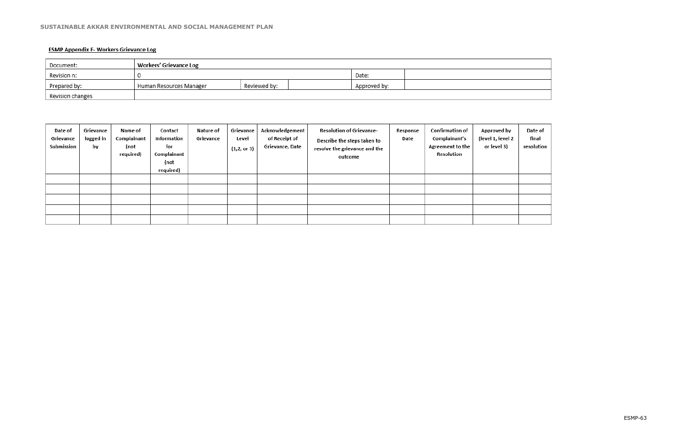## **ESMP Appendix F- Workers Grievance Log**

| Document:        | <b>Workers' Grievance Log</b> |              |              |  |  |  |
|------------------|-------------------------------|--------------|--------------|--|--|--|
| Revision n:      |                               |              | Date:        |  |  |  |
| Prepared by:     | Human Resources Manager       | Reviewed by: | Approved by: |  |  |  |
| Revision changes |                               |              |              |  |  |  |

| Date of<br>Grievance<br>Submission | Grievance<br>logged in<br>by | Name of<br>Complainant<br>(not<br>required) | Contact<br>Information<br>for<br>Complainant<br>(not<br>required) | Nature of<br>Grievance | Grievance<br>Level<br>(1, 2, or 3) | Acknowledgement<br>of Receipt of<br>Grievance, Date | <b>Resolution of Grievance-</b><br>Describe the steps taken to<br>resolve the grievance and the<br>outcome | Response<br>Date | Confirmation of<br>Complainant's<br>Agreement to the<br>Resolution | Approved by<br>(level 1, level 2<br>or level 3) | Date of<br>final<br>resolution |
|------------------------------------|------------------------------|---------------------------------------------|-------------------------------------------------------------------|------------------------|------------------------------------|-----------------------------------------------------|------------------------------------------------------------------------------------------------------------|------------------|--------------------------------------------------------------------|-------------------------------------------------|--------------------------------|
|                                    |                              |                                             |                                                                   |                        |                                    |                                                     |                                                                                                            |                  |                                                                    |                                                 |                                |
|                                    |                              |                                             |                                                                   |                        |                                    |                                                     |                                                                                                            |                  |                                                                    |                                                 |                                |
|                                    |                              |                                             |                                                                   |                        |                                    |                                                     |                                                                                                            |                  |                                                                    |                                                 |                                |
|                                    |                              |                                             |                                                                   |                        |                                    |                                                     |                                                                                                            |                  |                                                                    |                                                 |                                |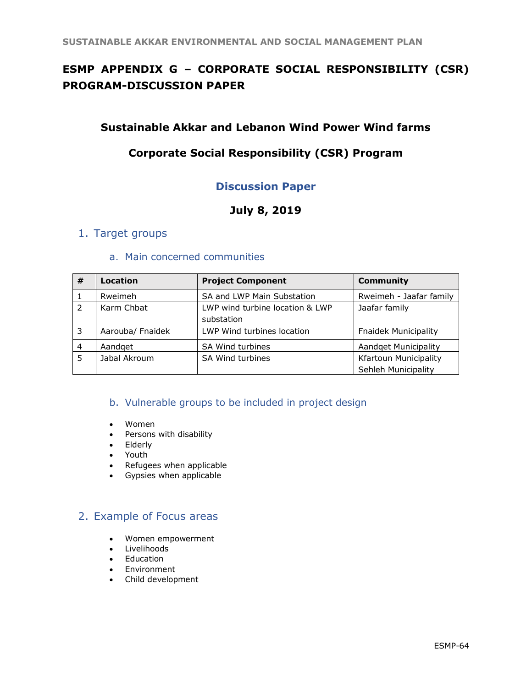# **ESMP APPENDIX G – CORPORATE SOCIAL RESPONSIBILITY (CSR) PROGRAM-DISCUSSION PAPER**

# **Sustainable Akkar and Lebanon Wind Power Wind farms**

# **Corporate Social Responsibility (CSR) Program**

# **Discussion Paper**

# **July 8, 2019**

# 1. Target groups

## a. Main concerned communities

| #              | Location         | <b>Project Component</b>                      | <b>Community</b>             |
|----------------|------------------|-----------------------------------------------|------------------------------|
|                | Rweimeh          | SA and LWP Main Substation                    | Rweimeh - Jaafar family      |
|                | Karm Chbat       | LWP wind turbine location & LWP<br>substation | Jaafar family                |
| 3              | Aarouba/ Fnaidek | LWP Wind turbines location                    | <b>Fnaidek Municipality</b>  |
| $\overline{4}$ | Aandget          | SA Wind turbines                              | <b>Aandget Municipality</b>  |
| 5              | Jabal Akroum     | SA Wind turbines                              | <b>Kfartoun Municipality</b> |
|                |                  |                                               | Sehleh Municipality          |

## b. Vulnerable groups to be included in project design

- Women
- Persons with disability
- Elderly
- Youth
- Refugees when applicable
- Gypsies when applicable

# 2. Example of Focus areas

- Women empowerment
- Livelihoods
- Education
- Environment
- Child development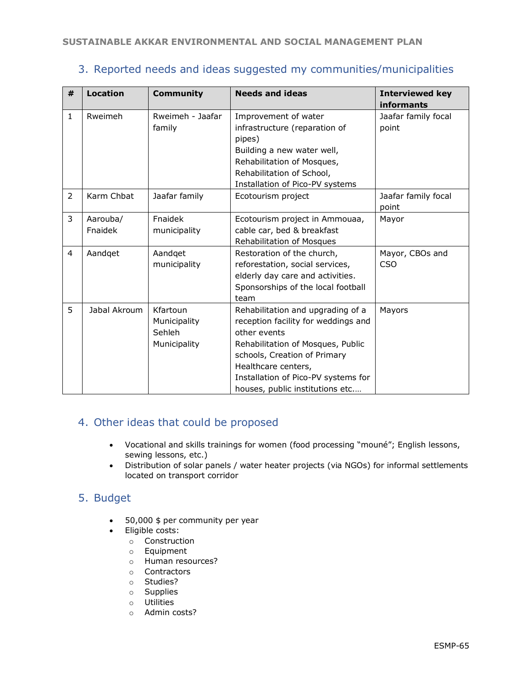# 3. Reported needs and ideas suggested my communities/municipalities

| # | <b>Location</b>     | <b>Community</b>                                   | <b>Needs and ideas</b>                                                                                                                                                                                                                                         | <b>Interviewed key</b>                     |
|---|---------------------|----------------------------------------------------|----------------------------------------------------------------------------------------------------------------------------------------------------------------------------------------------------------------------------------------------------------------|--------------------------------------------|
| 1 | Rweimeh             | Rweimeh - Jaafar<br>family                         | Improvement of water<br>infrastructure (reparation of<br>pipes)<br>Building a new water well,<br>Rehabilitation of Mosques,<br>Rehabilitation of School,<br>Installation of Pico-PV systems                                                                    | informants<br>Jaafar family focal<br>point |
| 2 | Karm Chbat          | Jaafar family                                      | Ecotourism project                                                                                                                                                                                                                                             | Jaafar family focal<br>point               |
| 3 | Aarouba/<br>Fnaidek | Fnaidek<br>municipality                            | Ecotourism project in Ammouaa,<br>cable car, bed & breakfast<br>Rehabilitation of Mosques                                                                                                                                                                      | Mayor                                      |
| 4 | Aandget             | Aandget<br>municipality                            | Restoration of the church,<br>reforestation, social services,<br>elderly day care and activities.<br>Sponsorships of the local football<br>team                                                                                                                | Mayor, CBOs and<br><b>CSO</b>              |
| 5 | Jabal Akroum        | Kfartoun<br>Municipality<br>Sehleh<br>Municipality | Rehabilitation and upgrading of a<br>reception facility for weddings and<br>other events<br>Rehabilitation of Mosques, Public<br>schools, Creation of Primary<br>Healthcare centers,<br>Installation of Pico-PV systems for<br>houses, public institutions etc | Mayors                                     |

# 4. Other ideas that could be proposed

- Vocational and skills trainings for women (food processing "mouné"; English lessons, sewing lessons, etc.)
- Distribution of solar panels / water heater projects (via NGOs) for informal settlements located on transport corridor

# 5. Budget

- 50,000 \$ per community per year
- Eligible costs:
	- o Construction
	- o Equipment
	- o Human resources?
	- o Contractors
	- o Studies?
	- o Supplies
	- o Utilities
	- o Admin costs?